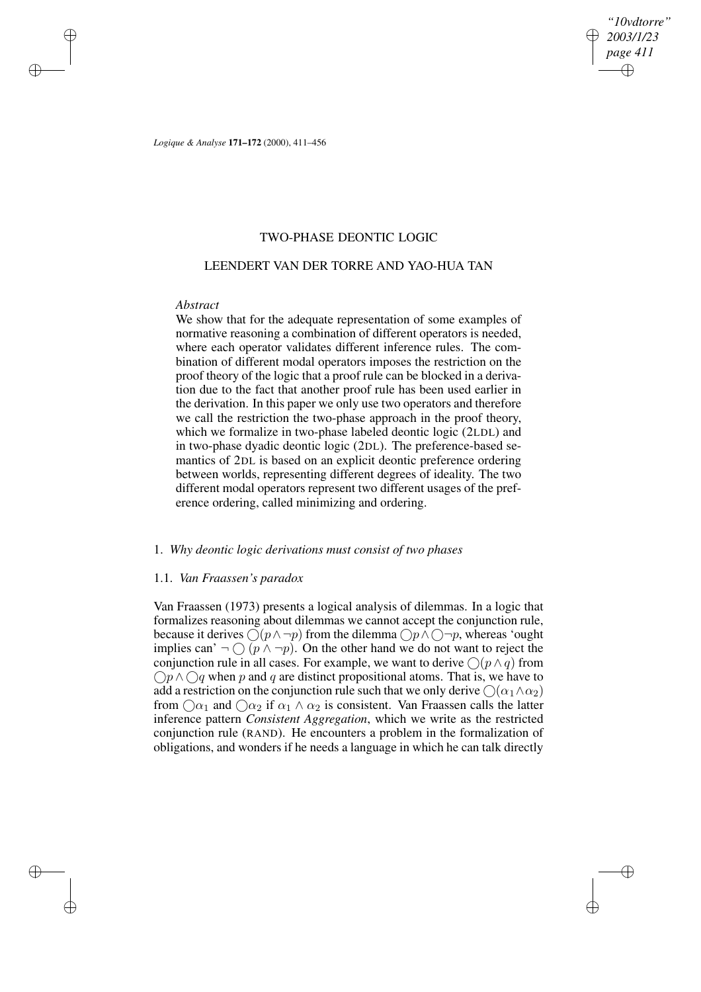*"10vdtorre" 2003/1/23 page 411* ✐ ✐

✐

✐

*Logique & Analyse* **171–172** (2000), 411–456

# TWO-PHASE DEONTIC LOGIC

# LEENDERT VAN DER TORRE AND YAO-HUA TAN

# *Abstract*

 $\rightarrow$ 

 $\rightarrow$ 

✐

✐

We show that for the adequate representation of some examples of normative reasoning a combination of different operators is needed, where each operator validates different inference rules. The combination of different modal operators imposes the restriction on the proof theory of the logic that a proof rule can be blocked in a derivation due to the fact that another proof rule has been used earlier in the derivation. In this paper we only use two operators and therefore we call the restriction the two-phase approach in the proof theory, which we formalize in two-phase labeled deontic logic (2LDL) and in two-phase dyadic deontic logic (2DL). The preference-based semantics of 2DL is based on an explicit deontic preference ordering between worlds, representing different degrees of ideality. The two different modal operators represent two different usages of the preference ordering, called minimizing and ordering.

# 1. *Why deontic logic derivations must consist of two phases*

## 1.1. *Van Fraassen's paradox*

Van Fraassen (1973) presents a logical analysis of dilemmas. In a logic that formalizes reasoning about dilemmas we cannot accept the conjunction rule, because it derives  $\bigcirc (p \land \neg p)$  from the dilemma  $\bigcirc p \land \bigcirc \neg p$ , whereas 'ought implies can'  $\neg$  ( $p \wedge \neg p$ ). On the other hand we do not want to reject the conjunction rule in all cases. For example, we want to derive  $\bigcap (p \land q)$  from  $\bigcap p \wedge \bigcap q$  when p and q are distinct propositional atoms. That is, we have to add a restriction on the conjunction rule such that we only derive  $\bigcap (\alpha_1 \wedge \alpha_2)$ from  $\bigcirc$  and  $\bigcirc$  and  $\bigcirc$  if  $\alpha_1 \wedge \alpha_2$  is consistent. Van Fraassen calls the latter inference pattern *Consistent Aggregation*, which we write as the restricted conjunction rule (RAND). He encounters a problem in the formalization of obligations, and wonders if he needs a language in which he can talk directly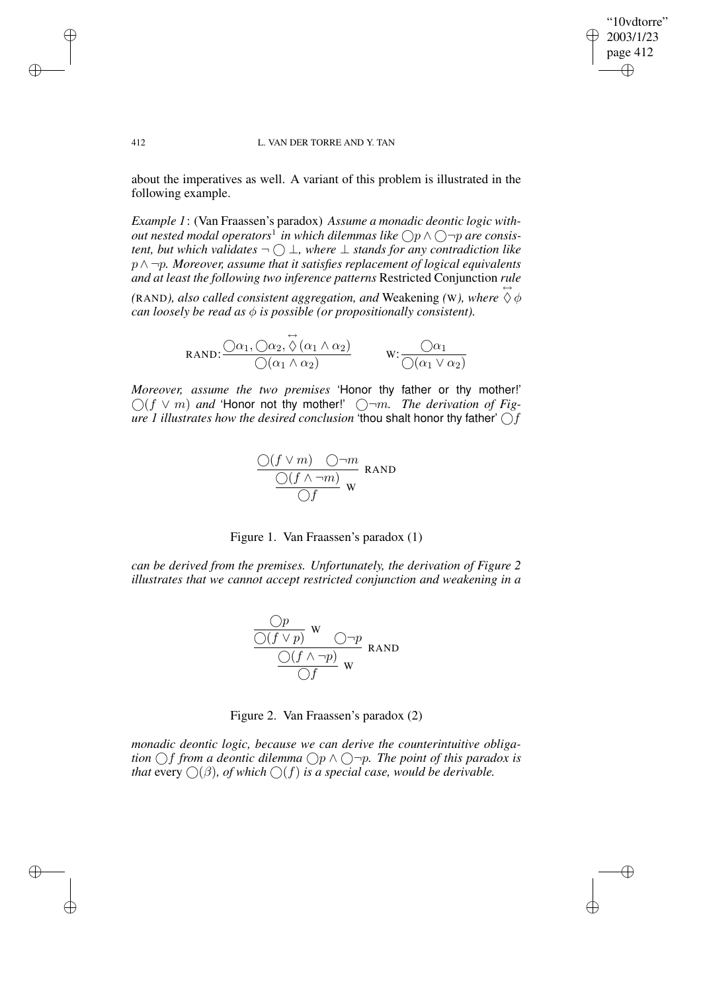## "10vdtorre" 2003/1/23 page 412 ✐ ✐

✐

✐

### 412 L. VAN DER TORRE AND Y. TAN

about the imperatives as well. A variant of this problem is illustrated in the following example.

*Example 1*: (Van Fraassen's paradox) *Assume a monadic deontic logic with-* $\phi$  *out nested modal operators<sup>1</sup> in which dilemmas like*  $\bigcirc$ p ∧  $\bigcirc$ ¬p are consis*tent, but which validates*  $\neg$   $\bigcirc$  ⊥*, where* ⊥ *stands for any contradiction like* p∧¬p*. Moreover, assume that it satisfies replacement of logical equivalents and at least the following two inference patterns* Restricted Conjunction *rule*

(RAND), *also called consistent aggregation, and Weakening (W), where*  $\overleftrightarrow{\Diamond} \phi$ *can loosely be read as*  $\phi$  *is possible* (*or propositionally consistent*).

$$
RAND: \frac{\bigcirc \alpha_1, \bigcirc \alpha_2, \stackrel{\leftrightarrow}{\Diamond} (\alpha_1 \land \alpha_2)}{\bigcirc (\alpha_1 \land \alpha_2)} \qquad W: \frac{\bigcirc \alpha_1}{\bigcirc (\alpha_1 \lor \alpha_2)}
$$

*Moreover, assume the two premises* 'Honor thy father or thy mother!'  $\bigcirc$  (f  $\vee$  *m*) *and* 'Honor not thy mother!'  $\bigcirc$  -*m. The derivation of Figure 1 illustrates how the desired conclusion* 'thou shalt honor thy father' f

$$
\frac{\bigcirc (f \vee m) \quad \bigcirc \neg m}{\bigcirc (f \wedge \neg m)} \text{ RANDOM}
$$

Figure 1. Van Fraassen's paradox (1)

*can be derived from the premises. Unfortunately, the derivation of Figure 2 illustrates that we cannot accept restricted conjunction and weakening in a*

$$
\frac{\frac{Op}{\bigcirc (f \vee p)} \mathbf{w}}{\frac{\bigcirc (f \wedge \neg p)}{\bigcirc f} \mathbf{w}}
$$

Figure 2. Van Fraassen's paradox (2)

*monadic deontic logic, because we can derive the counterintuitive obligation*  $\bigcirc$  *f from a deontic dilemma*  $\bigcirc$  *p*  $\wedge$   $\bigcirc$  -*p. The point of this paradox is that* every  $\bigcirc$  ( $\beta$ )*, of which*  $\bigcirc$  ( $f$ ) *is a special case, would be derivable.* 

 $\rightarrow$ 

 $\rightarrow$ 

✐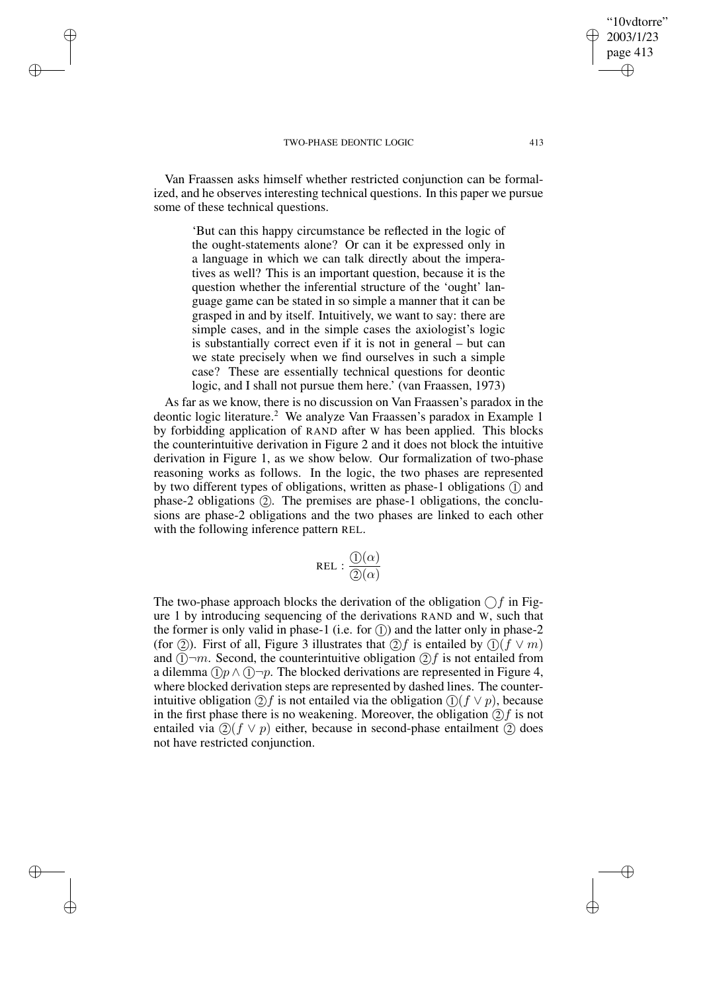$\rightarrow$ 

 $\rightarrow$ 

✐

✐

Van Fraassen asks himself whether restricted conjunction can be formalized, and he observes interesting technical questions. In this paper we pursue some of these technical questions.

'But can this happy circumstance be reflected in the logic of the ought-statements alone? Or can it be expressed only in a language in which we can talk directly about the imperatives as well? This is an important question, because it is the question whether the inferential structure of the 'ought' language game can be stated in so simple a manner that it can be grasped in and by itself. Intuitively, we want to say: there are simple cases, and in the simple cases the axiologist's logic is substantially correct even if it is not in general – but can we state precisely when we find ourselves in such a simple case? These are essentially technical questions for deontic logic, and I shall not pursue them here.' (van Fraassen, 1973)

As far as we know, there is no discussion on Van Fraassen's paradox in the deontic logic literature.<sup>2</sup> We analyze Van Fraassen's paradox in Example 1 by forbidding application of RAND after W has been applied. This blocks the counterintuitive derivation in Figure 2 and it does not block the intuitive derivation in Figure 1, as we show below. Our formalization of two-phase reasoning works as follows. In the logic, the two phases are represented by two different types of obligations, written as phase-1 obligations (1) and phase-2 obligations (2). The premises are phase-1 obligations, the conclusions are phase-2 obligations and the two phases are linked to each other with the following inference pattern REL.

$$
\mathtt{REL} : \frac{\textcircled{\textit{i}}(\alpha)}{\textcircled{\textit{2}}(\alpha)}
$$

The two-phase approach blocks the derivation of the obligation  $\bigcap f$  in Figure 1 by introducing sequencing of the derivations RAND and W, such that the former is only valid in phase-1 (i.e. for  $(1)$ ) and the latter only in phase-2 (for (2)). First of all, Figure 3 illustrates that  $(2)$  f is entailed by  $(1)$  (f  $\vee$  m) and  $(1)$   $\neg m$ . Second, the counterintuitive obligation  $(2)f$  is not entailed from a dilemma  $(1)p \wedge (1-p)$ . The blocked derivations are represented in Figure 4, where blocked derivation steps are represented by dashed lines. The counterintuitive obligation  $(2)f$  is not entailed via the obligation  $(1)(f \vee p)$ , because in the first phase there is no weakening. Moreover, the obligation  $(2)f$  is not entailed via  $(2)$ ( $f \vee p$ ) either, because in second-phase entailment (2) does not have restricted conjunction.

"10vdtorre" 2003/1/23 page 413

✐

✐

✐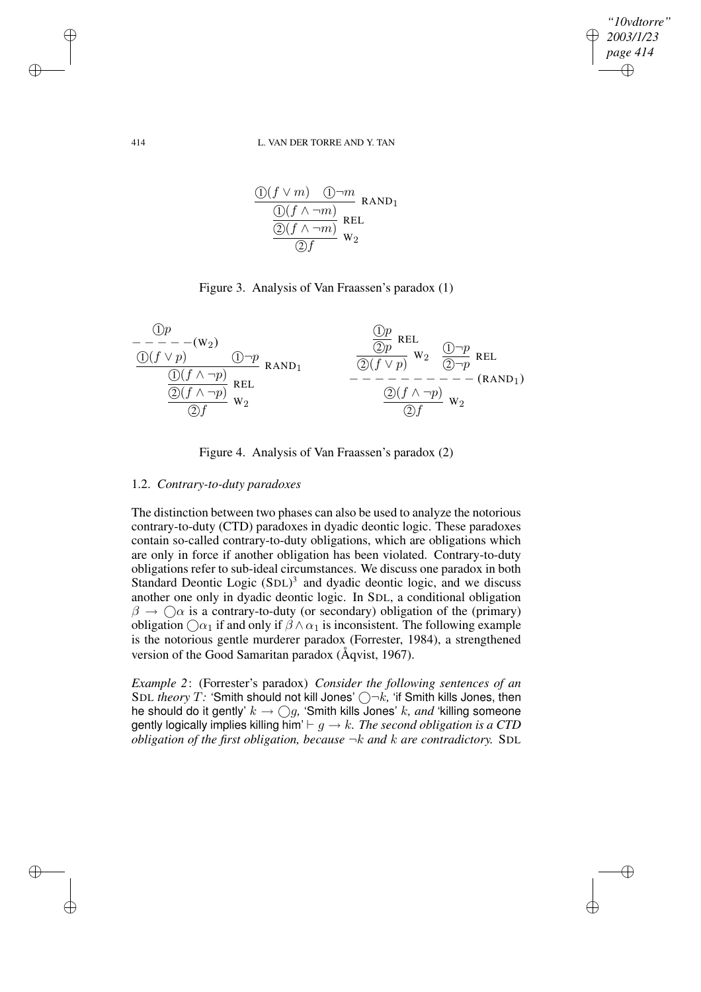*"10vdtorre" 2003/1/23 page 414* ✐ ✐

✐

✐

### 414 L. VAN DER TORRE AND Y. TAN

$$
\frac{\textcircled{1}(f \vee m) \quad \textcircled{1}\neg m}{\textcircled{1}(f \wedge \neg m)} \text{RAND}_1
$$
\n
$$
\frac{\textcircled{1}(f \wedge \neg m)}{\textcircled{2}(f \wedge \neg m)} \text{REL}
$$
\n
$$
\frac{\textcircled{2}(f \wedge \neg m)}{\textcircled{2}f} \text{W}_2
$$

# Figure 3. Analysis of Van Fraassen's paradox (1)

| Op                   |       |                      |               |           |       |     |
|----------------------|-------|----------------------|---------------|-----------|-------|-----|
| $- - - - - - (w_2)$  | $①-p$ | $②p$                 | REL           |           |       |     |
| $①(f \vee p)$        | $①-p$ | RAND <sub>1</sub>    | $②(p \vee p)$ | $w_2$     | $②-p$ | REL |
| $②(f \wedge \neg p)$ | REL   | $②(f \vee p)$        | $w_2$         | $②\neg p$ | REL   |     |
| $②(f \wedge \neg p)$ | REL   | $②(f \wedge \neg p)$ | $w_2$         |           |       |     |
| $②(f \wedge \neg p)$ | $w_2$ | $②(f \wedge \neg p)$ | $w_2$         |           |       |     |
| $②(f \wedge \neg p)$ | $w_2$ | $②(f \wedge \neg p)$ | $w_2$         |           |       |     |

Figure 4. Analysis of Van Fraassen's paradox (2)

# 1.2. *Contrary-to-duty paradoxes*

The distinction between two phases can also be used to analyze the notorious contrary-to-duty (CTD) paradoxes in dyadic deontic logic. These paradoxes contain so-called contrary-to-duty obligations, which are obligations which are only in force if another obligation has been violated. Contrary-to-duty obligations refer to sub-ideal circumstances. We discuss one paradox in both Standard Deontic Logic (SDL)<sup>3</sup> and dyadic deontic logic, and we discuss another one only in dyadic deontic logic. In SDL, a conditional obligation  $\beta \to \bigcirc$  is a contrary-to-duty (or secondary) obligation of the (primary) obligation  $\bigcap \alpha_1$  if and only if  $\beta \wedge \alpha_1$  is inconsistent. The following example is the notorious gentle murderer paradox (Forrester, 1984), a strengthened version of the Good Samaritan paradox (Åqvist, 1967).

*Example 2*: (Forrester's paradox) *Consider the following sentences of an* SDL *theory*  $T$ : 'Smith should not kill Jones'  $\bigcirc \neg k$ , 'if Smith kills Jones, then he should do it gently'  $k \to \bigcirc g$ , 'Smith kills Jones' k, and 'killing someone gently logically implies killing him'  $\vdash g \rightarrow k$ . The second obligation is a CTD *obligation of the first obligation, because* ¬k *and* k *are contradictory.* SDL

 $\rightarrow$ 

 $\rightarrow$ 

✐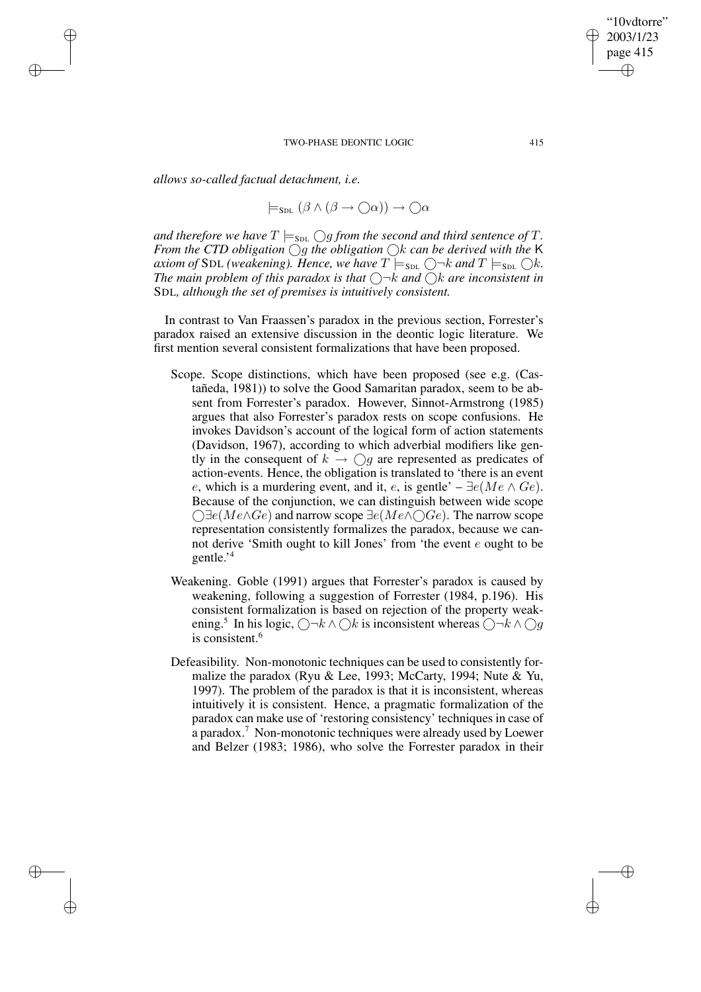*allows so-called factual detachment, i.e.*

 $\rightarrow$ 

 $\rightarrow$ 

✐

✐

$$
\models_{\mathsf{SDL}} (\beta \land (\beta \to \bigcirc \alpha)) \to \bigcirc \alpha
$$

*and therefore we have*  $T \models_{\text{SDL}} \bigcirc g$  *from the second and third sentence of*  $T$ *. From the CTD obligation*  $\bigcirc$ *g the obligation*  $\bigcirc$ *k can be derived with the* K *axiom of* SDL (weakening). Hence, we have  $T \models_{\text{SDL}} \bigcirc \neg k$  and  $T \models_{\text{SDL}} \bigcirc k$ . *The main problem of this paradox is that*  $\bigcirc$   $\neg k$  *and*  $\bigcirc$ *k are inconsistent in* SDL*, although the set of premises is intuitively consistent.*

In contrast to Van Fraassen's paradox in the previous section, Forrester's paradox raised an extensive discussion in the deontic logic literature. We first mention several consistent formalizations that have been proposed.

- Scope. Scope distinctions, which have been proposed (see e.g. (Castañeda, 1981)) to solve the Good Samaritan paradox, seem to be absent from Forrester's paradox. However, Sinnot-Armstrong (1985) argues that also Forrester's paradox rests on scope confusions. He invokes Davidson's account of the logical form of action statements (Davidson, 1967), according to which adverbial modifiers like gently in the consequent of  $k \to \bigcap g$  are represented as predicates of action-events. Hence, the obligation is translated to 'there is an event e, which is a murdering event, and it, e, is gentle' –  $\exists e$ ( $Me \wedge Ge$ ). Because of the conjunction, we can distinguish between wide scope  $\bigcirc$  ∃e(Me $\wedge$ Ge) and narrow scope ∃e(Me $\wedge \bigcirc$ Ge). The narrow scope representation consistently formalizes the paradox, because we cannot derive 'Smith ought to kill Jones' from 'the event e ought to be gentle.' 4
- Weakening. Goble (1991) argues that Forrester's paradox is caused by weakening, following a suggestion of Forrester (1984, p.196). His consistent formalization is based on rejection of the property weakening.<sup>5</sup> In his logic,  $\bigcirc \neg k \wedge \bigcirc k$  is inconsistent whereas  $\bigcirc \neg k \wedge \bigcirc g$ is consistent.<sup>6</sup>
- Defeasibility. Non-monotonic techniques can be used to consistently formalize the paradox (Ryu & Lee, 1993; McCarty, 1994; Nute & Yu, 1997). The problem of the paradox is that it is inconsistent, whereas intuitively it is consistent. Hence, a pragmatic formalization of the paradox can make use of 'restoring consistency' techniques in case of a paradox.<sup>7</sup> Non-monotonic techniques were already used by Loewer and Belzer (1983; 1986), who solve the Forrester paradox in their

"10vdtorre" 2003/1/23 page 415

✐

✐

✐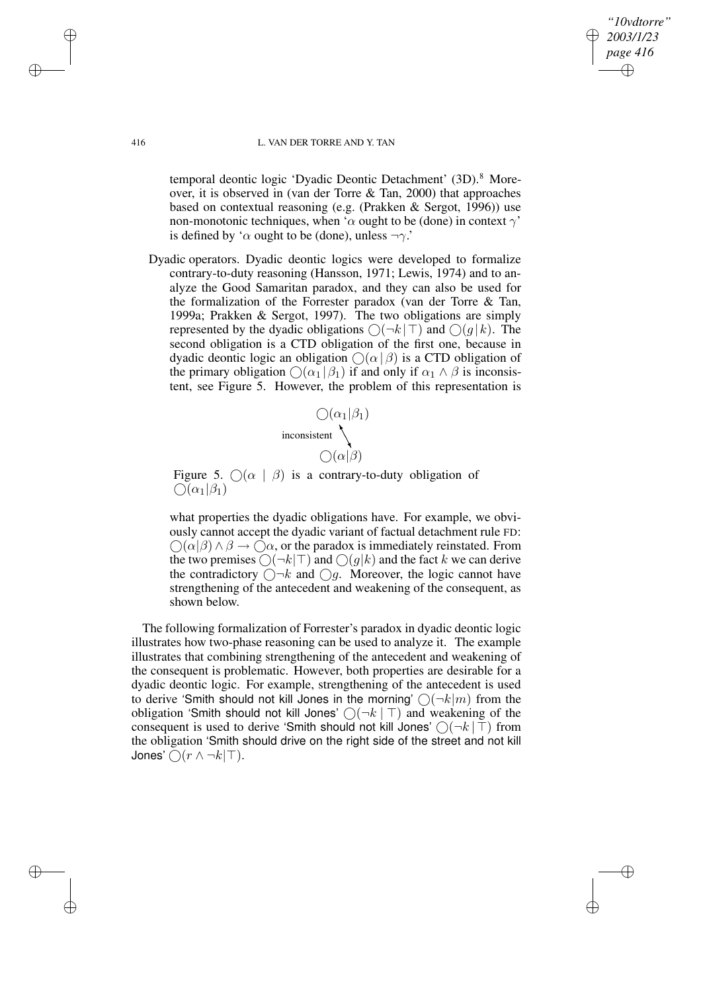*"10vdtorre" 2003/1/23 page 416* ✐ ✐

✐

✐

### 416 L. VAN DER TORRE AND Y. TAN

temporal deontic logic 'Dyadic Deontic Detachment' (3D).<sup>8</sup> Moreover, it is observed in (van der Torre & Tan, 2000) that approaches based on contextual reasoning (e.g. (Prakken & Sergot, 1996)) use non-monotonic techniques, when ' $\alpha$  ought to be (done) in context  $\gamma$ ' is defined by ' $\alpha$  ought to be (done), unless  $\neg \gamma$ .'

Dyadic operators. Dyadic deontic logics were developed to formalize contrary-to-duty reasoning (Hansson, 1971; Lewis, 1974) and to analyze the Good Samaritan paradox, and they can also be used for the formalization of the Forrester paradox (van der Torre & Tan, 1999a; Prakken & Sergot, 1997). The two obligations are simply represented by the dyadic obligations  $\bigcap (\neg k \,|\, \top)$  and  $\bigcap (q \,|\, k)$ . The second obligation is a CTD obligation of the first one, because in dyadic deontic logic an obligation  $\bigcirc$  ( $\alpha$  |  $\beta$ ) is a CTD obligation of the primary obligation  $\bigcirc$  ( $\alpha_1 | \beta_1$ ) if and only if  $\alpha_1 \wedge \beta$  is inconsistent, see Figure 5. However, the problem of this representation is

$$
\bigcirc (\alpha_1 | \beta_1)
$$
  
inconsistent  

$$
\bigcirc (\alpha | \beta)
$$

Figure 5.  $\bigcap (\alpha \mid \beta)$  is a contrary-to-duty obligation of  $\bigcap(\alpha_1|\beta_1)$ 

what properties the dyadic obligations have. For example, we obviously cannot accept the dyadic variant of factual detachment rule FD:  $\bigcirc$ ( $\alpha$ | $\beta$ )  $\land$   $\beta \rightarrow \bigcirc$  $\alpha$ , or the paradox is immediately reinstated. From the two premises  $\bigcirc(\neg k|\top)$  and  $\bigcirc(g|k)$  and the fact k we can derive the contradictory  $\bigcap -k$  and  $\bigcap q$ . Moreover, the logic cannot have strengthening of the antecedent and weakening of the consequent, as shown below.

The following formalization of Forrester's paradox in dyadic deontic logic illustrates how two-phase reasoning can be used to analyze it. The example illustrates that combining strengthening of the antecedent and weakening of the consequent is problematic. However, both properties are desirable for a dyadic deontic logic. For example, strengthening of the antecedent is used to derive 'Smith should not kill Jones in the morning'  $\bigcap (\neg k|m)$  from the obligation 'Smith should not kill Jones'  $\bigcap (\neg k \mid \top)$  and weakening of the consequent is used to derive 'Smith should not kill Jones'  $\bigcirc (\neg k \mid \top)$  from the obligation 'Smith should drive on the right side of the street and not kill Jones'  $\bigcap (r \wedge \neg k | \top)$ .

 $\rightarrow$ 

 $\rightarrow$ 

✐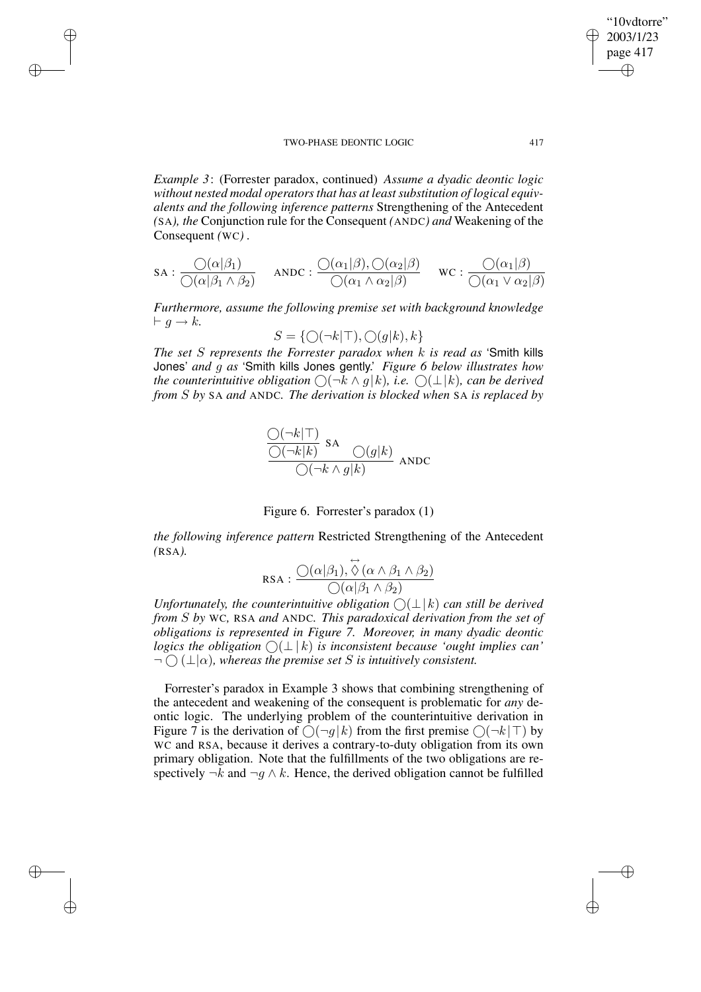$\rightarrow$ 

 $\rightarrow$ 

✐

✐

*Example 3*: (Forrester paradox, continued) *Assume a dyadic deontic logic without nested modal operatorsthat has at leastsubstitution of logical equivalents and the following inference patterns* Strengthening of the Antecedent *(*SA*), the* Conjunction rule for the Consequent *(*ANDC*) and* Weakening of the Consequent *(*WC*) .*

$$
\text{SA}: \frac{\bigcirc(\alpha|\beta_1)}{\bigcirc(\alpha|\beta_1 \land \beta_2)} \quad \text{ANDC}: \frac{\bigcirc(\alpha_1|\beta), \bigcirc(\alpha_2|\beta)}{\bigcirc(\alpha_1 \land \alpha_2|\beta)} \quad \text{WC}: \frac{\bigcirc(\alpha_1|\beta)}{\bigcirc(\alpha_1 \lor \alpha_2|\beta)}
$$

*Furthermore, assume the following premise set with background knowledge*  $\vdash g \rightarrow k.$ 

$$
S = \{ \bigcirc (\neg k | \top), \bigcirc (g | k), k \}
$$

*The set* S *represents the Forrester paradox when* k *is read as* 'Smith kills Jones' *and* g *as* 'Smith kills Jones gently.' *Figure 6 below illustrates how the counterintuitive obligation* ○ (¬k  $\land$  g|k), *i.e.* ○ ( $\bot$ |k), *can be derived from* S *by* SA *and* ANDC*. The derivation is blocked when* SA *is replaced by*

$$
\frac{\bigcirc (\neg k|\top)}{\bigcirc (\neg k|k)} \text{SA} \bigcirc (g|k)
$$
ANDC



*the following inference pattern* Restricted Strengthening of the Antecedent *(*RSA*).*

$$
\text{RSA}: \frac{\bigcirc(\alpha|\beta_1), \overset{\leftrightarrow}{\Diamond}(\alpha \land \beta_1 \land \beta_2)}{\bigcirc(\alpha|\beta_1 \land \beta_2)}
$$

*Unfortunately, the counterintuitive obligation*  $\bigcap (\perp k)$  *can still be derived from* S *by* WC*,* RSA *and* ANDC*. This paradoxical derivation from the set of obligations is represented in Figure 7. Moreover, in many dyadic deontic logics* the *obligation*  $\bigcap (\perp k)$  *is inconsistent because 'ought implies can'*  $\neg$   $\bigcap$   $(\bot | \alpha)$ , whereas the premise set S is intuitively consistent.

Forrester's paradox in Example 3 shows that combining strengthening of the antecedent and weakening of the consequent is problematic for *any* deontic logic. The underlying problem of the counterintuitive derivation in Figure 7 is the derivation of  $\bigcirc(\neg g|k)$  from the first premise  $\bigcirc(\neg k|\top)$  by WC and RSA, because it derives a contrary-to-duty obligation from its own primary obligation. Note that the fulfillments of the two obligations are respectively  $\neg k$  and  $\neg q \land k$ . Hence, the derived obligation cannot be fulfilled

"10vdtorre" 2003/1/23 page 417

✐

✐

✐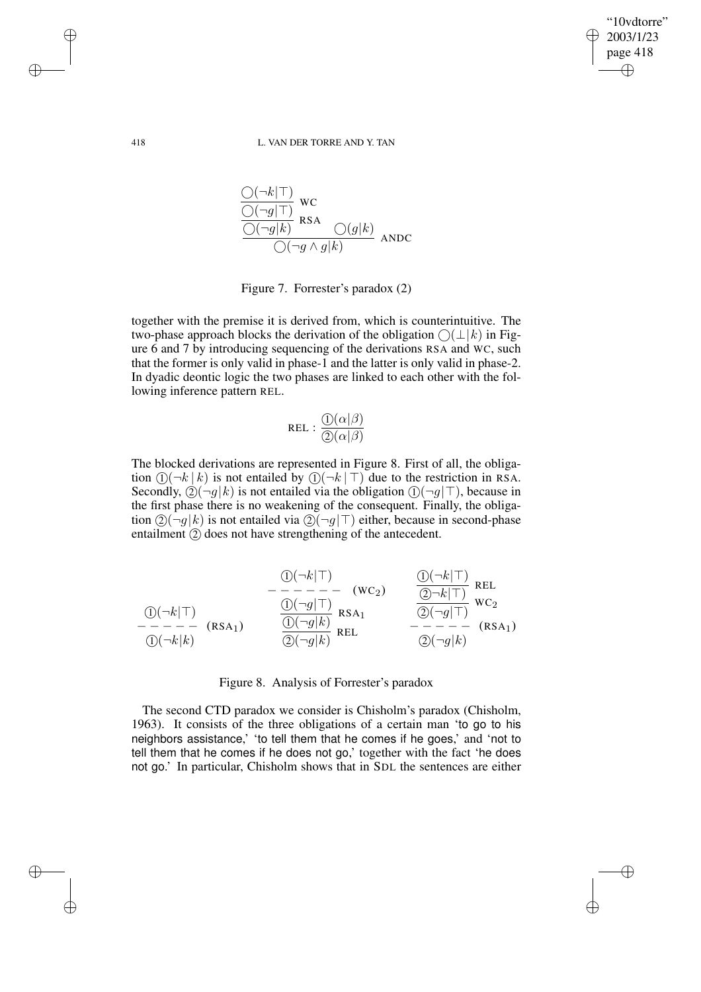✐

✐

### 418 L. VAN DER TORRE AND Y. TAN

$$
\frac{\frac{\bigcirc (\neg k|\top)}{\bigcirc (\neg g|\top)} \text{wc}}{\frac{\bigcirc (\neg g|k)}{\bigcirc (\neg g|k)} \text{RSA}} \frac{\bigcirc (g|k)}{\bigcirc (\neg g \land g|k)} \text{ANDC}
$$

Figure 7. Forrester's paradox (2)

together with the premise it is derived from, which is counterintuitive. The two-phase approach blocks the derivation of the obligation  $\bigcirc(\perp k)$  in Figure 6 and 7 by introducing sequencing of the derivations RSA and WC, such that the former is only valid in phase-1 and the latter is only valid in phase-2. In dyadic deontic logic the two phases are linked to each other with the following inference pattern REL.

$$
REL: \frac{\mathbb{O}(\alpha|\beta)}{\mathbb{O}(\alpha|\beta)}
$$

The blocked derivations are represented in Figure 8. First of all, the obligation  $(1)(\neg k \mid k)$  is not entailed by  $(1)(\neg k \mid \top)$  due to the restriction in RSA. Secondly,  $(2)(\neg q|k)$  is not entailed via the obligation  $(1)(\neg q|\top)$ , because in the first phase there is no weakening of the consequent. Finally, the obligation  $\mathcal{Q}(\neg g|k)$  is not entailed via  $\mathcal{Q}(\neg g | \top)$  either, because in second-phase entailment  $(2)$  does not have strengthening of the antecedent.

$$
\begin{array}{ccc}\n & \textcircled{1}(\neg k|\top) \\
-\neg & - - - - - - \\
\hline\n0(\neg k|\top) & \text{REL} \\
\hline\n0(\neg k|\top) & & \textcircled{1}(\neg g|\top) \\
-\neg & - - - - \\
\hline\n0(\neg k|k) & & \textcircled{2}(\neg g|k) \\
\hline\n\textcircled{2}(\neg g|k) & & \text{REL} \\
\hline\n0(\neg k|k) & & & \textcircled{2}(\neg g|k)\n\end{array}\n\quad\n\begin{array}{ccc}\n & \textcircled{1}(\neg k|\top) & \text{REL} \\
\hline\n\textcircled{2}(\neg g|\top) & & \text{WC}_2 \\
\hline\n\textcircled{2}(\neg g|k) & & & \textcircled{2}(\neg g|k)\n\end{array}
$$

Figure 8. Analysis of Forrester's paradox

The second CTD paradox we consider is Chisholm's paradox (Chisholm, 1963). It consists of the three obligations of a certain man 'to go to his neighbors assistance,' 'to tell them that he comes if he goes,' and 'not to tell them that he comes if he does not go,' together with the fact 'he does not go.' In particular, Chisholm shows that in SDL the sentences are either

 $\rightarrow$ 

 $\rightarrow$ 

✐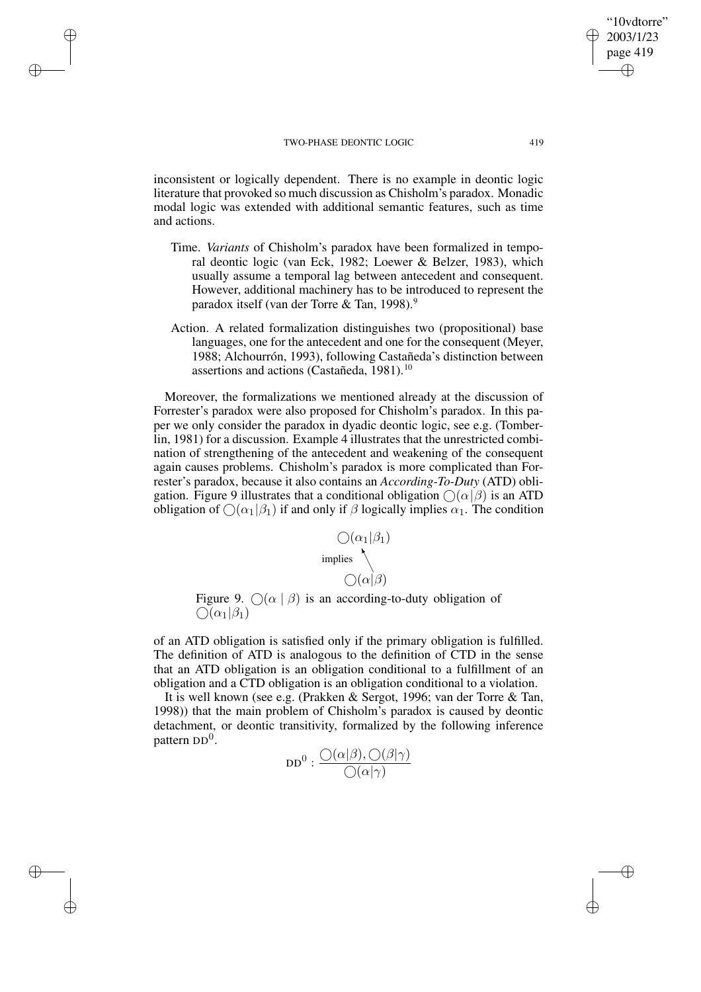$\rightarrow$ 

 $\rightarrow$ 

✐

✐

inconsistent or logically dependent. There is no example in deontic logic literature that provoked so much discussion as Chisholm's paradox. Monadic modal logic was extended with additional semantic features, such as time and actions.

- Time. *Variants* of Chisholm's paradox have been formalized in temporal deontic logic (van Eck, 1982; Loewer & Belzer, 1983), which usually assume a temporal lag between antecedent and consequent. However, additional machinery has to be introduced to represent the paradox itself (van der Torre & Tan, 1998).<sup>9</sup>
- Action. A related formalization distinguishes two (propositional) base languages, one for the antecedent and one for the consequent (Meyer, 1988; Alchourrón, 1993), following Castañeda's distinction between assertions and actions (Castañeda, 1981).<sup>10</sup>

Moreover, the formalizations we mentioned already at the discussion of Forrester's paradox were also proposed for Chisholm's paradox. In this paper we only consider the paradox in dyadic deontic logic, see e.g. (Tomberlin, 1981) for a discussion. Example 4 illustrates that the unrestricted combination of strengthening of the antecedent and weakening of the consequent again causes problems. Chisholm's paradox is more complicated than Forrester's paradox, because it also contains an *According-To-Duty* (ATD) obligation. Figure 9 illustrates that a conditional obligation  $\bigcirc(\alpha|\beta)$  is an ATD obligation of  $\bigcirc$  ( $\alpha_1|\beta_1$ ) if and only if  $\beta$  logically implies  $\alpha_1$ . The condition

$$
\bigcirc (\alpha_1 | \beta_1)
$$
  
implies  

$$
\bigcirc (\alpha | \beta)
$$

Figure 9.  $\bigcap (\alpha \mid \beta)$  is an according-to-duty obligation of  $\overline{\bigcirc}(\alpha_1|\beta_1)$ 

of an ATD obligation is satisfied only if the primary obligation is fulfilled. The definition of ATD is analogous to the definition of CTD in the sense that an ATD obligation is an obligation conditional to a fulfillment of an obligation and a CTD obligation is an obligation conditional to a violation.

It is well known (see e.g. (Prakken & Sergot, 1996; van der Torre & Tan, 1998)) that the main problem of Chisholm's paradox is caused by deontic detachment, or deontic transitivity, formalized by the following inference pattern DD<sup>0</sup>.

$$
\text{DD}^0: \frac{\bigcirc(\alpha|\beta), \bigcirc(\beta|\gamma)}{\bigcirc(\alpha|\gamma)}
$$

"10vdtorre" 2003/1/23 page 419

✐

✐

✐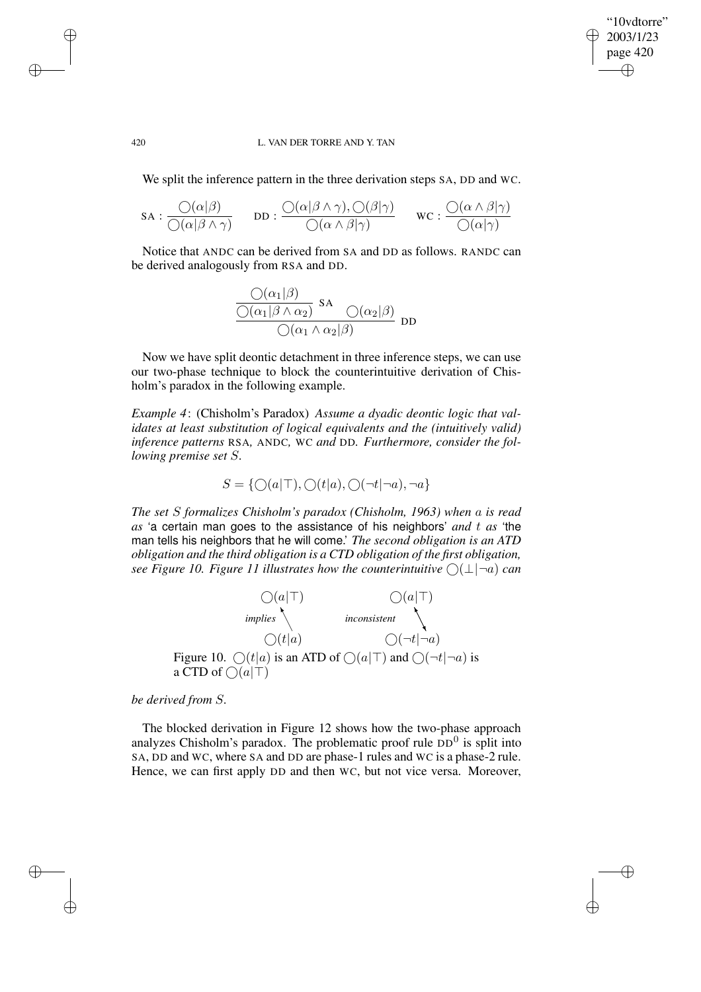"10vdtorre" 2003/1/23 page 420 ✐ ✐

✐

✐

### 420 L. VAN DER TORRE AND Y. TAN

We split the inference pattern in the three derivation steps SA, DD and WC.

$$
\text{SA}: \frac{\bigcirc(\alpha|\beta)}{\bigcirc(\alpha|\beta \land \gamma)} \qquad \text{DD}: \frac{\bigcirc(\alpha|\beta \land \gamma), \bigcirc(\beta|\gamma)}{\bigcirc(\alpha \land \beta|\gamma)} \qquad \text{WC}: \frac{\bigcirc(\alpha \land \beta|\gamma)}{\bigcirc(\alpha|\gamma)}
$$

Notice that ANDC can be derived from SA and DD as follows. RANDC can be derived analogously from RSA and DD.

$$
\frac{\mathcal{O}(\alpha_1|\beta)}{\mathcal{O}(\alpha_1|\beta \wedge \alpha_2)} \text{SA} \frac{\mathcal{O}(\alpha_2|\beta)}{\mathcal{O}(\alpha_1 \wedge \alpha_2|\beta)} \text{DD}
$$

Now we have split deontic detachment in three inference steps, we can use our two-phase technique to block the counterintuitive derivation of Chisholm's paradox in the following example.

*Example 4*: (Chisholm's Paradox) *Assume a dyadic deontic logic that validates at least substitution of logical equivalents and the (intuitively valid) inference patterns* RSA*,* ANDC*,* WC *and* DD*. Furthermore, consider the following premise set* S*.*

$$
S = \{ \bigcirc (a|\top), \bigcirc (t|a), \bigcirc (\neg t|\neg a), \neg a \}
$$

*The set* S *formalizes Chisholm's paradox (Chisholm, 1963) when* a *is read as* 'a certain man goes to the assistance of his neighbors' *and* t *as* 'the man tells his neighbors that he will come.' *The second obligation is an ATD obligation and the third obligation is a CTD obligation of the first obligation, see* Figure 10. Figure 11 illustrates how the counterintuitive  $\bigcap (\perp | \neg a)$  can



*be derived from* S*.*

 $\rightarrow$ 

 $\rightarrow$ 

✐

✐

The blocked derivation in Figure 12 shows how the two-phase approach analyzes Chisholm's paradox. The problematic proof rule  $DD<sup>0</sup>$  is split into SA, DD and WC, where SA and DD are phase-1 rules and WC is a phase-2 rule. Hence, we can first apply DD and then WC, but not vice versa. Moreover,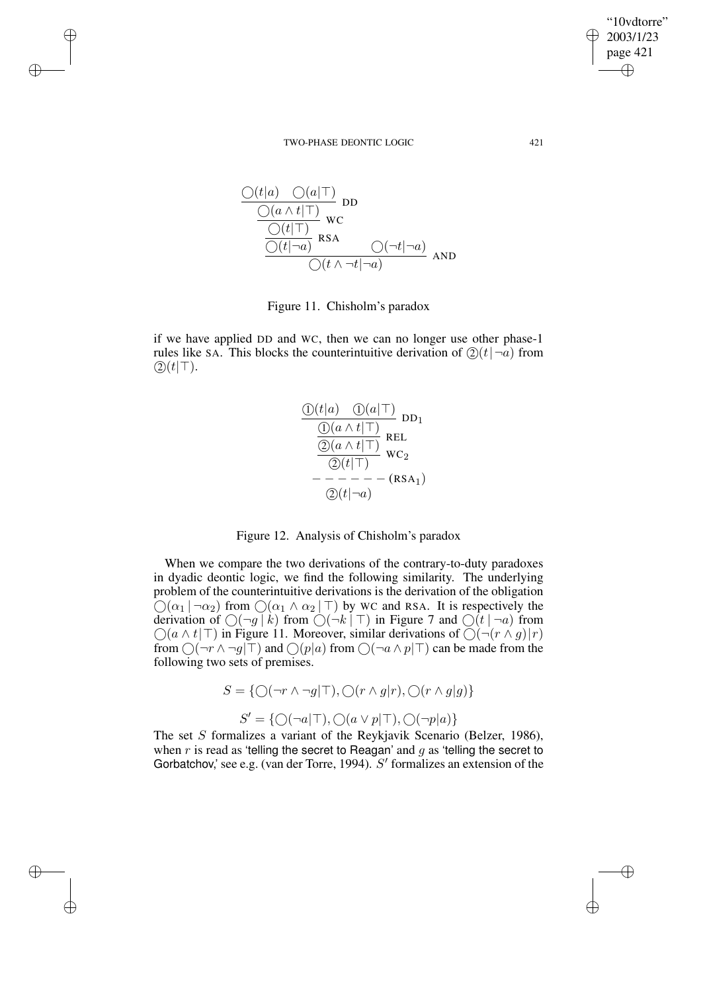$\rightarrow$ 

 $\rightarrow$ 

✐

✐

$$
\frac{\frac{O(t|a) O(a|\top)}{O(a \land t|\top)}}{\frac{O(t|\top)}{O(t|\neg a)} \text{ RS}} \text{wc}
$$
\n
$$
\frac{\frac{O(t|\top)}{O(t|\neg a)} \text{ RSA}}{\frac{O(t \land \neg t|\neg a)}{O(t \land \neg t|\neg a)}} \text{AND}
$$

Figure 11. Chisholm's paradox

if we have applied DD and WC, then we can no longer use other phase-1 rules like SA. This blocks the counterintuitive derivation of  $(2)(t|\neg a)$  from  $(2)(t|\top)$ .

$$
\frac{\frac{\mathbb{O}(t|a) \quad \mathbb{O}(a|\top)}{\mathbb{O}(a \land t|\top)} \text{DD}_1}{\frac{\mathbb{O}(a \land t|\top)}{\mathbb{O}(a \land t|\top)} \text{REL}}\n\frac{\mathbb{E}L}{\mathbb{O}(t|\top)}\n\frac{\mathbb{E}L}{\mathbb{O}(t|\top)}\n-\frac{\mathbb{E}L}{\mathbb{O}(t|\neg a)}
$$

Figure 12. Analysis of Chisholm's paradox

When we compare the two derivations of the contrary-to-duty paradoxes in dyadic deontic logic, we find the following similarity. The underlying problem of the counterintuitive derivations is the derivation of the obligation  $\bigcirc$ ( $\alpha_1$  |  $\neg \alpha_2$ ) from  $\bigcirc$ ( $\alpha_1 \wedge \alpha_2$  |  $\top$ ) by WC and RSA. It is respectively the derivation of  $\bigcirc(\neg g \mid k)$  from  $\bigcirc(\neg k \mid \top)$  in Figure 7 and  $\bigcirc(t \mid \neg a)$  from  $\bigcirc$ ( $a \wedge t$ |T) in Figure 11. Moreover, similar derivations of  $\bigcirc$ ( $\neg$ ( $r \wedge g$ )|r) from  $\bigcirc (\neg r \wedge \neg g | \top)$  and  $\bigcirc (p | a)$  from  $\bigcirc (\neg a \wedge p | \top)$  can be made from the following two sets of premises.

$$
S = \{ \bigcirc (\neg r \land \neg g | \top), \bigcirc (r \land g | r), \bigcirc (r \land g | g) \}
$$

$$
S' = \{ \bigcirc (\neg a | \top), \bigcirc (a \lor p | \top), \bigcirc (\neg p | a) \}
$$

The set S formalizes a variant of the Reykjavik Scenario (Belzer, 1986), when r is read as 'telling the secret to Reagan' and  $g$  as 'telling the secret to Gorbatchov,' see e.g. (van der Torre, 1994).  $S'$  formalizes an extension of the

"10vdtorre" 2003/1/23 page 421

✐

✐

✐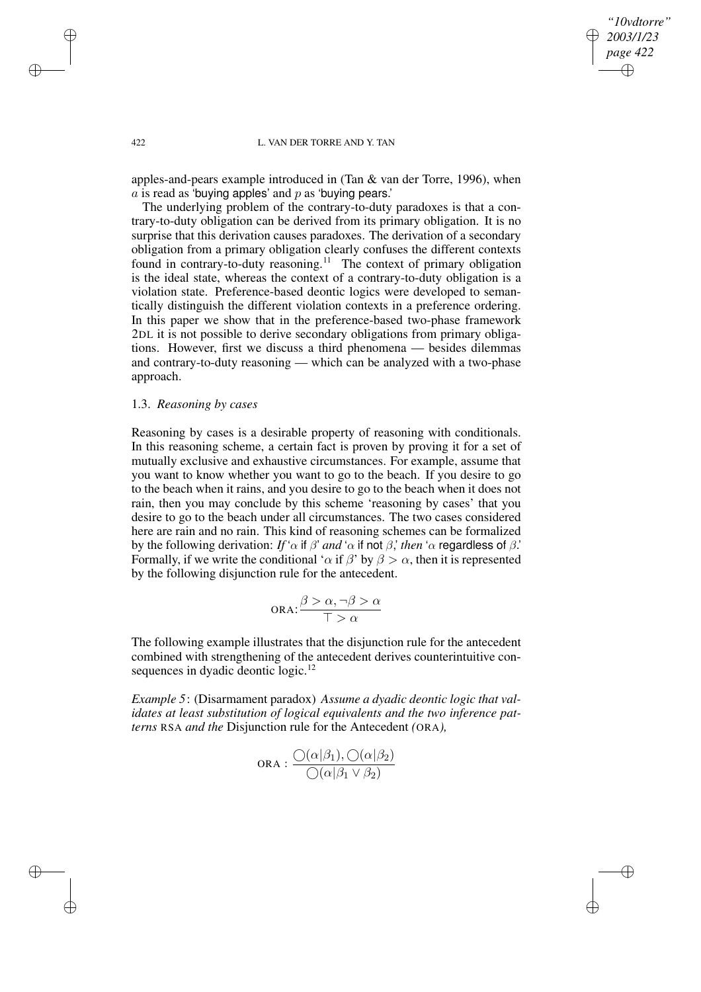*"10vdtorre" 2003/1/23 page 422* ✐ ✐

✐

✐

### 422 L. VAN DER TORRE AND Y. TAN

apples-and-pears example introduced in (Tan & van der Torre, 1996), when  $\overline{a}$  is read as 'buying apples' and  $\overline{p}$  as 'buying pears.'

The underlying problem of the contrary-to-duty paradoxes is that a contrary-to-duty obligation can be derived from its primary obligation. It is no surprise that this derivation causes paradoxes. The derivation of a secondary obligation from a primary obligation clearly confuses the different contexts found in contrary-to-duty reasoning.<sup>11</sup> The context of primary obligation is the ideal state, whereas the context of a contrary-to-duty obligation is a violation state. Preference-based deontic logics were developed to semantically distinguish the different violation contexts in a preference ordering. In this paper we show that in the preference-based two-phase framework 2DL it is not possible to derive secondary obligations from primary obligations. However, first we discuss a third phenomena — besides dilemmas and contrary-to-duty reasoning — which can be analyzed with a two-phase approach.

# 1.3. *Reasoning by cases*

Reasoning by cases is a desirable property of reasoning with conditionals. In this reasoning scheme, a certain fact is proven by proving it for a set of mutually exclusive and exhaustive circumstances. For example, assume that you want to know whether you want to go to the beach. If you desire to go to the beach when it rains, and you desire to go to the beach when it does not rain, then you may conclude by this scheme 'reasoning by cases' that you desire to go to the beach under all circumstances. The two cases considered here are rain and no rain. This kind of reasoning schemes can be formalized by the following derivation: *If* ' $\alpha$  if  $\beta$ ' *and* ' $\alpha$  if not  $\beta$ ,' *then* ' $\alpha$  regardless of  $\beta$ .' Formally, if we write the conditional ' $\alpha$  if  $\beta$ ' by  $\beta > \alpha$ , then it is represented by the following disjunction rule for the antecedent.

$$
\text{ORA:} \frac{\beta > \alpha, \neg \beta > \alpha}{\top > \alpha}
$$

The following example illustrates that the disjunction rule for the antecedent combined with strengthening of the antecedent derives counterintuitive consequences in dyadic deontic logic.<sup>12</sup>

*Example 5*: (Disarmament paradox) *Assume a dyadic deontic logic that validates at least substitution of logical equivalents and the two inference patterns* RSA *and the* Disjunction rule for the Antecedent *(*ORA*),*

$$
\text{ORA}: \frac{\bigcirc(\alpha|\beta_1), \bigcirc(\alpha|\beta_2)}{\bigcirc(\alpha|\beta_1 \vee \beta_2)}
$$

 $\rightarrow$ 

 $\rightarrow$ 

✐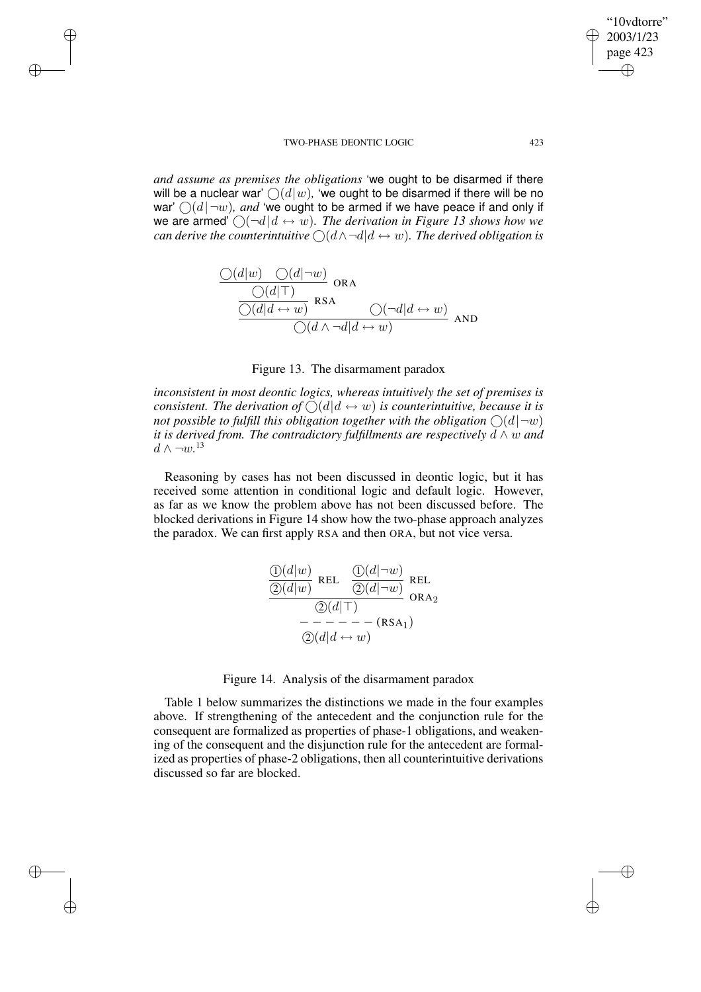$\rightarrow$ 

 $\rightarrow$ 

✐

✐

*and assume as premises the obligations* 'we ought to be disarmed if there will be a nuclear war'  $\bigcirc$  (d|w), 'we ought to be disarmed if there will be no war'  $\bigcirc$  (d| $\neg$ w), *and* 'we ought to be armed if we have peace if and only if we are armed'  $\bigcap \left(\neg d \middle| d \leftrightarrow w\right)$ . *The derivation in Figure 13 shows how we can derive the counterintuitive*  $\bigcirc$   $(d \wedge \neg d | d \leftrightarrow w)$ *. The derived obligation is* 

$$
\frac{\bigcirc(d|w) \quad \bigcirc(d|\neg w)}{\bigcirc(d|d \leftrightarrow w)} \text{ or a}
$$
\n
$$
\frac{\bigcirc(d|\top)}{\bigcirc(d|d \leftrightarrow w)} \text{ RSA} \qquad \bigcirc(\neg d|d \leftrightarrow w)} \text{ and }
$$
\n
$$
\bigcirc(d \land \neg d|d \leftrightarrow w) \qquad \text{and}
$$

## Figure 13. The disarmament paradox

*inconsistent in most deontic logics, whereas intuitively the set of premises is consistent. The derivation of*  $\bigcirc$   $(d|d \leftrightarrow w)$  *is counterintuitive, because it is not* possible to fulfill this obligation together with the obligation  $\bigcap (d | \neg w)$ *it is derived from. The contradictory fulfillments are respectively* d ∧ w *and*  $d \wedge ∎w$ <sup>13</sup>

Reasoning by cases has not been discussed in deontic logic, but it has received some attention in conditional logic and default logic. However, as far as we know the problem above has not been discussed before. The blocked derivations in Figure 14 show how the two-phase approach analyzes the paradox. We can first apply RSA and then ORA, but not vice versa.

$$
\frac{\textcircled{1}(d|w)}{\textcircled{2}(d|w)} \text{REL} \quad \frac{\textcircled{1}(d|\neg w)}{\textcircled{2}(d|\neg w)} \text{REL} \quad \textcircled{1}
$$
\n
$$
\overline{\textcircled{2}(d|\top)} \qquad \text{ORA}_2
$$
\n
$$
\overline{\textcircled{2}(d|\bot)} \qquad \overline{\textcircled{2}(d|d\leftrightarrow w)}
$$

Figure 14. Analysis of the disarmament paradox

Table 1 below summarizes the distinctions we made in the four examples above. If strengthening of the antecedent and the conjunction rule for the consequent are formalized as properties of phase-1 obligations, and weakening of the consequent and the disjunction rule for the antecedent are formalized as properties of phase-2 obligations, then all counterintuitive derivations discussed so far are blocked.

"10vdtorre" 2003/1/23 page 423

✐

✐

✐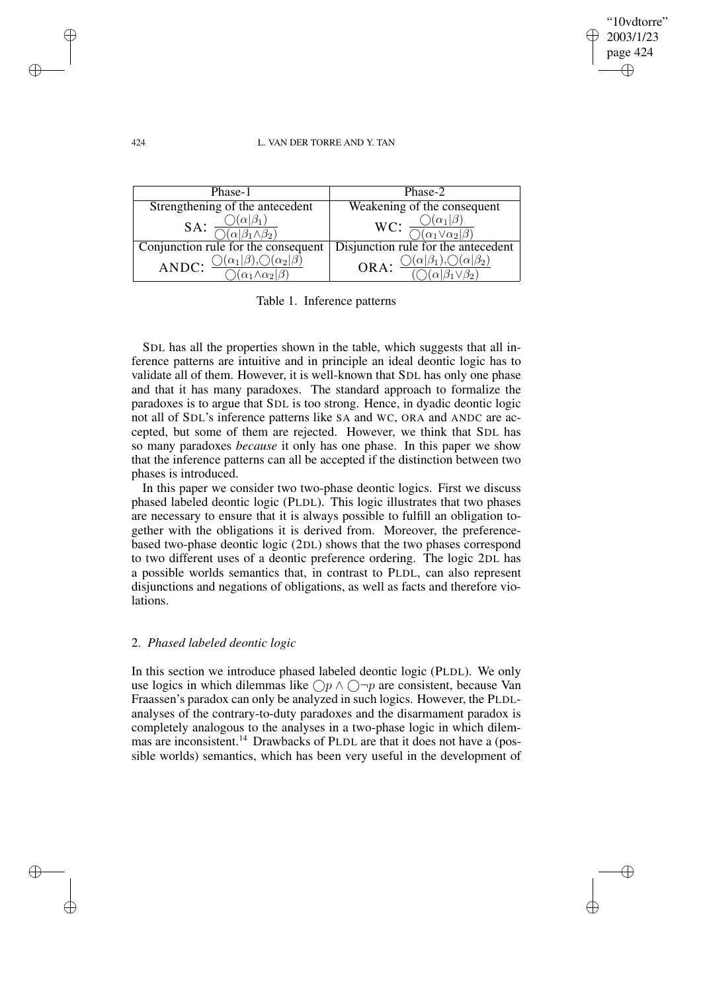✐

✐

## 424 L. VAN DER TORRE AND Y. TAN

| Phase-1                             | Phase-2                                                                                 |  |  |
|-------------------------------------|-----------------------------------------------------------------------------------------|--|--|
| Strengthening of the antecedent     | Weakening of the consequent                                                             |  |  |
| SA:                                 | WC: $\frac{\bigcirc}{\bigcirc} \frac{(\alpha_1 \beta)}{(\alpha_1 \vee \alpha_2 \beta)}$ |  |  |
| Conjunction rule for the consequent | Disjunction rule for the antecedent                                                     |  |  |
| $(\alpha_2 \beta)$<br>ANDC:         | ORA:                                                                                    |  |  |

Table 1. Inference patterns

SDL has all the properties shown in the table, which suggests that all inference patterns are intuitive and in principle an ideal deontic logic has to validate all of them. However, it is well-known that SDL has only one phase and that it has many paradoxes. The standard approach to formalize the paradoxes is to argue that SDL is too strong. Hence, in dyadic deontic logic not all of SDL's inference patterns like SA and WC, ORA and ANDC are accepted, but some of them are rejected. However, we think that SDL has so many paradoxes *because* it only has one phase. In this paper we show that the inference patterns can all be accepted if the distinction between two phases is introduced.

In this paper we consider two two-phase deontic logics. First we discuss phased labeled deontic logic (PLDL). This logic illustrates that two phases are necessary to ensure that it is always possible to fulfill an obligation together with the obligations it is derived from. Moreover, the preferencebased two-phase deontic logic (2DL) shows that the two phases correspond to two different uses of a deontic preference ordering. The logic 2DL has a possible worlds semantics that, in contrast to PLDL, can also represent disjunctions and negations of obligations, as well as facts and therefore violations.

## 2. *Phased labeled deontic logic*

In this section we introduce phased labeled deontic logic (PLDL). We only use logics in which dilemmas like  $\bigcap p \land \bigcap \neg p$  are consistent, because Van Fraassen's paradox can only be analyzed in such logics. However, the PLDLanalyses of the contrary-to-duty paradoxes and the disarmament paradox is completely analogous to the analyses in a two-phase logic in which dilemmas are inconsistent.<sup>14</sup> Drawbacks of PLDL are that it does not have a (possible worlds) semantics, which has been very useful in the development of

 $\rightarrow$ 

 $\rightarrow$ 

✐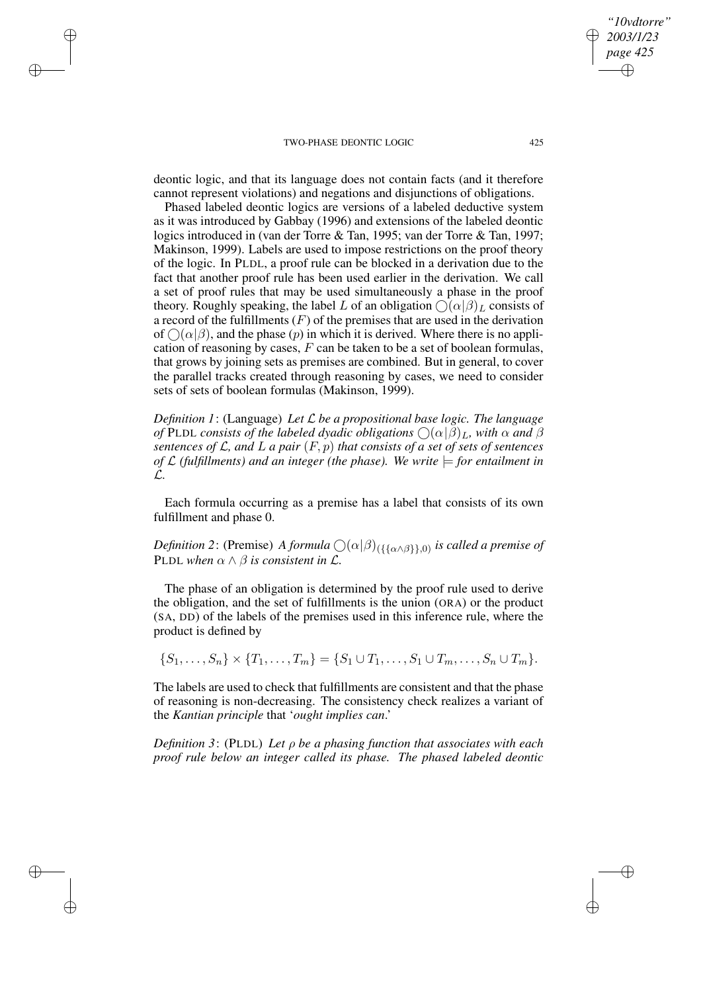$\rightarrow$ 

 $\rightarrow$ 

✐

✐

deontic logic, and that its language does not contain facts (and it therefore cannot represent violations) and negations and disjunctions of obligations.

Phased labeled deontic logics are versions of a labeled deductive system as it was introduced by Gabbay (1996) and extensions of the labeled deontic logics introduced in (van der Torre & Tan, 1995; van der Torre & Tan, 1997; Makinson, 1999). Labels are used to impose restrictions on the proof theory of the logic. In PLDL, a proof rule can be blocked in a derivation due to the fact that another proof rule has been used earlier in the derivation. We call a set of proof rules that may be used simultaneously a phase in the proof theory. Roughly speaking, the label L of an obligation  $\bigcap (\alpha|\beta)_L$  consists of a record of the fulfillments  $(F)$  of the premises that are used in the derivation of  $\bigcap (\alpha | \beta)$ , and the phase  $(p)$  in which it is derived. Where there is no application of reasoning by cases,  $F$  can be taken to be a set of boolean formulas, that grows by joining sets as premises are combined. But in general, to cover the parallel tracks created through reasoning by cases, we need to consider sets of sets of boolean formulas (Makinson, 1999).

*Definition 1*: (Language) *Let* L *be a propositional base logic. The language of* PLDL *consists of the labeled dyadic obligations*  $\bigcap (\alpha | \beta)$ <sub>L</sub>, *with*  $\alpha$  *and*  $\beta$ *sentences of* L*, and* L *a pair* (F, p) *that consists of a set of sets of sentences of*  $\mathcal{L}$  (fulfillments) and an integer (the phase). We write  $\models$  for entailment in L*.*

Each formula occurring as a premise has a label that consists of its own fulfillment and phase 0.

 $D$ efinition 2: (Premise) *A formula*  $\bigcirc$ ( $\alpha$ | $\beta$ )<sub>({{ $\alpha \wedge \beta$ }},0) *is called a premise of*</sub> PLDL when  $\alpha \wedge \beta$  *is consistent in L.* 

The phase of an obligation is determined by the proof rule used to derive the obligation, and the set of fulfillments is the union (ORA) or the product (SA, DD) of the labels of the premises used in this inference rule, where the product is defined by

 $\{S_1, \ldots, S_n\} \times \{T_1, \ldots, T_m\} = \{S_1 \cup T_1, \ldots, S_1 \cup T_m, \ldots, S_n \cup T_m\}.$ 

The labels are used to check that fulfillments are consistent and that the phase of reasoning is non-decreasing. The consistency check realizes a variant of the *Kantian principle* that '*ought implies can*.'

*Definition 3*: (PLDL) *Let* ρ *be a phasing function that associates with each proof rule below an integer called its phase. The phased labeled deontic*

*"10vdtorre" 2003/1/23 page 425*

✐

✐

✐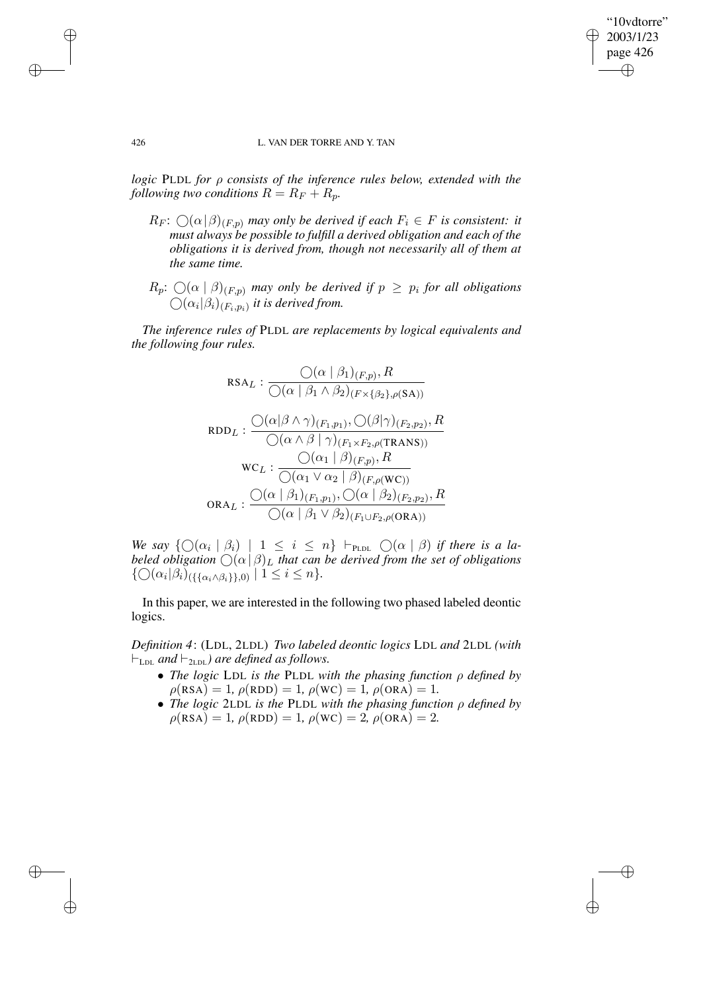✐

✐

### 426 L. VAN DER TORRE AND Y. TAN

*logic* PLDL *for* ρ *consists of the inference rules below, extended with the following two conditions*  $R = R_F + R_p$ *.* 

- $R_F: \bigcirc (\alpha | \beta)_{(F,p)}$  *may only be derived if each*  $F_i \in F$  *is consistent: it must always be possible to fulfill a derived obligation and each of the obligations it is derived from, though not necessarily all of them at the same time.*
- $R_p$ :  $\bigcirc$   $(\alpha \mid \beta)_{(F,p)}$  may only be derived if  $p \geq p_i$  for all obligations  $\bigcirc$   $(\alpha_i|\beta_i)_{(F_i,p_i)}$  *it is derived from.*

*The inference rules of* PLDL *are replacements by logical equivalents and the following four rules.*

$$
RSA_L: \frac{\bigcirc(\alpha \mid \beta_1)_{(F,p)}, R}{\bigcirc(\alpha \mid \beta_1 \land \beta_2)_{(F \times \{\beta_2\}, \rho(SA))}}
$$

$$
RDD_L: \frac{\bigcirc(\alpha \mid \beta \land \gamma)_{(F_1, p_1)}, \bigcirc(\beta \mid \gamma)_{(F_2, p_2)}, R}{\bigcirc(\alpha \land \beta \mid \gamma)_{(F_1 \times F_2, \rho(TRANS))}}
$$

$$
WC_L: \frac{\bigcirc(\alpha_1 \mid \beta)_{(F,p)}, R}{\bigcirc(\alpha_1 \lor \alpha_2 \mid \beta)_{(F,\rho(WC))}}
$$

$$
ORA_L: \frac{\bigcirc(\alpha \mid \beta_1)_{(F_1, p_1)}, \bigcirc(\alpha \mid \beta_2)_{(F_2, p_2)}, R}{\bigcirc(\alpha \mid \beta_1 \lor \beta_2)_{(F_1 \cup F_2, \rho(QRA))}}
$$

We say  $\{\bigcirc$   $(\alpha_i | \beta_i) | 1 \le i \le n\}$   $\vdash_{\text{PLDL}} \bigcirc$   $(\alpha | \beta)$  *if there is a labeled obligation*  $\bigcirc$   $(\alpha | \beta)$ <sub>L</sub> that can be derived from the set of obligations  $\{\bigcirc (\alpha_i|\beta_i)_{(\{\{\alpha_i \wedge \beta_i\}\},0)} \mid 1 \leq i \leq n\}.$ 

In this paper, we are interested in the following two phased labeled deontic logics.

*Definition 4*: (LDL, 2LDL) *Two labeled deontic logics* LDL *and* 2LDL *(with*  $\vdash$ <sub>LDL</sub> and  $\vdash$ <sub>2LDL</sub>) are defined as follows.

- *The logic* LDL *is the* PLDL *with the phasing function* ρ *defined by*  $\rho(\text{RSA}) = 1$ ,  $\rho(\text{RDD}) = 1$ ,  $\rho(\text{WC}) = 1$ ,  $\rho(\text{ORA}) = 1$ .
- *The logic* 2LDL *is the* PLDL *with the phasing function* ρ *defined by*  $\rho(\text{RSA}) = 1, \rho(\text{RDD}) = 1, \rho(\text{WC}) = 2, \rho(\text{ORA}) = 2.$

 $\rightarrow$ 

 $\rightarrow$ 

✐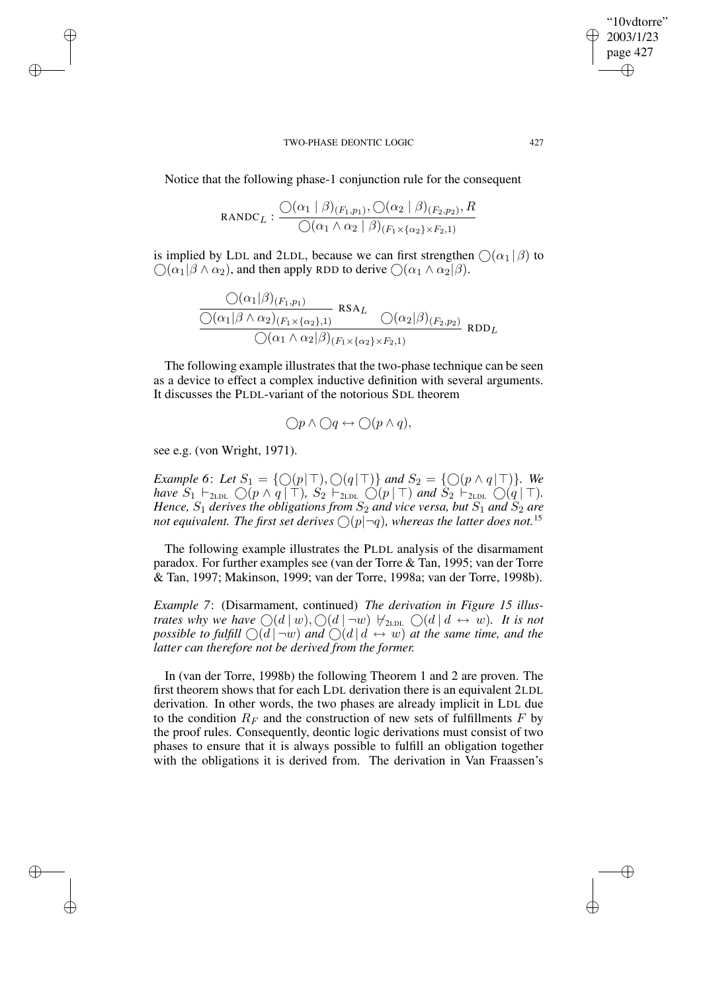Notice that the following phase-1 conjunction rule for the consequent

$$
RANDC_L: \frac{\bigcirc(\alpha_1 \mid \beta)_{(F_1,p_1)}, \bigcirc(\alpha_2 \mid \beta)_{(F_2,p_2)}, R}{\bigcirc(\alpha_1 \land \alpha_2 \mid \beta)_{(F_1 \times \{\alpha_2\} \times F_2,1)}}
$$

is implied by LDL and 2LDL, because we can first strengthen  $\bigcap (\alpha_1 | \beta)$  to  $\bigcap (\alpha_1 | \beta \wedge \alpha_2)$ , and then apply RDD to derive  $\bigcap (\alpha_1 \wedge \alpha_2 | \beta)$ .

$$
\frac{\mathcal{O}(\alpha_1|\beta)_{(F_1,p_1)}}{\mathcal{O}(\alpha_1|\beta \wedge \alpha_2)_{(F_1 \times {\{\alpha_2\}},1)}} \text{ RSA}_L \frac{\mathcal{O}(\alpha_2|\beta)_{(F_2,p_2)}}{\mathcal{O}(\alpha_1 \wedge \alpha_2|\beta)_{(F_1 \times {\{\alpha_2\}} \times F_2,1)}} \text{RDD}_L
$$

The following example illustrates that the two-phase technique can be seen as a device to effect a complex inductive definition with several arguments. It discusses the PLDL-variant of the notorious SDL theorem

$$
\bigcirc p \land \bigcirc q \leftrightarrow \bigcirc (p \land q),
$$

see e.g. (von Wright, 1971).

 $\rightarrow$ 

 $\rightarrow$ 

✐

✐

*Example* 6: Let  $S_1 = \{ \bigcirc (p | \top), \bigcirc (q | \top) \}$  *and*  $S_2 = \{ \bigcirc (p \land q | \top) \}$ *. We have*  $S_1 \vdash_{2LD} \bigcirc (p \wedge q \mid \top)$ *,*  $S_2 \vdash_{2LD} \bigcirc (p \mid \top)$  and  $S_2 \vdash_{2LD} \bigcirc (q \mid \top)$ *. Hence,*  $S_1$  *derives the obligations from*  $S_2$  *and vice versa, but*  $S_1$  *and*  $S_2$  *are not* equivalent. The first set derives  $\bigcirc$   $(p|\neg q)$ , whereas the latter does not.<sup>15</sup>

The following example illustrates the PLDL analysis of the disarmament paradox. For further examples see (van der Torre & Tan, 1995; van der Torre & Tan, 1997; Makinson, 1999; van der Torre, 1998a; van der Torre, 1998b).

*Example 7*: (Disarmament, continued) *The derivation in Figure 15 illustrates* why we have  $\bigcirc (d \mid w), \bigcirc (d \mid \neg w) \nleftrightarrow_{2LDL} \bigcirc (d \mid d \leftrightarrow w)$ . It is not *possible to fulfill*  $\bigcirc$   $(d \mid \neg w)$  *and*  $\bigcirc$   $(d \mid d \leftrightarrow w)$  *at the same time, and the latter can therefore not be derived from the former.*

In (van der Torre, 1998b) the following Theorem 1 and 2 are proven. The first theorem shows that for each LDL derivation there is an equivalent 2LDL derivation. In other words, the two phases are already implicit in LDL due to the condition  $R_F$  and the construction of new sets of fulfillments F by the proof rules. Consequently, deontic logic derivations must consist of two phases to ensure that it is always possible to fulfill an obligation together with the obligations it is derived from. The derivation in Van Fraassen's

"10vdtorre" 2003/1/23 page 427

✐

✐

✐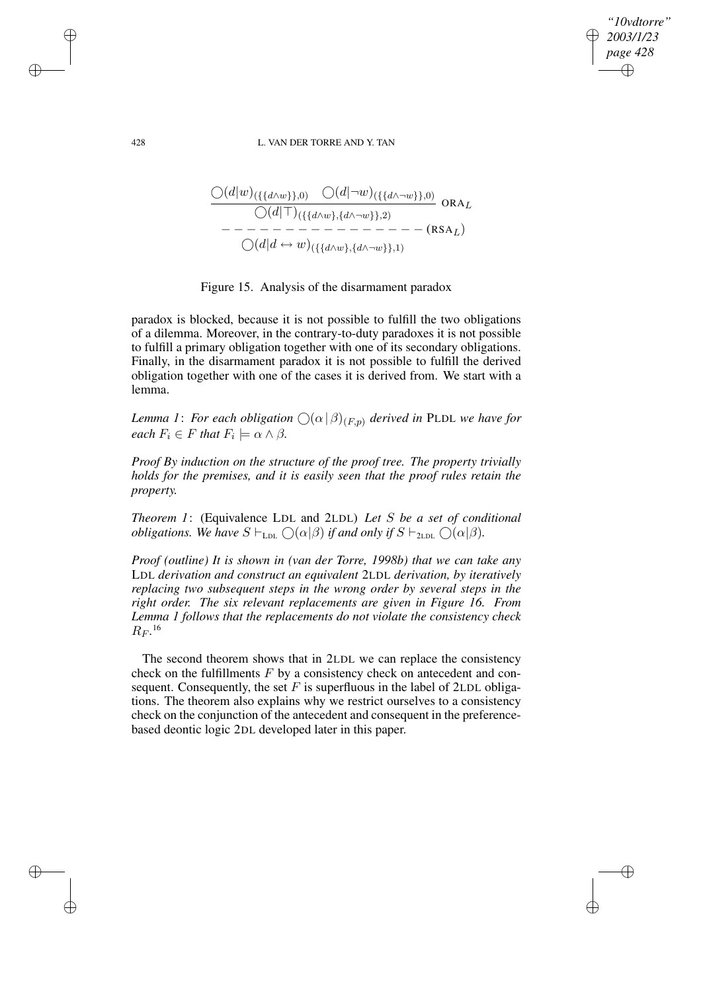### 428 L. VAN DER TORRE AND Y. TAN

*"10vdtorre" 2003/1/23 page 428*

✐

✐

✐

✐

$$
\frac{\bigcirc(d|w)_{(\{\{d\w\},0\}}\bigcirc(d|\neg w)_{(\{\{d\wedge\neg w\}\},0)}}{\bigcirc(d|\top)_{(\{\{d\w\},\{d\wedge\neg w\}\},2)}} \text{ ORA}_{L}
$$
\n
$$
-\frac{\neg(\neg(\neg(\neg w))_{(\{\{d\w\},\{d\w\}\},2)}}{\bigcirc(d|d\leftrightarrow w)_{(\{\{d\w\},\{d\w\}\},1)}} - (\text{RSA}_{L})}
$$

## Figure 15. Analysis of the disarmament paradox

paradox is blocked, because it is not possible to fulfill the two obligations of a dilemma. Moreover, in the contrary-to-duty paradoxes it is not possible to fulfill a primary obligation together with one of its secondary obligations. Finally, in the disarmament paradox it is not possible to fulfill the derived obligation together with one of the cases it is derived from. We start with a lemma.

*Lemma 1: For each obligation*  $\bigcirc$   $(\alpha|\beta)_{(F,p)}$  *derived in* PLDL *we have for each*  $F_i \in F$  *that*  $F_i \models \alpha \land \beta$ *.* 

*Proof By induction on the structure of the proof tree. The property trivially holds for the premises, and it is easily seen that the proof rules retain the property.*

*Theorem 1*: (Equivalence LDL and 2LDL) *Let* S *be a set of conditional obligations.* We have  $S \vdash_{\text{LDL}} \bigcirc (\alpha | \beta)$  *if and only if*  $S \vdash_{\text{2LDL}} \bigcirc (\alpha | \beta)$ *.* 

*Proof (outline) It is shown in (van der Torre, 1998b) that we can take any* LDL *derivation and construct an equivalent* 2LDL *derivation, by iteratively replacing two subsequent steps in the wrong order by several steps in the right order. The six relevant replacements are given in Figure 16. From Lemma 1 follows that the replacements do not violate the consistency check*  $R_F$ .<sup>16</sup>

The second theorem shows that in 2LDL we can replace the consistency check on the fulfillments  $F$  by a consistency check on antecedent and consequent. Consequently, the set  $F$  is superfluous in the label of 2LDL obligations. The theorem also explains why we restrict ourselves to a consistency check on the conjunction of the antecedent and consequent in the preferencebased deontic logic 2DL developed later in this paper.

 $\rightarrow$ 

 $\rightarrow$ 

✐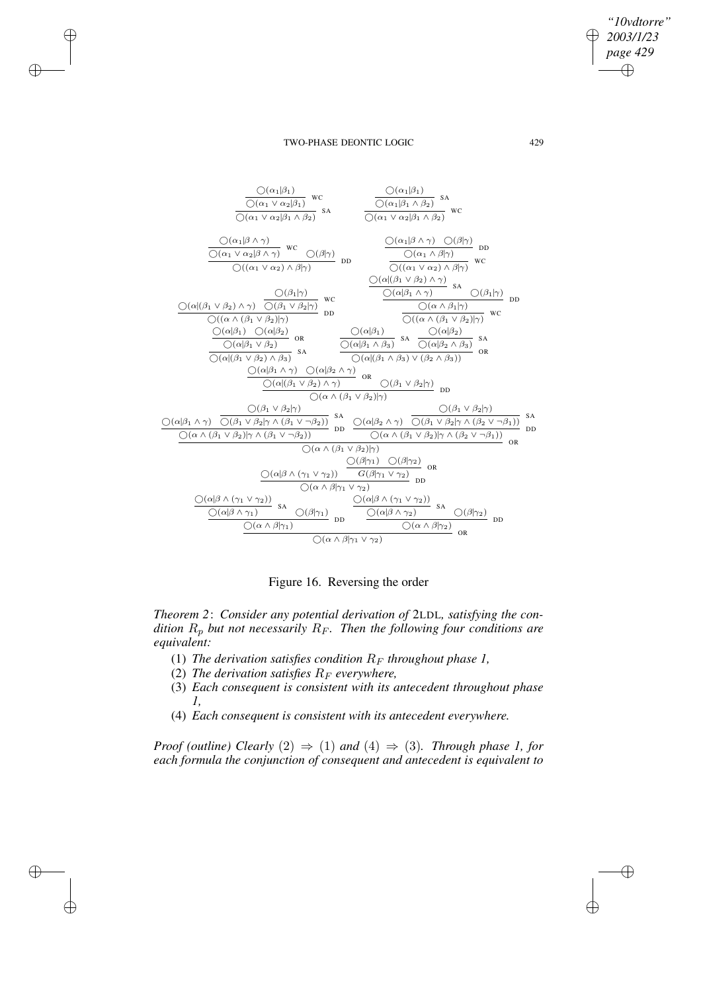*"10vdtorre" 2003/1/23 page 429* ✐ ✐

✐

✐

### TWO-PHASE DEONTIC LOGIC 429

 $\rightarrow$ 

 $\rightarrow$ 

✐

✐



Figure 16. Reversing the order

*Theorem 2*: *Consider any potential derivation of* 2LDL*, satisfying the condition*  $R_p$  *but not necessarily*  $R_F$ *. Then the following four conditions are equivalent:*

- (1) *The derivation satisfies condition*  $R_F$  *throughout phase* 1,
- (2) *The derivation satisfies*  $R_F$  *everywhere,*
- (3) *Each consequent is consistent with its antecedent throughout phase 1,*
- (4) *Each consequent is consistent with its antecedent everywhere.*

*Proof* (*outline*) *Clearly* (2)  $\Rightarrow$  (1) *and* (4)  $\Rightarrow$  (3)*. Through phase 1, for each formula the conjunction of consequent and antecedent is equivalent to*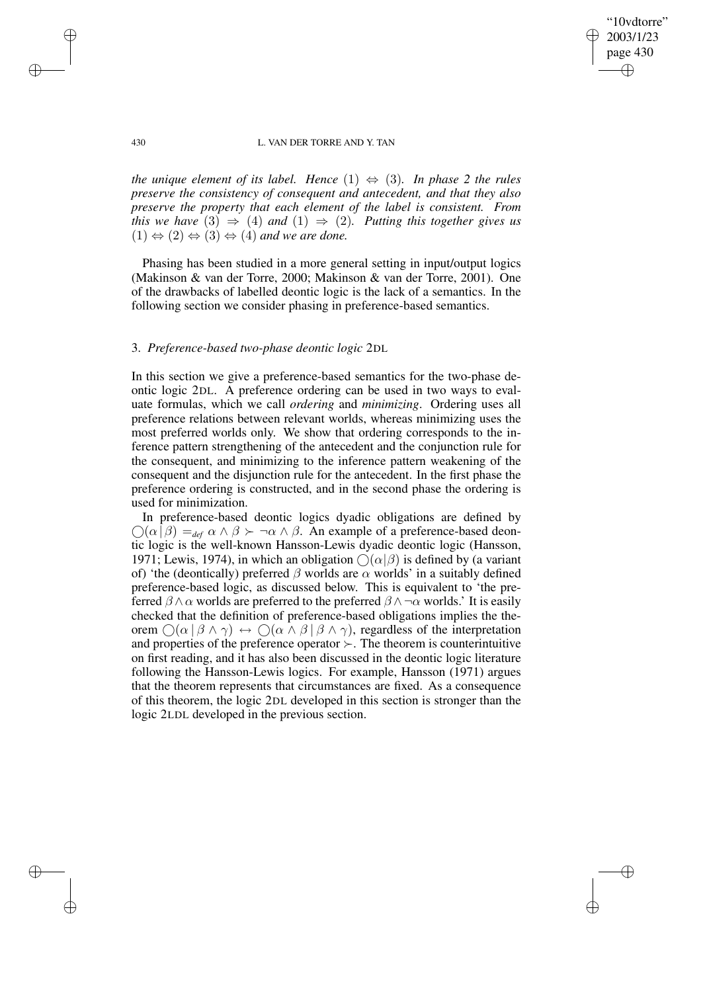"10vdtorre" 2003/1/23 page 430 ✐ ✐

✐

✐

### 430 L. VAN DER TORRE AND Y. TAN

*the unique element of its label. Hence*  $(1) \Leftrightarrow (3)$ *. In phase* 2 *the rules preserve the consistency of consequent and antecedent, and that they also preserve the property that each element of the label is consistent. From this* we have  $(3) \Rightarrow (4)$  and  $(1) \Rightarrow (2)$ . Putting this together gives us  $(1) \Leftrightarrow (2) \Leftrightarrow (3) \Leftrightarrow (4)$  *and we are done.* 

Phasing has been studied in a more general setting in input/output logics (Makinson & van der Torre, 2000; Makinson & van der Torre, 2001). One of the drawbacks of labelled deontic logic is the lack of a semantics. In the following section we consider phasing in preference-based semantics.

## 3. *Preference-based two-phase deontic logic* 2DL

In this section we give a preference-based semantics for the two-phase deontic logic 2DL. A preference ordering can be used in two ways to evaluate formulas, which we call *ordering* and *minimizing*. Ordering uses all preference relations between relevant worlds, whereas minimizing uses the most preferred worlds only. We show that ordering corresponds to the inference pattern strengthening of the antecedent and the conjunction rule for the consequent, and minimizing to the inference pattern weakening of the consequent and the disjunction rule for the antecedent. In the first phase the preference ordering is constructed, and in the second phase the ordering is used for minimization.

In preference-based deontic logics dyadic obligations are defined by  $\bigcirc$ ( $\alpha$ | $\beta$ ) =  $_{def}$   $\alpha \wedge \beta$  >  $\neg$  $\alpha \wedge \beta$ . An example of a preference-based deontic logic is the well-known Hansson-Lewis dyadic deontic logic (Hansson, 1971; Lewis, 1974), in which an obligation  $\bigcirc(\alpha|\beta)$  is defined by (a variant of) 'the (deontically) preferred  $\beta$  worlds are  $\alpha$  worlds' in a suitably defined preference-based logic, as discussed below. This is equivalent to 'the preferred  $\beta \wedge \alpha$  worlds are preferred to the preferred  $\beta \wedge \neg \alpha$  worlds.' It is easily checked that the definition of preference-based obligations implies the theorem  $\bigcap (\alpha \mid \beta \land \gamma) \leftrightarrow \bigcap (\alpha \land \beta \mid \beta \land \gamma)$ , regardless of the interpretation and properties of the preference operator  $\succ$ . The theorem is counterintuitive on first reading, and it has also been discussed in the deontic logic literature following the Hansson-Lewis logics. For example, Hansson (1971) argues that the theorem represents that circumstances are fixed. As a consequence of this theorem, the logic 2DL developed in this section is stronger than the logic 2LDL developed in the previous section.

 $\rightarrow$ 

 $\rightarrow$ 

✐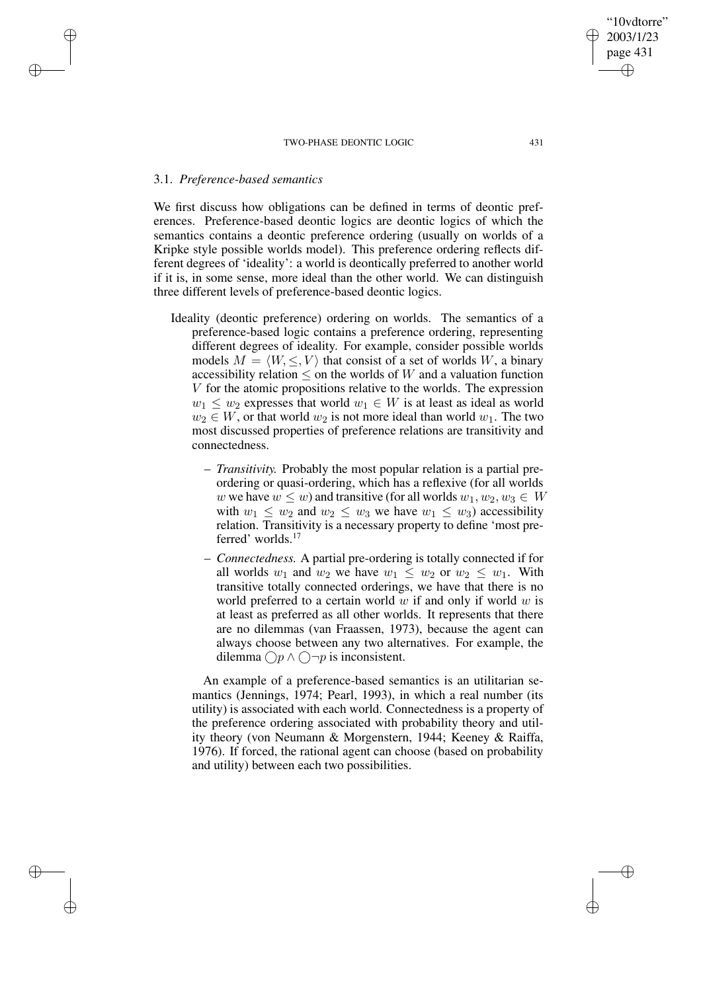## 3.1. *Preference-based semantics*

 $\rightarrow$ 

 $\rightarrow$ 

✐

✐

We first discuss how obligations can be defined in terms of deontic preferences. Preference-based deontic logics are deontic logics of which the semantics contains a deontic preference ordering (usually on worlds of a Kripke style possible worlds model). This preference ordering reflects different degrees of 'ideality': a world is deontically preferred to another world if it is, in some sense, more ideal than the other world. We can distinguish three different levels of preference-based deontic logics.

- Ideality (deontic preference) ordering on worlds. The semantics of a preference-based logic contains a preference ordering, representing different degrees of ideality. For example, consider possible worlds models  $M = \langle W, \leq, V \rangle$  that consist of a set of worlds W, a binary accessibility relation  $\leq$  on the worlds of W and a valuation function V for the atomic propositions relative to the worlds. The expression  $w_1 \leq w_2$  expresses that world  $w_1 \in W$  is at least as ideal as world  $w_2 \in W$ , or that world  $w_2$  is not more ideal than world  $w_1$ . The two most discussed properties of preference relations are transitivity and connectedness.
	- *Transitivity.* Probably the most popular relation is a partial preordering or quasi-ordering, which has a reflexive (for all worlds w we have  $w \leq w$ ) and transitive (for all worlds  $w_1, w_2, w_3 \in W$ with  $w_1 \leq w_2$  and  $w_2 \leq w_3$  we have  $w_1 \leq w_3$ ) accessibility relation. Transitivity is a necessary property to define 'most preferred' worlds.<sup>17</sup>
	- *Connectedness.* A partial pre-ordering is totally connected if for all worlds  $w_1$  and  $w_2$  we have  $w_1 \leq w_2$  or  $w_2 \leq w_1$ . With transitive totally connected orderings, we have that there is no world preferred to a certain world  $w$  if and only if world  $w$  is at least as preferred as all other worlds. It represents that there are no dilemmas (van Fraassen, 1973), because the agent can always choose between any two alternatives. For example, the dilemma  $\bigcap p \wedge \bigcap \neg p$  is inconsistent.

An example of a preference-based semantics is an utilitarian semantics (Jennings, 1974; Pearl, 1993), in which a real number (its utility) is associated with each world. Connectedness is a property of the preference ordering associated with probability theory and utility theory (von Neumann & Morgenstern, 1944; Keeney & Raiffa, 1976). If forced, the rational agent can choose (based on probability and utility) between each two possibilities.

"10vdtorre" 2003/1/23 page 431

✐

✐

✐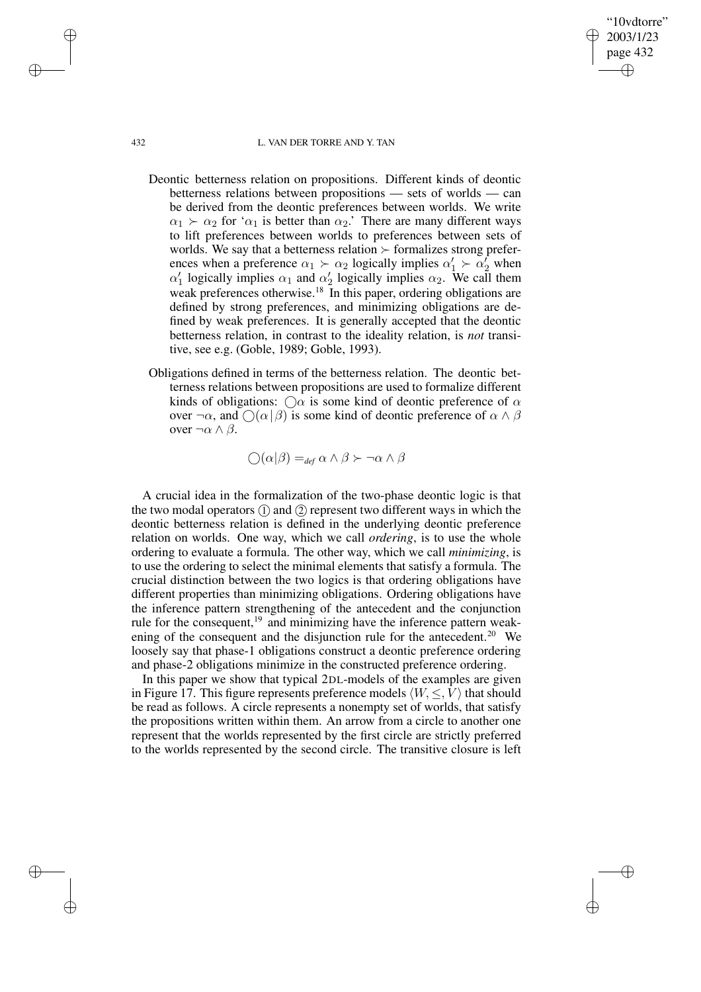### 432 L. VAN DER TORRE AND Y. TAN

"10vdtorre" 2003/1/23 page 432

✐

✐

✐

✐

- Deontic betterness relation on propositions. Different kinds of deontic betterness relations between propositions — sets of worlds — can be derived from the deontic preferences between worlds. We write  $\alpha_1 \succ \alpha_2$  for ' $\alpha_1$  is better than  $\alpha_2$ .' There are many different ways to lift preferences between worlds to preferences between sets of worlds. We say that a betterness relation  $\succ$  formalizes strong preferences when a preference  $\alpha_1 \succ \alpha_2$  logically implies  $\alpha'_1 \succ \alpha'_2$  when  $\alpha'_1$  logically implies  $\alpha_1$  and  $\alpha'_2$  logically implies  $\alpha_2$ . We call them weak preferences otherwise.<sup>18</sup> In this paper, ordering obligations are defined by strong preferences, and minimizing obligations are defined by weak preferences. It is generally accepted that the deontic betterness relation, in contrast to the ideality relation, is *not* transitive, see e.g. (Goble, 1989; Goble, 1993).
- Obligations defined in terms of the betterness relation. The deontic betterness relations between propositions are used to formalize different kinds of obligations:  $\bigcirc \alpha$  is some kind of deontic preference of  $\alpha$ over  $\neg \alpha$ , and  $\bigcirc$  ( $\alpha | \beta$ ) is some kind of deontic preference of  $\alpha \wedge \beta$ over  $\neg \alpha \wedge \beta$ .

 $\bigcap(\alpha|\beta) =_{def} \alpha \wedge \beta \succ \neg \alpha \wedge \beta$ 

A crucial idea in the formalization of the two-phase deontic logic is that the two modal operators  $(1)$  and  $(2)$  represent two different ways in which the deontic betterness relation is defined in the underlying deontic preference relation on worlds. One way, which we call *ordering*, is to use the whole ordering to evaluate a formula. The other way, which we call *minimizing*, is to use the ordering to select the minimal elements that satisfy a formula. The crucial distinction between the two logics is that ordering obligations have different properties than minimizing obligations. Ordering obligations have the inference pattern strengthening of the antecedent and the conjunction rule for the consequent,<sup>19</sup> and minimizing have the inference pattern weakening of the consequent and the disjunction rule for the antecedent.<sup>20</sup> We loosely say that phase-1 obligations construct a deontic preference ordering and phase-2 obligations minimize in the constructed preference ordering.

In this paper we show that typical 2DL-models of the examples are given in Figure 17. This figure represents preference models  $\langle W, \leq, V \rangle$  that should be read as follows. A circle represents a nonempty set of worlds, that satisfy the propositions written within them. An arrow from a circle to another one represent that the worlds represented by the first circle are strictly preferred to the worlds represented by the second circle. The transitive closure is left

 $\rightarrow$ 

 $\rightarrow$ 

✐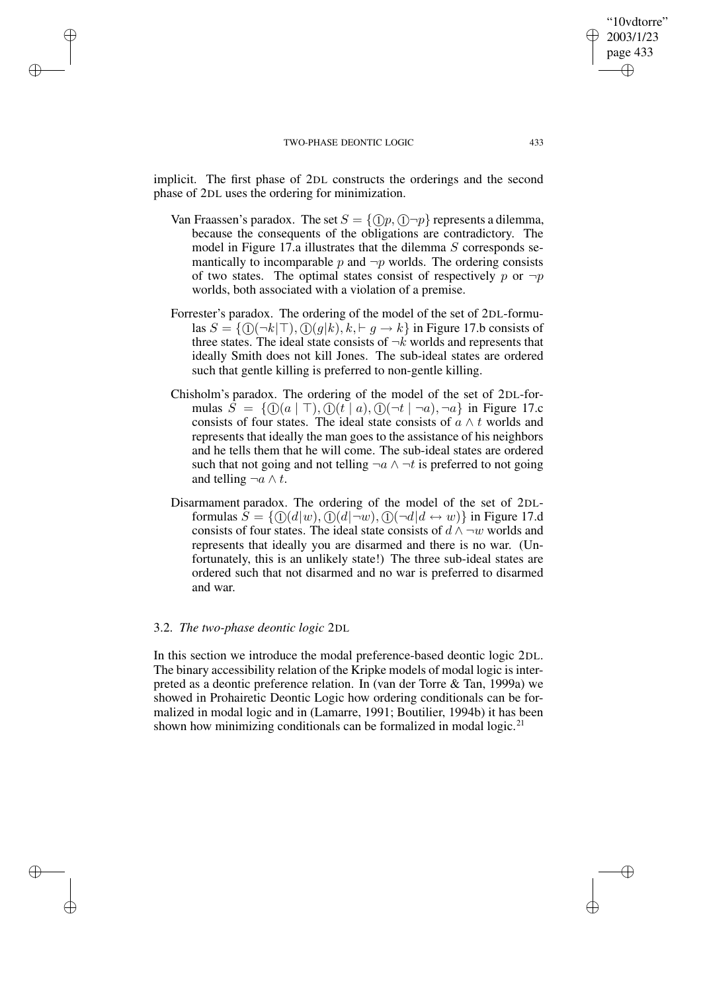$\rightarrow$ 

 $\rightarrow$ 

✐

✐

implicit. The first phase of 2DL constructs the orderings and the second phase of 2DL uses the ordering for minimization.

- Van Fraassen's paradox. The set  $S = \{(\hat{\theta}, \hat{\theta}, \hat{\theta})\}$  represents a dilemma, because the consequents of the obligations are contradictory. The model in Figure 17.a illustrates that the dilemma  $S$  corresponds semantically to incomparable  $p$  and  $\neg p$  worlds. The ordering consists of two states. The optimal states consist of respectively p or  $\neg p$ worlds, both associated with a violation of a premise.
- Forrester's paradox. The ordering of the model of the set of 2DL-formulas  $S = \{ (i)(\neg k | \top), (i)(g|k), k, \vdash g \rightarrow k \}$  in Figure 17.b consists of three states. The ideal state consists of  $\neg k$  worlds and represents that ideally Smith does not kill Jones. The sub-ideal states are ordered such that gentle killing is preferred to non-gentle killing.
- Chisholm's paradox. The ordering of the model of the set of 2DL-formulas  $\overline{S} = \{ (i) (a | \top), (i) (t | a), (i) (\neg t | \neg a), \neg a \}$  in Figure 17.c consists of four states. The ideal state consists of  $\alpha \wedge t$  worlds and represents that ideally the man goes to the assistance of his neighbors and he tells them that he will come. The sub-ideal states are ordered such that not going and not telling  $\neg a \land \neg t$  is preferred to not going and telling  $\neg a \wedge t$ .
- Disarmament paradox. The ordering of the model of the set of 2DLformulas  $S = \{ \mathbb{O}(d|w), \mathbb{O}(d|\neg w), \mathbb{O}(\neg d|d \leftrightarrow w) \}$  in Figure 17.d consists of four states. The ideal state consists of  $d \wedge \neg w$  worlds and represents that ideally you are disarmed and there is no war. (Unfortunately, this is an unlikely state!) The three sub-ideal states are ordered such that not disarmed and no war is preferred to disarmed and war.

## 3.2. *The two-phase deontic logic* 2DL

In this section we introduce the modal preference-based deontic logic 2DL. The binary accessibility relation of the Kripke models of modal logic is interpreted as a deontic preference relation. In (van der Torre & Tan, 1999a) we showed in Prohairetic Deontic Logic how ordering conditionals can be formalized in modal logic and in (Lamarre, 1991; Boutilier, 1994b) it has been shown how minimizing conditionals can be formalized in modal logic. $2<sup>1</sup>$ 

"10vdtorre" 2003/1/23 page 433

✐

✐

✐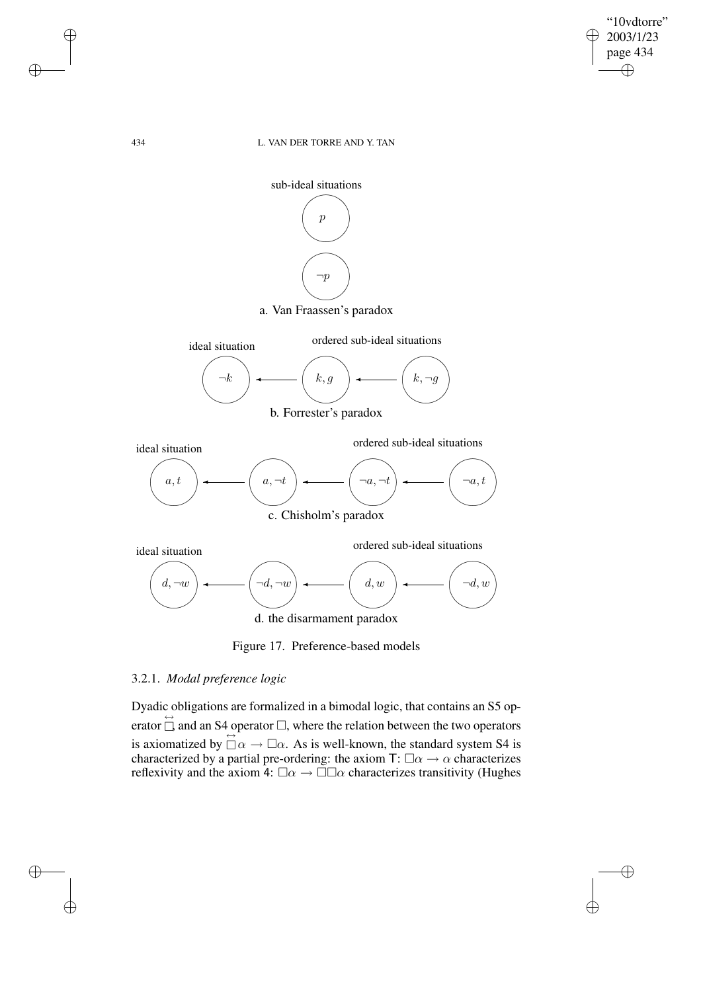

✐

✐

## 434 L. VAN DER TORRE AND Y. TAN



d. the disarmament paradox

Figure 17. Preference-based models

# 3.2.1. *Modal preference logic*

Dyadic obligations are formalized in a bimodal logic, that contains an S5 operator  $\overrightarrow{a}$  and an S4 operator  $\overrightarrow{a}$ , where the relation between the two operators is axiomatized by  $\overleftrightarrow{\Box} \alpha \rightarrow \overrightarrow{\Box} \alpha$ . As is well-known, the standard system S4 is characterized by a partial pre-ordering: the axiom T:  $\square \alpha \rightarrow \alpha$  characterizes reflexivity and the axiom 4:  $\square \alpha \rightarrow \square \square \alpha$  characterizes transitivity (Hughes

✐

✐

✐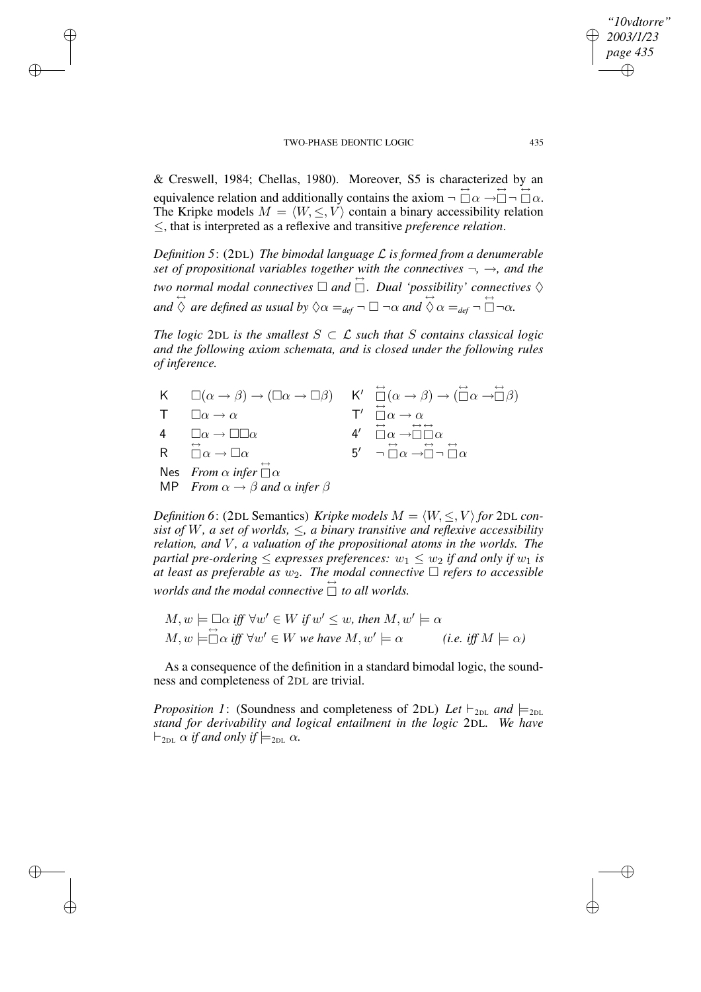$\rightarrow$ 

 $\rightarrow$ 

✐

✐

& Creswell, 1984; Chellas, 1980). Moreover, S5 is characterized by an equivalence relation and additionally contains the axiom  $\neg$   $\overleftrightarrow{\Box} \alpha \rightarrow \overleftrightarrow{\Box} \neg$   $\overleftrightarrow{\Box} \alpha$ . The Kripke models  $M = \langle W, \leq, V \rangle$  contain a binary accessibility relation ≤, that is interpreted as a reflexive and transitive *preference relation*.

*Definition 5*: (2DL) *The bimodal language* L *is formed from a denumerable set of propositional variables together with the connectives* ¬*,* →*, and the two* normal modal connectives  $\Box$  and  $\Box$ . Dual 'possibility' connectives  $\diamondsuit$  $\overleftrightarrow{\alpha}$  *are defined as usual by*  $\Diamond \alpha =_{def} \neg \Box \neg \alpha$  *and*  $\overleftrightarrow{\Diamond} \alpha =_{def} \neg \overleftrightarrow{\Box} \neg \alpha$ .

*The logic* 2DL *is the smallest*  $S \subset \mathcal{L}$  *such that*  $S$  *contains classical logic and the following axiom schemata, and is closed under the following rules of inference.*

| K $\square(\alpha \to \beta) \to (\square \alpha \to \square \beta)$ K' $\square(\alpha \to \beta) \to (\square \alpha \to \square \beta)$ |                                                                                                                          |
|--------------------------------------------------------------------------------------------------------------------------------------------|--------------------------------------------------------------------------------------------------------------------------|
| $\Box \alpha \rightarrow \alpha$                                                                                                           | $T' \overset{\leftrightarrow}{\Box} \alpha \rightarrow \alpha$                                                           |
| 4 $\square \alpha \rightarrow \square \square \alpha$                                                                                      | $4' \quad \Box \alpha \rightarrow \Box \Box \alpha$                                                                      |
| R $\stackrel{\leftrightarrow}{\Box} \alpha \rightarrow \Box \alpha$                                                                        | $5'$ $\neg$ $\overrightarrow{\cap}$ $\alpha$ $\rightarrow \overrightarrow{\cap}$ $\neg$ $\overrightarrow{\cap}$ $\alpha$ |
| Nes From $\alpha$ infer $\overleftrightarrow{\Box} \alpha$<br>MP From $\alpha \rightarrow \beta$ and $\alpha$ infer $\beta$                |                                                                                                                          |

*Definition* 6: (2DL Semantics) *Kripke models*  $M = \langle W, \leq, V \rangle$  *for* 2DL *consist of W*, *a set of worlds*,  $\leq$ , *a binary transitive and reflexive accessibility relation, and* V *, a valuation of the propositional atoms in the worlds. The partial pre-ordering*  $\leq$  *expresses preferences:*  $w_1 \leq w_2$  *if and only if*  $w_1$  *is at* least as preferable as  $w_2$ . The modal connective  $\Box$  refers to accessible worlds and the modal connective  $\Box$  to all worlds.

 $M, w \models \Box \alpha \text{ iff } \forall w' \in W \text{ if } w' \leq w \text{, then } M, w' \models \alpha$  $M, w \models \Box \alpha \text{ iff } \forall w' \in W \text{ we have } M, w' \models \alpha \qquad (i.e. \text{ iff } M \models \alpha)$ 

As a consequence of the definition in a standard bimodal logic, the soundness and completeness of 2DL are trivial.

*Proposition 1*: (Soundness and completeness of 2DL) Let  $\vdash_{2DL}$  and  $\models_{2DL}$ *stand for derivability and logical entailment in the logic* 2DL*. We have*  $\vdash$ <sub>2DL</sub>  $\alpha$  *if and only if*  $\models$ <sub>2DL</sub>  $\alpha$ *.* 

*"10vdtorre" 2003/1/23 page 435*

✐

✐

✐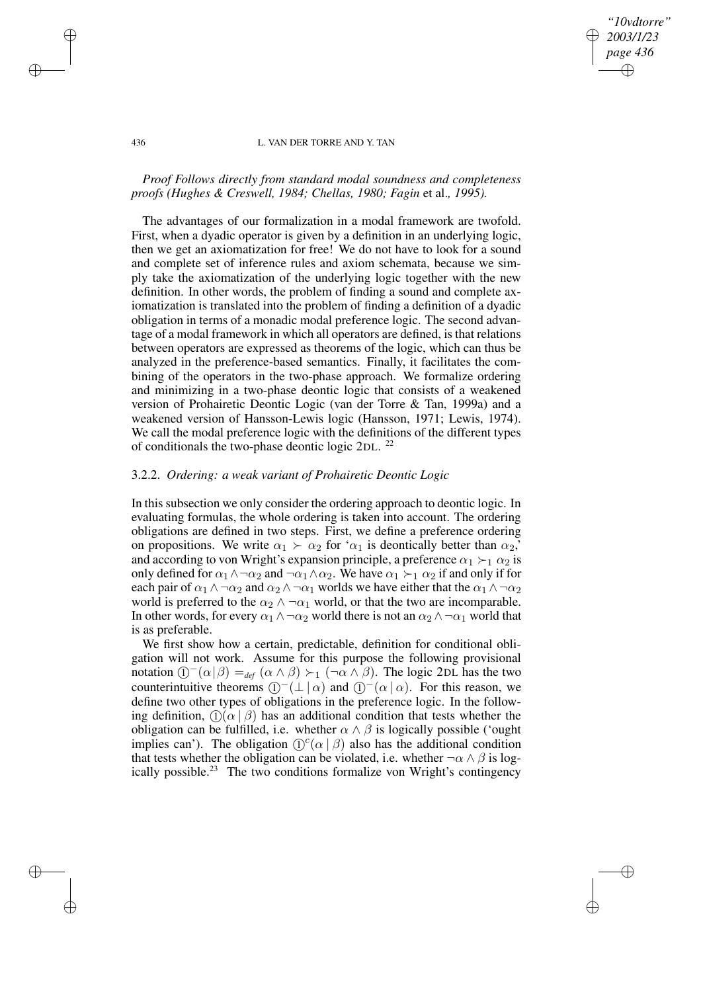## *"10vdtorre" 2003/1/23 page 436* ✐ ✐

✐

✐

### 436 L. VAN DER TORRE AND Y. TAN

# *Proof Follows directly from standard modal soundness and completeness proofs (Hughes & Creswell, 1984; Chellas, 1980; Fagin* et al.*, 1995).*

The advantages of our formalization in a modal framework are twofold. First, when a dyadic operator is given by a definition in an underlying logic, then we get an axiomatization for free! We do not have to look for a sound and complete set of inference rules and axiom schemata, because we simply take the axiomatization of the underlying logic together with the new definition. In other words, the problem of finding a sound and complete axiomatization is translated into the problem of finding a definition of a dyadic obligation in terms of a monadic modal preference logic. The second advantage of a modal framework in which all operators are defined, is that relations between operators are expressed as theorems of the logic, which can thus be analyzed in the preference-based semantics. Finally, it facilitates the combining of the operators in the two-phase approach. We formalize ordering and minimizing in a two-phase deontic logic that consists of a weakened version of Prohairetic Deontic Logic (van der Torre & Tan, 1999a) and a weakened version of Hansson-Lewis logic (Hansson, 1971; Lewis, 1974). We call the modal preference logic with the definitions of the different types of conditionals the two-phase deontic logic 2DL.<sup>22</sup>

## 3.2.2. *Ordering: a weak variant of Prohairetic Deontic Logic*

In this subsection we only consider the ordering approach to deontic logic. In evaluating formulas, the whole ordering is taken into account. The ordering obligations are defined in two steps. First, we define a preference ordering on propositions. We write  $\alpha_1 \succ \alpha_2$  for ' $\alpha_1$  is deontically better than  $\alpha_2$ ' and according to von Wright's expansion principle, a preference  $\alpha_1 \succ_1 \alpha_2$  is only defined for  $\alpha_1 \wedge \neg \alpha_2$  and  $\neg \alpha_1 \wedge \alpha_2$ . We have  $\alpha_1 \succ_1 \alpha_2$  if and only if for each pair of  $\alpha_1 \wedge \neg \alpha_2$  and  $\alpha_2 \wedge \neg \alpha_1$  worlds we have either that the  $\alpha_1 \wedge \neg \alpha_2$ world is preferred to the  $\alpha_2 \wedge \neg \alpha_1$  world, or that the two are incomparable. In other words, for every  $\alpha_1 \wedge \neg \alpha_2$  world there is not an  $\alpha_2 \wedge \neg \alpha_1$  world that is as preferable.

We first show how a certain, predictable, definition for conditional obligation will not work. Assume for this purpose the following provisional notation  $[$ <sup>-</sup> $(\alpha|\beta) =_{def} (\alpha \wedge \beta) \succ_1 (\neg \alpha \wedge \beta)$ . The logic 2DL has the two counterintuitive theorems  $(1)$ <sup>-</sup> $(1 | \alpha)$  and  $(1)$ <sup>-</sup> $( \alpha | \alpha)$ . For this reason, we define two other types of obligations in the preference logic. In the following definition,  $\mathcal{D}(\alpha | \beta)$  has an additional condition that tests whether the obligation can be fulfilled, i.e. whether  $\alpha \wedge \beta$  is logically possible ('ought implies can'). The obligation  $\mathbb{O}^{c}(\alpha \mid \beta)$  also has the additional condition that tests whether the obligation can be violated, i.e. whether  $\neg \alpha \wedge \beta$  is logically possible.<sup>23</sup> The two conditions formalize von Wright's contingency

 $\rightarrow$ 

 $\rightarrow$ 

✐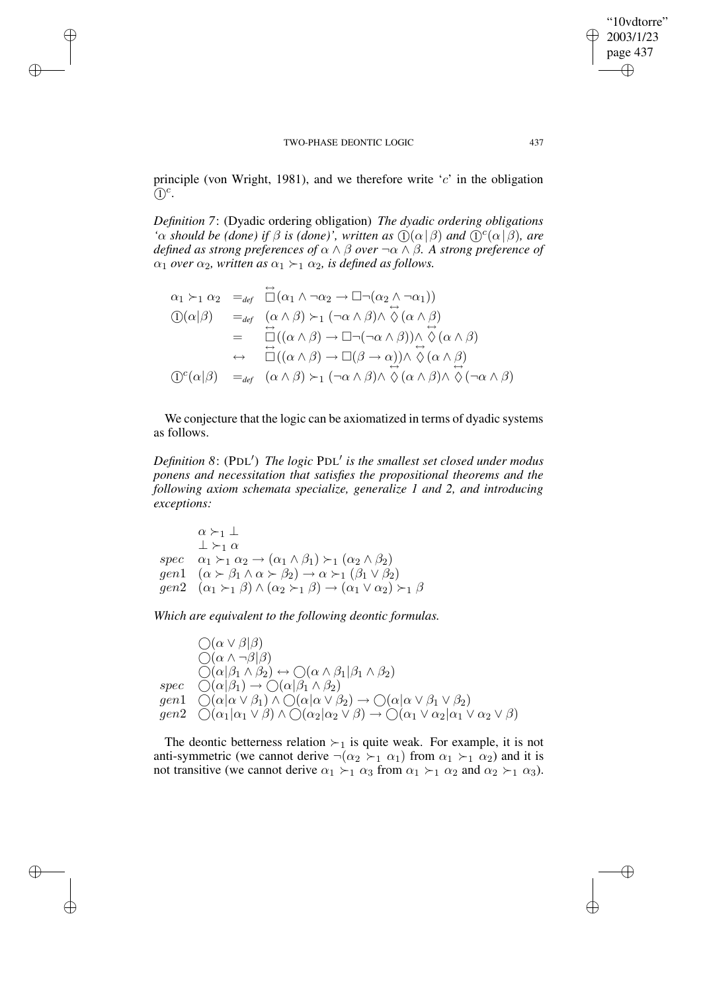$\rightarrow$ 

 $\rightarrow$ 

✐

✐

principle (von Wright, 1981), and we therefore write  $c'$  in the obligation  $\mathbb{O}^c$ .

*Definition 7*: (Dyadic ordering obligation) *The dyadic ordering obligations '* $\alpha$  *should be (done) if*  $\beta$  *is (done)', written as*  $\mathcal{D}(\alpha | \beta)$  *and*  $\mathcal{D}^c(\alpha | \beta)$ *, are defined as strong preferences of* α ∧ β *over* ¬α ∧ β*. A strong preference of*  $\alpha_1$  *over*  $\alpha_2$ *, written as*  $\alpha_1 \succ_1 \alpha_2$ *, is defined as follows.* 

$$
\alpha_1 \succ_1 \alpha_2 =_{def} \overrightarrow{\Box}(\alpha_1 \land \neg \alpha_2 \rightarrow \Box \neg (\alpha_2 \land \neg \alpha_1))
$$
  
\n
$$
\textcircled{1}(\alpha|\beta) =_{def} (\alpha \land \beta) \succ_1 (\neg \alpha \land \beta) \land \Diamond (\alpha \land \beta)
$$
  
\n
$$
= \overrightarrow{\Box}((\alpha \land \beta) \rightarrow \Box \neg (\neg \alpha \land \beta)) \land \Diamond (\alpha \land \beta)
$$
  
\n
$$
\leftrightarrow \overrightarrow{\Box}((\alpha \land \beta) \rightarrow \Box (\beta \rightarrow \alpha)) \land \overrightarrow{\Diamond}(\alpha \land \beta)
$$
  
\n
$$
\textcircled{1}(\alpha|\beta) =_{def} (\alpha \land \beta) \succ_1 (\neg \alpha \land \beta) \land \overrightarrow{\Diamond}(\alpha \land \beta) \land \overrightarrow{\Diamond}(\neg \alpha \land \beta)
$$

We conjecture that the logic can be axiomatized in terms of dyadic systems as follows.

*Definition 8*: (PDL 0 ) *The logic* PDL 0 *is the smallest set closed under modus ponens and necessitation that satisfies the propositional theorems and the following axiom schemata specialize, generalize 1 and 2, and introducing exceptions:*

 $\alpha \succ_1 \perp$  $\perp$   $\succ_1 \alpha$ spec  $\alpha_1 \succ_1 \alpha_2 \rightarrow (\alpha_1 \wedge \beta_1) \succ_1 (\alpha_2 \wedge \beta_2)$ gen1  $(\alpha \succ \beta_1 \land \alpha \succ \beta_2) \rightarrow \alpha \succ_1 (\beta_1 \lor \beta_2)$  $gen2 \quad (\alpha_1 \succ_1 \beta) \land (\alpha_2 \succ_1 \beta) \rightarrow (\alpha_1 \lor \alpha_2) \succ_1 \beta$ 

*Which are equivalent to the following deontic formulas.*

 $\bigcap(\alpha\vee\beta|\beta)$  $\bigcirc(\alpha \wedge \neg \beta|\beta)$  $\bigcirc(\alpha|\beta_1\wedge\beta_2)\leftrightarrow\bigcirc(\alpha\wedge\beta_1|\beta_1\wedge\beta_2)$  $spec \quad \tilde{\bigcirc}(\alpha|\beta_1) \to \tilde{\bigcirc}(\alpha|\tilde{\beta_1} \wedge \beta_2)$ gen $1 \quad \bigcirc (\alpha | \alpha \vee \beta_1) \wedge \bigcirc (\alpha | \alpha \vee \beta_2) \rightarrow \bigcirc (\alpha | \alpha \vee \beta_1 \vee \beta_2)$  $gen2 \quad \bigcirc (\alpha_1 | \alpha_1 \vee \beta) \wedge \bigcirc (\alpha_2 | \alpha_2 \vee \beta) \rightarrow \bigcirc (\alpha_1 \vee \alpha_2 | \alpha_1 \vee \alpha_2 \vee \beta)$ 

The deontic betterness relation  $\succ_1$  is quite weak. For example, it is not anti-symmetric (we cannot derive  $\neg(\alpha_2 \succ_1 \alpha_1)$  from  $\alpha_1 \succ_1 \alpha_2$ ) and it is not transitive (we cannot derive  $\alpha_1 \succ_1 \alpha_3$  from  $\alpha_1 \succ_1 \alpha_2$  and  $\alpha_2 \succ_1 \alpha_3$ ).

"10vdtorre" 2003/1/23 page 437

✐

✐

✐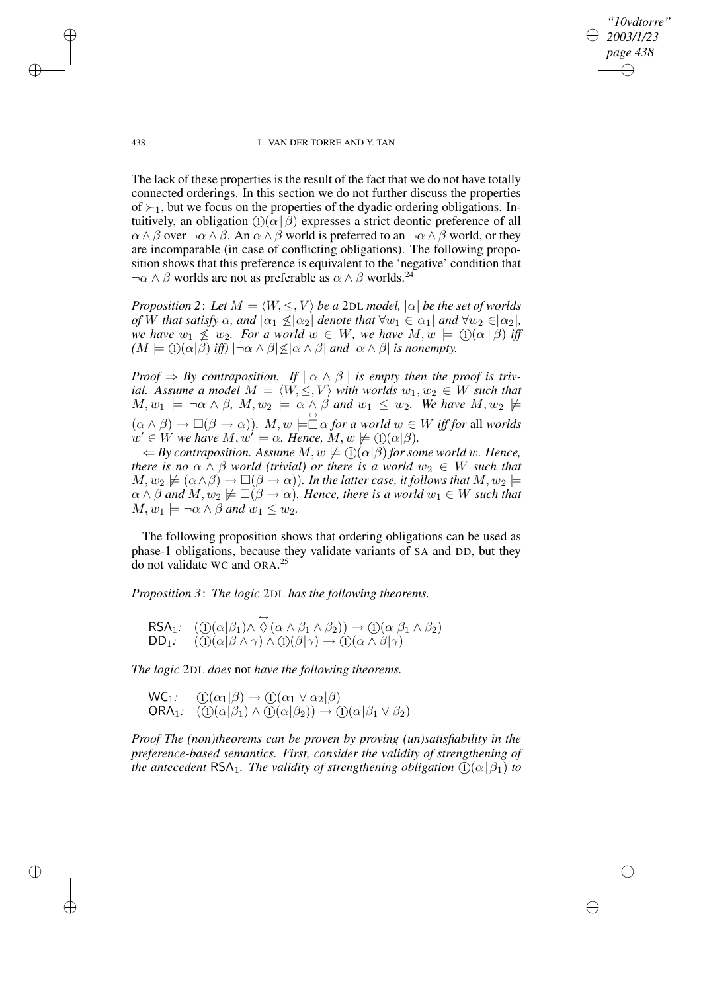*"10vdtorre" 2003/1/23 page 438* ✐ ✐

✐

✐

438 L. VAN DER TORRE AND Y. TAN

The lack of these properties is the result of the fact that we do not have totally connected orderings. In this section we do not further discuss the properties of  $\succ_1$ , but we focus on the properties of the dyadic ordering obligations. Intuitively, an obligation  $\mathcal{D}(\alpha | \beta)$  expresses a strict deontic preference of all  $\alpha \wedge \beta$  over  $\neg \alpha \wedge \beta$ . An  $\alpha \wedge \beta$  world is preferred to an  $\neg \alpha \wedge \beta$  world, or they are incomparable (in case of conflicting obligations). The following proposition shows that this preference is equivalent to the 'negative' condition that  $\neg \alpha \wedge \beta$  worlds are not as preferable as  $\alpha \wedge \beta$  worlds.<sup>24</sup>

*Proposition* 2: Let  $M = \langle W, \leq, V \rangle$  *be a* 2DL *model*,  $|\alpha|$  *be the set of worlds of* W that satisfy  $\alpha$ , and  $|\alpha_1| \leq |\alpha_2|$  denote that  $\forall w_1 \in |\alpha_1|$  and  $\forall w_2 \in |\alpha_2|$ , *we* have  $w_1 \nleq w_2$ *. For a world*  $w \in W$ *, we have*  $M, w \models \bigoplus (\alpha | \beta)$  *iff*  $(M \models \textcircled{1}(\alpha|\beta)$  *iff*)  $|\neg \alpha \wedge \beta| \leq |\alpha \wedge \beta|$  *and*  $|\alpha \wedge \beta|$  *is nonempty.* 

*Proof*  $\Rightarrow$  *By contraposition. If*  $\alpha \wedge \beta$  *is empty then the proof is trivial.* Assume a model  $M = \langle W, \leq, V \rangle$  with worlds  $w_1, w_2 \in W$  such that  $M, w_1 \models \neg \alpha \land \beta, M, w_2 \models \alpha \land \beta \text{ and } w_1 \leq w_2$ . We have  $M, w_2 \not\models \beta$  $(\alpha \wedge \beta) \rightarrow \Box(\beta \rightarrow \alpha)$ *).*  $M, w \models \Box \alpha$  *for a world*  $w \in W$  *iff for all worlds*  $w' \in W$  we have  $M, w' \models \alpha$ . Hence,  $M, w \not\models \textcircled{1}(\alpha|\beta)$ .

 $\Leftrightarrow$  *By contraposition.* Assume  $M, w \not\models \textcircled{1}(\alpha|\beta)$  *for some world* w. Hence, *there is no*  $\alpha \wedge \beta$  *world* (*trivial*) *or there is a world*  $w_2 \in W$  *such that*  $M, w_2 \not\models (\alpha \land \beta) \rightarrow \Box(\beta \rightarrow \alpha)$ *). In the latter case, it follows that*  $M, w_2 \models$  $\alpha \wedge \beta$  and  $M, w_2 \not\models \Box(\beta \rightarrow \alpha)$ . Hence, there is a world  $w_1 \in W$  such that  $M, w_1 \models \neg \alpha \land \beta \text{ and } w_1 \leq w_2$ .

The following proposition shows that ordering obligations can be used as phase-1 obligations, because they validate variants of SA and DD, but they do not validate WC and ORA. 25

*Proposition 3*: *The logic* 2DL *has the following theorems.*

$$
\begin{array}{ll}\n\text{RSA}_1: & (\mathbb{O}(\alpha|\beta_1) \land \overset{\leftrightarrow}{\Diamond} (\alpha \land \beta_1 \land \beta_2)) \to \mathbb{O}(\alpha|\beta_1 \land \beta_2) \\
\text{DD}_1: & (\mathbb{O}(\alpha|\beta \land \gamma) \land \mathbb{O}(\beta|\gamma) \to \mathbb{O}(\alpha \land \beta|\gamma)\n\end{array}
$$

*The logic* 2DL *does* not *have the following theorems.*

 $WC_1$ :  $\bigoplus (\alpha_1 | \beta) \rightarrow \bigoplus (\alpha_1 \vee \alpha_2 | \beta)$ ORA<sub>1</sub>:  $( \bigcirc ( \alpha | \beta_1) \wedge \overline{ \bigcirc } (\alpha | \beta_2) ) \rightarrow ( \bigcirc ( \alpha | \beta_1 \vee \beta_2) )$ 

*Proof The (non)theorems can be proven by proving (un)satisfiability in the preference-based semantics. First, consider the validity of strengthening of the antecedent*  $\text{RSA}_1$ *. The validity of strengthening obligation*  $\left(\frac{\Omega}{\theta_1}\right)$  *to* 

 $\rightarrow$ 

 $\rightarrow$ 

✐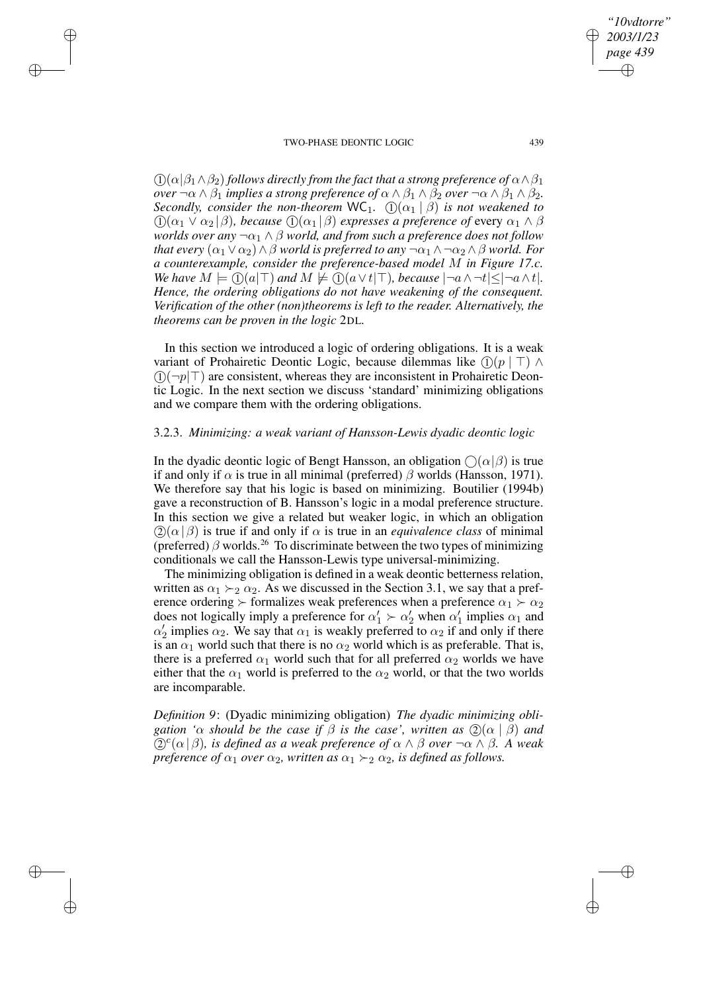$\rightarrow$ 

 $\rightarrow$ 

✐

✐

 $\Omega(\alpha|\beta_1 \wedge \beta_2)$  *follows directly from the fact that a strong preference of*  $\alpha \wedge \beta_1$ *over*  $\neg \alpha \wedge \beta_1$  *implies a strong preference of*  $\alpha \wedge \beta_1 \wedge \beta_2$  *over*  $\neg \alpha \wedge \beta_1 \wedge \beta_2$ *. Secondly, consider the non-theorem*  $WC_1$ .  $(1)(\alpha_1 | \beta)$  *is not weakened to*  $\Omega(\alpha_1 \vee \alpha_2 | \beta)$ , *because*  $\Omega(\alpha_1 | \beta)$  *expresses a preference of* every  $\alpha_1 \wedge \beta$ *worlds over any*  $\neg \alpha_1 \land \beta$  *world, and from such a preference does not follow that every*  $(\alpha_1 \vee \alpha_2) \wedge \beta$  *world is preferred to any*  $\neg \alpha_1 \wedge \neg \alpha_2 \wedge \beta$  *world. For a counterexample, consider the preference-based model* M *in Figure 17.c. We have*  $M \models (\mathcal{T})(a|\mathcal{T})$  *and*  $M \not\models (\mathcal{T})(a \vee t | \mathcal{T})$ *, because*  $|\neg a \wedge \neg t| \leq |\neg a \wedge t|$ *. Hence, the ordering obligations do not have weakening of the consequent. Verification of the other (non)theorems is left to the reader. Alternatively, the theorems can be proven in the logic* 2DL*.*

In this section we introduced a logic of ordering obligations. It is a weak variant of Prohairetic Deontic Logic, because dilemmas like  $(1)(p \mid \top) \land$  $(1)(\neg p|\top)$  are consistent, whereas they are inconsistent in Prohairetic Deontic Logic. In the next section we discuss 'standard' minimizing obligations and we compare them with the ordering obligations.

## 3.2.3. *Minimizing: a weak variant of Hansson-Lewis dyadic deontic logic*

In the dyadic deontic logic of Bengt Hansson, an obligation  $\bigcap (\alpha | \beta)$  is true if and only if  $\alpha$  is true in all minimal (preferred)  $\beta$  worlds (Hansson, 1971). We therefore say that his logic is based on minimizing. Boutilier (1994b) gave a reconstruction of B. Hansson's logic in a modal preference structure. In this section we give a related but weaker logic, in which an obligation  $(2)(\alpha|\beta)$  is true if and only if  $\alpha$  is true in an *equivalence class* of minimal (preferred)  $\beta$  worlds.<sup>26</sup> To discriminate between the two types of minimizing conditionals we call the Hansson-Lewis type universal-minimizing.

The minimizing obligation is defined in a weak deontic betterness relation, written as  $\alpha_1 \succ_2 \alpha_2$ . As we discussed in the Section 3.1, we say that a preference ordering  $\succ$  formalizes weak preferences when a preference  $\alpha_1 \succ \alpha_2$ does not logically imply a preference for  $\alpha'_1 \succ \alpha'_2$  when  $\alpha'_1$  implies  $\alpha_1$  and  $\alpha'_2$  implies  $\alpha_2$ . We say that  $\alpha_1$  is weakly preferred to  $\alpha_2$  if and only if there is an  $\alpha_1$  world such that there is no  $\alpha_2$  world which is as preferable. That is, there is a preferred  $\alpha_1$  world such that for all preferred  $\alpha_2$  worlds we have either that the  $\alpha_1$  world is preferred to the  $\alpha_2$  world, or that the two worlds are incomparable.

*Definition 9*: (Dyadic minimizing obligation) *The dyadic minimizing obligation '* $\alpha$  *should be the case if*  $\beta$  *is the case', written as*  $(2)(\alpha | \beta)$  *and*  $\mathbb{Q}^c(\alpha | \beta)$ , *is defined as a weak preference of*  $\alpha \wedge \beta$  *over*  $\neg \alpha \wedge \beta$ *. A weak preference of*  $\alpha_1$  *over*  $\alpha_2$ *, written as*  $\alpha_1 \succ_2 \alpha_2$ *, is defined as follows.* 

*"10vdtorre" 2003/1/23 page 439*

✐

✐

✐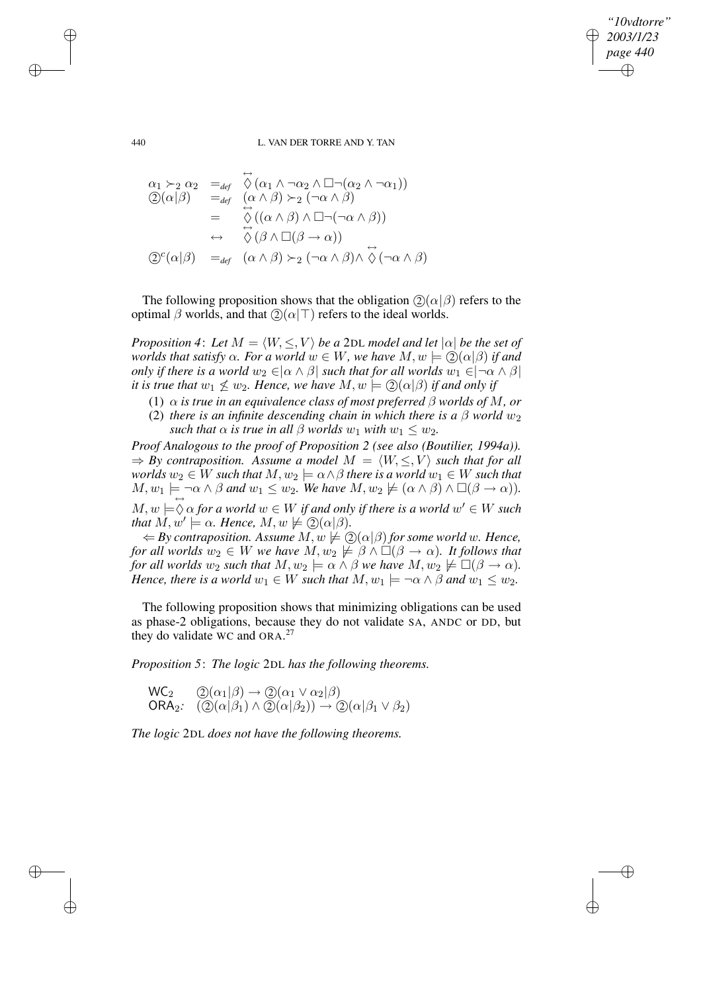*"10vdtorre" 2003/1/23 page 440* ✐ ✐

✐

✐

440 L. VAN DER TORRE AND Y. TAN

$$
\alpha_1 \succ_2 \alpha_2 =_{def} \overset{\leftrightarrow}{\Diamond} (\alpha_1 \land \neg \alpha_2 \land \Box \neg (\alpha_2 \land \neg \alpha_1))
$$
  
\n
$$
\textcircled{2}(\alpha|\beta) =_{def} (\alpha \land \beta) \succ_2 (\neg \alpha \land \beta)
$$
  
\n
$$
= \overset{\leftrightarrow}{\Diamond} ((\alpha \land \beta) \land \Box \neg (\neg \alpha \land \beta))
$$
  
\n
$$
\leftrightarrow \overset{\leftrightarrow}{\Diamond} (\beta \land \Box(\beta \to \alpha))
$$
  
\n
$$
\textcircled{2}^c(\alpha|\beta) =_{def} (\alpha \land \beta) \succ_2 (\neg \alpha \land \beta) \land \overset{\leftrightarrow}{\Diamond} (\neg \alpha \land \beta)
$$

The following proposition shows that the obligation  $(2)(\alpha|\beta)$  refers to the optimal  $β$  worlds, and that  $\mathcal{Q}(α | T)$  refers to the ideal worlds.

*Proposition* 4: Let  $M = \langle W, \leq, V \rangle$  *be a* 2DL *model and* let  $|\alpha|$  *be the set of worlds that satisfy*  $\alpha$ *. For a world*  $w \in W$ *, we have*  $M, w \models \mathcal{Q}(\alpha|\beta)$  *if and only if there is a world*  $w_2 \in |\alpha \wedge \beta|$  *such that for all worlds*  $w_1 \in |\neg \alpha \wedge \beta|$ *it is true that*  $w_1 \nleq w_2$ *. Hence, we have*  $M, w \models \mathcal{Q}(\alpha | \beta)$  *if and only if* 

- (1)  $\alpha$  *is true in an equivalence class of most preferred*  $\beta$  *worlds of M, or*
- (2) *there is an infinite descending chain in which there is a*  $\beta$  *world*  $w_2$ *such that*  $\alpha$  *is true in all*  $\beta$  *worlds*  $w_1$  *with*  $w_1 \leq w_2$ *.*

*Proof Analogous to the proof of Proposition 2 (see also (Boutilier, 1994a)).*  $\Rightarrow$  *By contraposition.* Assume a model  $M = \langle W, \leq, V \rangle$  such that for all  $w$  worlds  $w_2 \in W$  such that  $M, w_2 \models \alpha \wedge \beta$  there is a world  $w_1 \in W$  such that  $M, w_1 \models \neg \alpha \land \beta$  and  $w_1 \leq w_2$ . We have  $M, w_2 \not\models (\alpha \land \beta) \land \Box(\beta \to \alpha)$ ).  $M, w \models \bigcirc \alpha$  *for a world*  $w \in W$  *if and only if there is a world*  $w' \in W$  *such that*  $M, w' \models \alpha$ *. Hence,*  $M, w \not\models \mathcal{Q}(\alpha | \beta)$ *.* 

 $\Leftrightarrow$  *By contraposition.* Assume  $M, w \not\models (2)(\alpha|\beta)$  *for some world* w. Hence, *for all worlds*  $w_2 \in W$  *we have*  $M, w_2 \not\models \beta \wedge \Box(\beta \rightarrow \alpha)$ *. It follows that for all worlds*  $w_2$  *such that*  $M, w_2 \models \alpha \land \beta$  *we have*  $M, w_2 \not\models \Box(\beta \to \alpha)$ *. Hence, there is a world*  $w_1 \in W$  *such that*  $M, w_1 \models \neg \alpha \land \beta$  *and*  $w_1 \leq w_2$ *.* 

The following proposition shows that minimizing obligations can be used as phase-2 obligations, because they do not validate SA, ANDC or DD, but they do validate WC and ORA.<sup>27</sup>

*Proposition 5*: *The logic* 2DL *has the following theorems.*

 $WC_2$   $\mathcal{Q}(\alpha_1|\beta) \rightarrow \mathcal{Q}(\alpha_1 \vee \alpha_2|\beta)$  $\overline{\textsf{ORA}}_2$ :  $\overline{(\textsf{Q})}(\alpha|\beta_1) \wedge \overline{\textsf{Q}}(\alpha|\beta_2)) \rightarrow \overline{\textsf{Q}}(\alpha|\beta_1 \vee \beta_2)$ 

*The logic* 2DL *does not have the following theorems.*

 $\rightarrow$ 

 $\rightarrow$ 

✐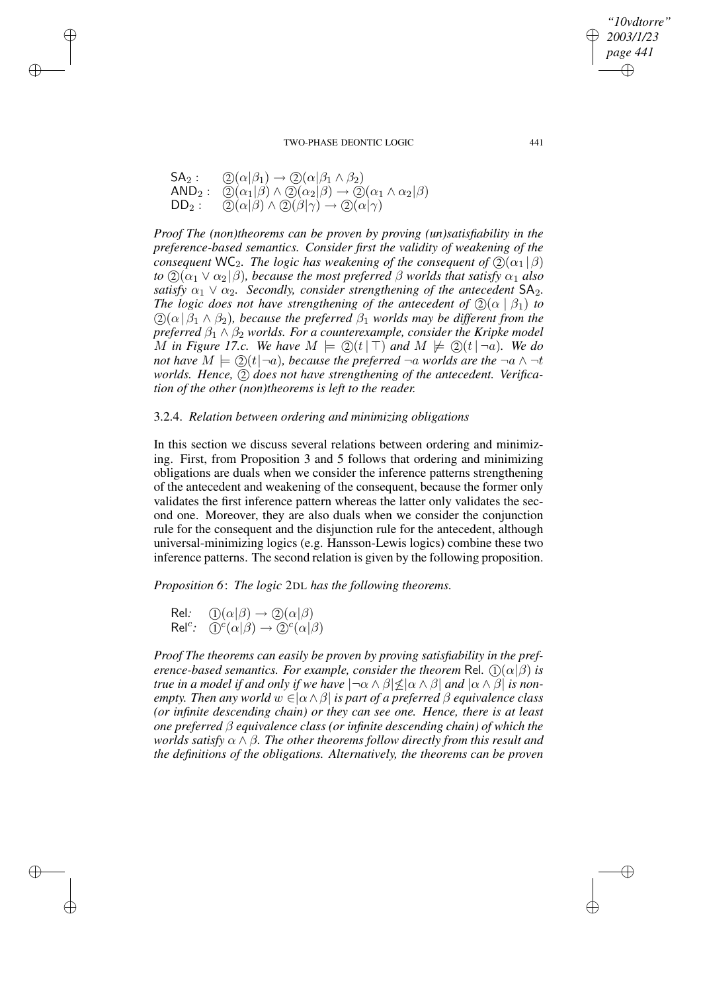$$
\begin{array}{ll}\mathsf{SA}_2:&\bigcircled{2}(\alpha|\beta_1)\rightarrow\bigcircled{2}(\alpha|\beta_1\wedge\beta_2)\\ \mathsf{AND}_2:&\bigcircled{2}(\alpha_1|\beta)\wedge\bigcircled{2}(\alpha_2|\beta)\rightarrow\bigcircled{2}(\alpha_1\wedge\alpha_2|\beta)\\ \mathsf{DD}_2:&\bigcircled{2}(\alpha|\beta)\wedge\bigcircled{2}(\beta|\gamma)\rightarrow\bigcircled{2}(\alpha|\gamma)\end{array}
$$

 $\rightarrow$ 

 $\rightarrow$ 

✐

✐

*Proof The (non)theorems can be proven by proving (un)satisfiability in the preference-based semantics. Consider first the validity of weakening of the consequent* WC<sub>2</sub>*. The logic has weakening of the consequent of*  $(2)(\alpha_1 | \beta)$ *to*  $(2)(\alpha_1 \vee \alpha_2 | \beta)$ *, because the most preferred*  $\beta$  *worlds that satisfy*  $\alpha_1$  *also satisfy*  $\alpha_1 \vee \alpha_2$ *. Secondly, consider strengthening of the antecedent*  $SA_2$ *. The logic does not have strengthening of the antecedent of*  $(2)(\alpha | \beta_1)$  *to*  $(2)(\alpha | \beta_1 \wedge \beta_2)$ , *because the preferred*  $\beta_1$  *worlds may be different from the preferred*  $\beta_1 \wedge \beta_2$  *worlds. For a counterexample, consider the Kripke model* M in Figure 17.c. We have  $M \models \mathcal{Q}(t | \top)$  and  $M \not\models \mathcal{Q}(t | \neg a)$ . We do *not* have  $M \models Q(t|\neg a)$ *, because the preferred*  $\neg a$  *worlds are the*  $\neg a \wedge \neg t$ *worlds. Hence,* 2 *does not have strengthening of the antecedent. Verification of the other (non)theorems is left to the reader.*

## 3.2.4. *Relation between ordering and minimizing obligations*

In this section we discuss several relations between ordering and minimizing. First, from Proposition 3 and 5 follows that ordering and minimizing obligations are duals when we consider the inference patterns strengthening of the antecedent and weakening of the consequent, because the former only validates the first inference pattern whereas the latter only validates the second one. Moreover, they are also duals when we consider the conjunction rule for the consequent and the disjunction rule for the antecedent, although universal-minimizing logics (e.g. Hansson-Lewis logics) combine these two inference patterns. The second relation is given by the following proposition.

*Proposition 6*: *The logic* 2DL *has the following theorems.*

Rel:  $\mathbb{O}(\alpha|\beta) \rightarrow \mathbb{O}(\alpha|\beta)$  $\mathsf{Rel}^c$ :  $\widetilde{\mathbb{O}}^c(\alpha|\beta) \to \widetilde{\mathbb{O}}^c(\alpha|\beta)$ 

*Proof The theorems can easily be proven by proving satisfiability in the preference-based semantics. For example, consider the theorem* Rel.  $\langle 1 \rangle (\alpha | \beta)$  *is true in a model if and only if we have*  $| \neg \alpha \wedge \beta | \leq | \alpha \wedge \beta |$  *and*  $| \alpha \wedge \beta |$  *is nonempty. Then any world*  $w \in [\alpha \wedge \beta]$  *is part of a preferred*  $\beta$  *equivalence class (or infinite descending chain) or they can see one. Hence, there is at least one preferred* β *equivalence class (or infinite descending chain) of which the worlds satisfy* α ∧ β*. The other theorems follow directly from this result and the definitions of the obligations. Alternatively, the theorems can be proven*

*"10vdtorre" 2003/1/23 page 441*

✐

✐

✐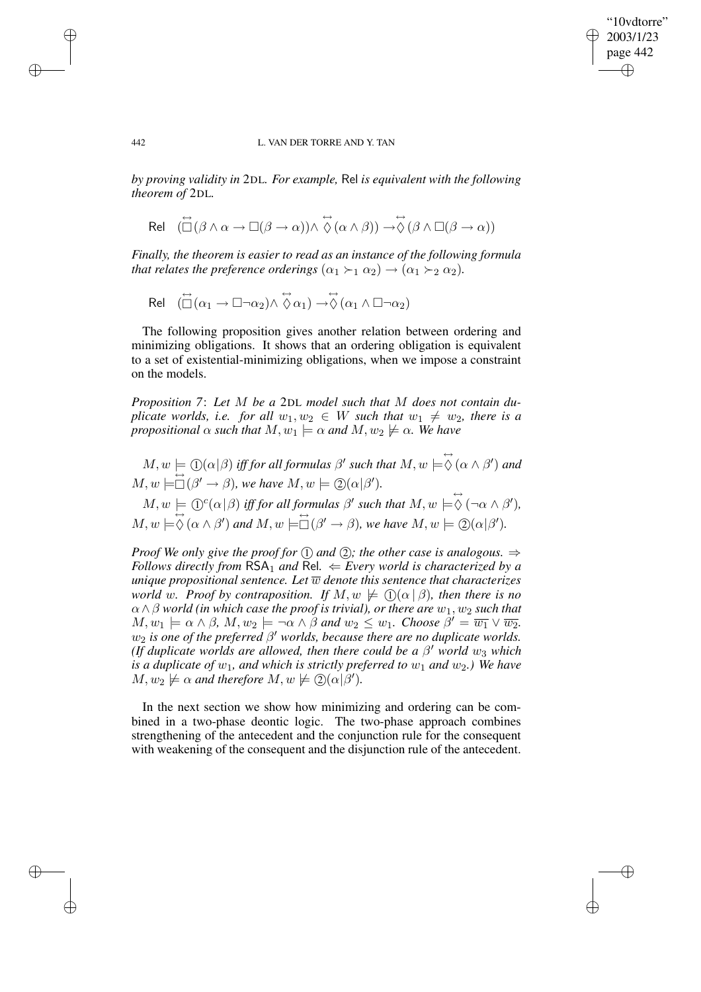### 442 L. VAN DER TORRE AND Y. TAN

"10vdtorre" 2003/1/23 page 442

✐

✐

✐

✐

*by proving validity in* 2DL*. For example,* Rel *is equivalent with the following theorem of* 2DL*.*

$$
\text{Rel} \quad (\overleftrightarrow{\Box}(\beta \wedge \alpha \rightarrow \Box (\beta \rightarrow \alpha)) \wedge \stackrel{\leftrightarrow}{\Diamond}(\alpha \wedge \beta)) \rightarrow \stackrel{\leftrightarrow}{\Diamond}(\beta \wedge \Box (\beta \rightarrow \alpha))
$$

*Finally, the theorem is easier to read as an instance of the following formula that relates the preference orderings*  $(\alpha_1 \succ_1 \alpha_2) \rightarrow (\alpha_1 \succ_2 \alpha_2)$ *.* 

$$
\text{Rel} \quad (\stackrel{\leftrightarrow}{\Box}(\alpha_1 \to \Box \neg \alpha_2) \wedge \stackrel{\leftrightarrow}{\Diamond} \alpha_1) \to \stackrel{\leftrightarrow}{\Diamond}(\alpha_1 \wedge \Box \neg \alpha_2)
$$

The following proposition gives another relation between ordering and minimizing obligations. It shows that an ordering obligation is equivalent to a set of existential-minimizing obligations, when we impose a constraint on the models.

*Proposition 7*: *Let* M *be a* 2DL *model such that* M *does not contain duplicate worlds, i.e. for all*  $w_1, w_2 \in W$  *such that*  $w_1 \neq w_2$ *, there is a propositional*  $\alpha$  *such that*  $M, w_1 \models \alpha$  *and*  $M, w_2 \not\models \alpha$ *. We have* 

 $M, w \models \bigoplus (\alpha | \beta)$  *iff for all formulas*  $\beta'$  *such that*  $M, w \models \stackrel{\leftrightarrow}{\diamond} (\alpha \wedge \beta')$  *and*  $M, w \models \Box (\beta' \rightarrow \beta)$ *, we have*  $M, w \models \Box(\alpha|\beta')$ *.*  $M, w \models \mathbb{O}^c(\alpha|\beta)$  *iff for all formulas*  $\beta'$  *such that*  $M, w \models \phi \ (\neg \alpha \land \beta')$ *,* 

 $M, w \models \bigcirc \negthinspace \diamond \negthinspace (\alpha \wedge \beta')$  and  $M, w \models \Box (\beta' \rightarrow \beta)$ , we have  $M, w \models \bigcirc \negthinspace \diamond \negthinspace (\alpha \vert \beta')$ .

*Proof We only give the proof for*  $(1)$  *and*  $(2)$ *; the other case is analogous.*  $\Rightarrow$ *Follows* directly from  $RSA_1$  *and*  $Rel. \Leftarrow Every$  *world is characterized by a unique* propositional sentence. Let  $\overline{w}$  denote this sentence that characterizes *world* w. Proof by contraposition. If  $M, w \not\models \mathbb{Q}(\alpha | \beta)$ , then there is no  $\alpha \wedge \beta$  *world* (*in which case the proof is trivial*), *or there are*  $w_1, w_2$  *such that*  $M, w_1 \models \alpha \land \beta, M, w_2 \models \neg \alpha \land \beta \text{ and } w_2 \leq w_1$ . Choose  $\beta' = \overline{w_1} \lor \overline{w_2}$ .  $w_2$  *is one of the preferred*  $\beta'$  *worlds, because there are no duplicate worlds. (If duplicate worlds are allowed, then there could be a*  $\beta'$  *world*  $w_3$  *which is a duplicate of*  $w_1$ *, and which is strictly preferred to*  $w_1$  *and*  $w_2$ *.) We have*  $M, w_2 \not\models \alpha$  and therefore  $M, w \not\models \mathcal{Q}(\alpha | \beta').$ 

In the next section we show how minimizing and ordering can be combined in a two-phase deontic logic. The two-phase approach combines strengthening of the antecedent and the conjunction rule for the consequent with weakening of the consequent and the disjunction rule of the antecedent.

 $\rightarrow$ 

 $\rightarrow$ 

✐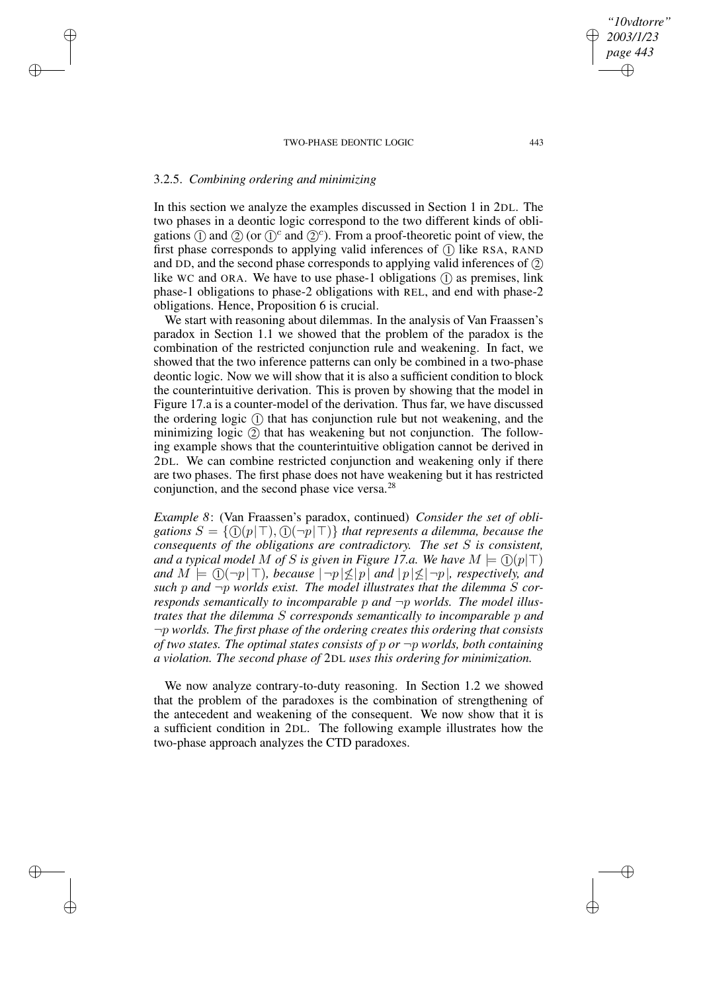# 3.2.5. *Combining ordering and minimizing*

 $\rightarrow$ 

 $\rightarrow$ 

✐

✐

In this section we analyze the examples discussed in Section 1 in 2DL. The two phases in a deontic logic correspond to the two different kinds of obligations  $\circled{1}$  and  $\circled{2}$  (or  $\circled{1}^c$  and  $\circled{2}^c$ ). From a proof-theoretic point of view, the first phase corresponds to applying valid inferences of  $(1)$  like RSA, RAND and DD, and the second phase corresponds to applying valid inferences of 2 like WC and ORA. We have to use phase-1 obligations  $(1)$  as premises, link phase-1 obligations to phase-2 obligations with REL, and end with phase-2 obligations. Hence, Proposition 6 is crucial.

We start with reasoning about dilemmas. In the analysis of Van Fraassen's paradox in Section 1.1 we showed that the problem of the paradox is the combination of the restricted conjunction rule and weakening. In fact, we showed that the two inference patterns can only be combined in a two-phase deontic logic. Now we will show that it is also a sufficient condition to block the counterintuitive derivation. This is proven by showing that the model in Figure 17.a is a counter-model of the derivation. Thus far, we have discussed the ordering logic (1) that has conjunction rule but not weakening, and the minimizing logic  $(2)$  that has weakening but not conjunction. The following example shows that the counterintuitive obligation cannot be derived in 2DL. We can combine restricted conjunction and weakening only if there are two phases. The first phase does not have weakening but it has restricted conjunction, and the second phase vice versa.<sup>28</sup>

*Example 8*: (Van Fraassen's paradox, continued) *Consider the set of obli*gations  $S = \{ (I)(p | \top), (I)(\neg p | \top) \}$  *that represents a dilemma, because the consequents of the obligations are contradictory. The set* S *is consistent, and a typical* model M of S is given in Figure 17.a. We have  $M \models (I)(p \mid T)$ *and*  $M \models (1)(\neg p \upharpoonright T)$ *, because*  $|\neg p \upharpoonright \leq |p|$  *and*  $|p \upharpoonright \leq |\neg p|$ *, respectively, and such* p *and* ¬p *worlds exist. The model illustrates that the dilemma* S *corresponds semantically to incomparable* p *and* ¬p *worlds. The model illustrates that the dilemma* S *corresponds semantically to incomparable* p *and* ¬p *worlds. The first phase of the ordering creates this ordering that consists of two states. The optimal states consists of* p *or* ¬p *worlds, both containing a violation. The second phase of* 2DL *uses this ordering for minimization.*

We now analyze contrary-to-duty reasoning. In Section 1.2 we showed that the problem of the paradoxes is the combination of strengthening of the antecedent and weakening of the consequent. We now show that it is a sufficient condition in 2DL. The following example illustrates how the two-phase approach analyzes the CTD paradoxes.

*"10vdtorre" 2003/1/23 page 443*

✐

✐

✐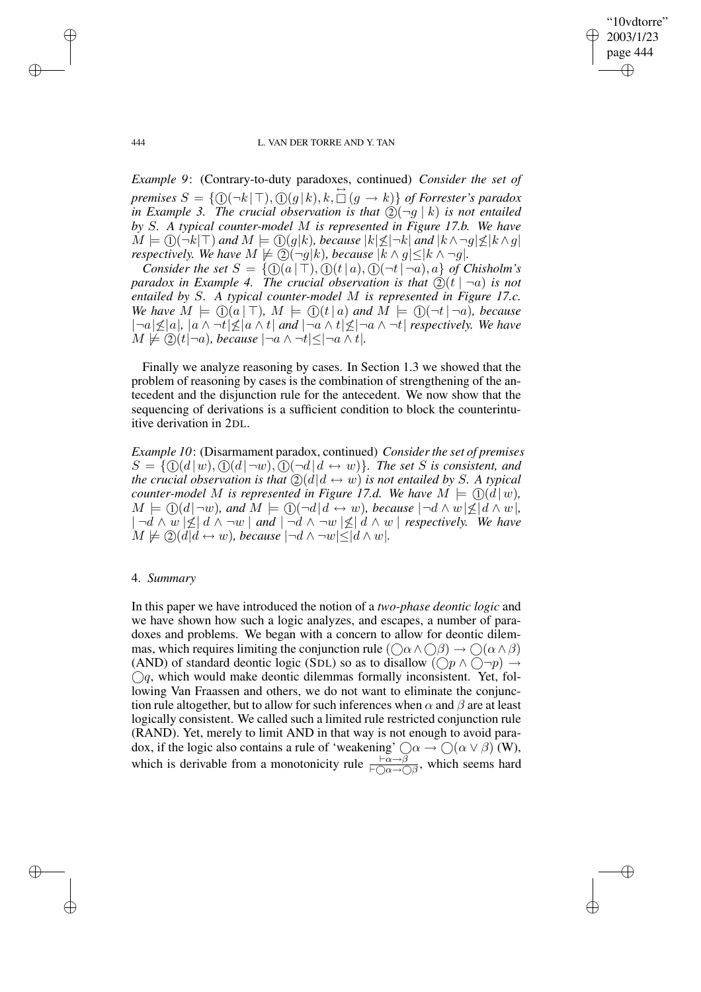"10vdtorre" 2003/1/23 page 444 ✐ ✐

✐

✐

### 444 L. VAN DER TORRE AND Y. TAN

*Example 9*: (Contrary-to-duty paradoxes, continued) *Consider the set of*  $p$  *premises*  $S = \{(\mathbb{D}(\neg k | \top), \mathbb{D}(g | k), k, \Box(g \rightarrow k)\}\$  *of Forrester's paradox in Example* 3. The *crucial observation is that*  $(2)(\neg q \mid k)$  *is not entailed by* S*. A typical counter-model* M *is represented in Figure 17.b. We have*  $M \models \textcircled{1}(\neg k | \top)$  and  $M \models \textcircled{1}(g|k)$ , because  $|k| \leq |\neg k|$  and  $|k \wedge \neg g| \leq |k \wedge g|$ *respectively. We have*  $M \not\models \textcircled{2}(\neg g|k)$ *, because*  $|k \wedge g| \leq |k \wedge \neg g|$ *.* 

*Consider the set*  $S = \{ \mathbb{O}(a | \top), \mathbb{O}(t | a), \mathbb{O}(\neg t | \neg a), a \}$  of *Chisholm's paradox in Example 4. The crucial observation is that*  $\mathcal{Q}(t \mid \neg a)$  *is not entailed by* S*. A typical counter-model* M *is represented in Figure 17.c. We have*  $M \models \bigoplus (a | \top)$ *,*  $M \models \bigoplus (t | a)$  *and*  $M \models \bigoplus (\neg t | \neg a)$ *, because*  $|\neg a| \leq |a|, |a \wedge \neg t| \leq |a \wedge t|$  *and*  $|\neg a \wedge t| \leq |\neg a \wedge \neg t|$  *respectively. We have*  $M \not\models \textcircled{2}(t | \neg a)$ *, because*  $|\neg a \wedge \neg t| \leq |\neg a \wedge t|$ *.* 

Finally we analyze reasoning by cases. In Section 1.3 we showed that the problem of reasoning by cases is the combination of strengthening of the antecedent and the disjunction rule for the antecedent. We now show that the sequencing of derivations is a sufficient condition to block the counterintuitive derivation in 2DL.

*Example 10:* (Disarmament paradox, continued) *Consider the set of premises*  $S = \{ (1)(d|w), (1)(d|\neg w), (1)(\neg d|d \leftrightarrow w) \}.$  The set S is consistent, and *the crucial observation is that*  $\mathcal{Q}(d|d \leftrightarrow w)$  *is not entailed by S. A typical counter-model* M *is represented in Figure 17.d.* We have  $M \models \bigcirc (d | w)$ ,  $M \models \bigoplus (d \mid \neg w)$ *, and*  $M \models \bigoplus (\neg d \mid d \leftrightarrow w)$ *, because*  $\mid \neg d \land w \mid \nleq d \land w$ *|,*  $|\neg d \wedge w \not| \leq | d \wedge \neg w |$  *and*  $|\neg d \wedge \neg w \not| \leq | d \wedge w |$  *respectively. We have*  $M \not\models \textcircled{2}(d | d \leftrightarrow w)$ *, because*  $|\neg d \land \neg w| \leq |d \land w|$ *.* 

## 4. *Summary*

In this paper we have introduced the notion of a *two-phase deontic logic* and we have shown how such a logic analyzes, and escapes, a number of paradoxes and problems. We began with a concern to allow for deontic dilemmas, which requires limiting the conjunction rule  $(\bigcirc \alpha \wedge \bigcirc \beta) \rightarrow \bigcirc (\alpha \wedge \beta)$ (AND) of standard deontic logic (SDL) so as to disallow  $(\bigcirc p \land \bigcirc \neg p) \rightarrow$  $\bigcirc q$ , which would make deontic dilemmas formally inconsistent. Yet, following Van Fraassen and others, we do not want to eliminate the conjunction rule altogether, but to allow for such inferences when  $\alpha$  and  $\beta$  are at least logically consistent. We called such a limited rule restricted conjunction rule (RAND). Yet, merely to limit AND in that way is not enough to avoid paradox, if the logic also contains a rule of 'weakening'  $\bigcirc \alpha \to \bigcirc (\alpha \vee \beta)$  (W), which is derivable from a monotonicity rule  $\frac{\vdash \alpha \to \beta}{\vdash \bigcirc \alpha \to \bigcirc \beta}$ , which seems hard

 $\rightarrow$ 

 $\rightarrow$ 

✐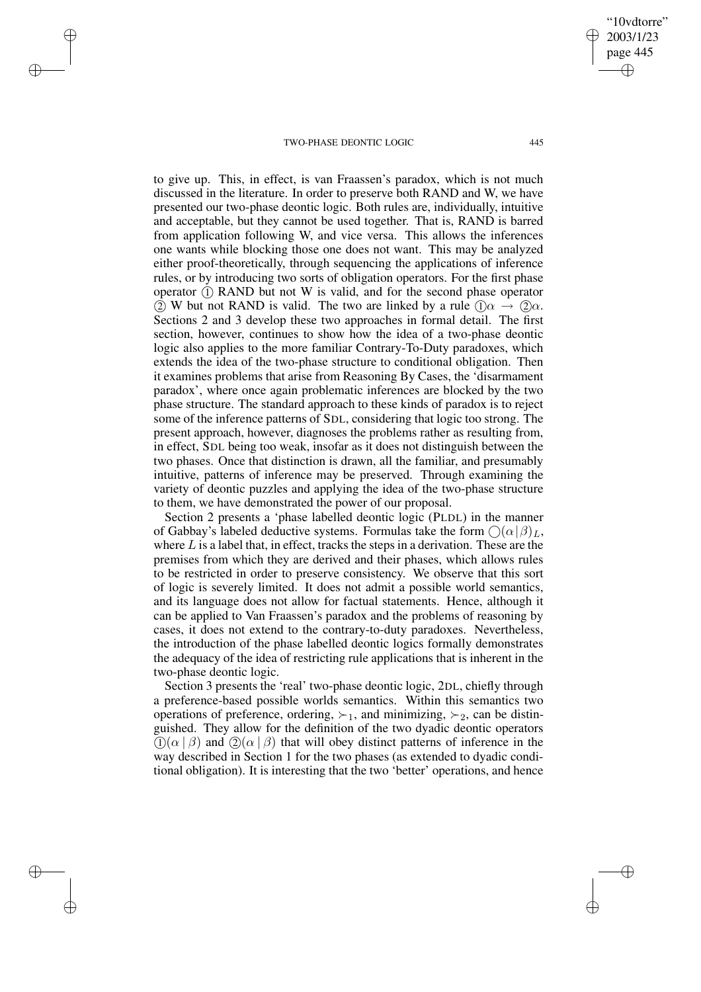$\rightarrow$ 

 $\rightarrow$ 

✐

✐

to give up. This, in effect, is van Fraassen's paradox, which is not much discussed in the literature. In order to preserve both RAND and W, we have presented our two-phase deontic logic. Both rules are, individually, intuitive and acceptable, but they cannot be used together. That is, RAND is barred from application following W, and vice versa. This allows the inferences one wants while blocking those one does not want. This may be analyzed either proof-theoretically, through sequencing the applications of inference rules, or by introducing two sorts of obligation operators. For the first phase operator (1) RAND but not W is valid, and for the second phase operator (2) W but not RAND is valid. The two are linked by a rule  $(1)\alpha \rightarrow (2)\alpha$ . Sections 2 and 3 develop these two approaches in formal detail. The first section, however, continues to show how the idea of a two-phase deontic logic also applies to the more familiar Contrary-To-Duty paradoxes, which extends the idea of the two-phase structure to conditional obligation. Then it examines problems that arise from Reasoning By Cases, the 'disarmament paradox', where once again problematic inferences are blocked by the two phase structure. The standard approach to these kinds of paradox is to reject some of the inference patterns of SDL, considering that logic too strong. The present approach, however, diagnoses the problems rather as resulting from, in effect, SDL being too weak, insofar as it does not distinguish between the two phases. Once that distinction is drawn, all the familiar, and presumably intuitive, patterns of inference may be preserved. Through examining the variety of deontic puzzles and applying the idea of the two-phase structure to them, we have demonstrated the power of our proposal.

Section 2 presents a 'phase labelled deontic logic (PLDL) in the manner of Gabbay's labeled deductive systems. Formulas take the form  $\bigcap (\alpha | \beta)_{L}$ , where  $L$  is a label that, in effect, tracks the steps in a derivation. These are the premises from which they are derived and their phases, which allows rules to be restricted in order to preserve consistency. We observe that this sort of logic is severely limited. It does not admit a possible world semantics, and its language does not allow for factual statements. Hence, although it can be applied to Van Fraassen's paradox and the problems of reasoning by cases, it does not extend to the contrary-to-duty paradoxes. Nevertheless, the introduction of the phase labelled deontic logics formally demonstrates the adequacy of the idea of restricting rule applications that is inherent in the two-phase deontic logic.

Section 3 presents the 'real' two-phase deontic logic, 2DL, chiefly through a preference-based possible worlds semantics. Within this semantics two operations of preference, ordering,  $\succ_1$ , and minimizing,  $\succ_2$ , can be distinguished. They allow for the definition of the two dyadic deontic operators  $\Omega(\alpha \mid \beta)$  and  $\Omega(\alpha \mid \beta)$  that will obey distinct patterns of inference in the way described in Section 1 for the two phases (as extended to dyadic conditional obligation). It is interesting that the two 'better' operations, and hence

✐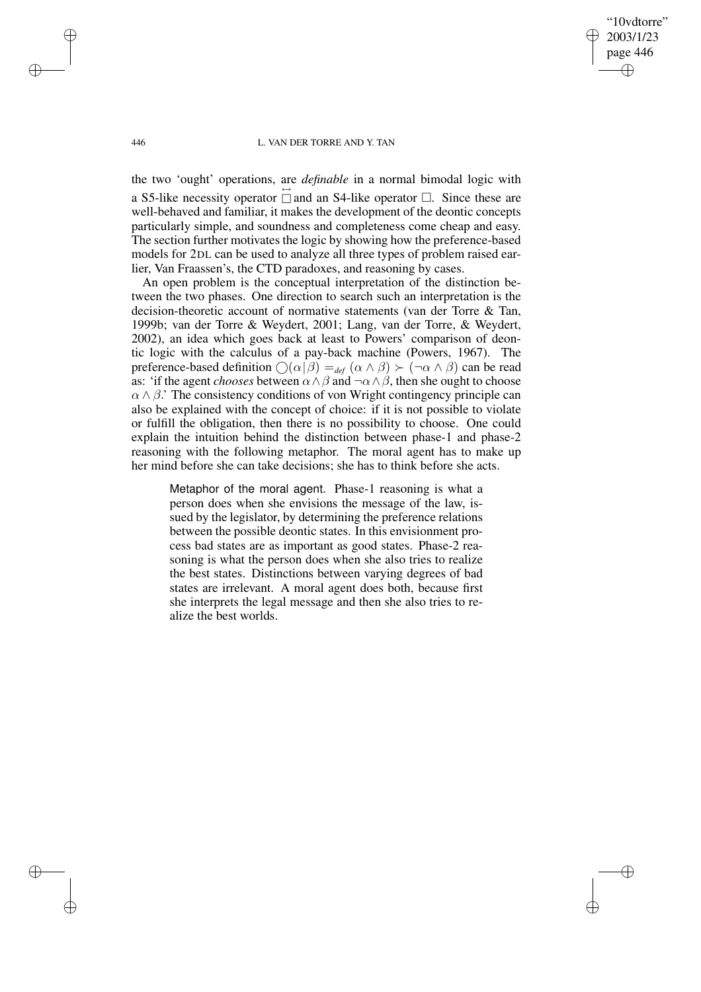"10vdtorre" 2003/1/23 page 446 ✐ ✐

✐

✐

### 446 L. VAN DER TORRE AND Y. TAN

 $\rightarrow$ 

 $\rightarrow$ 

✐

✐

the two 'ought' operations, are *definable* in a normal bimodal logic with

a S5-like necessity operator  $\overrightarrow{a}$  and an S4-like operator  $\overrightarrow{a}$ . Since these are well-behaved and familiar, it makes the development of the deontic concepts particularly simple, and soundness and completeness come cheap and easy. The section further motivates the logic by showing how the preference-based models for 2DL can be used to analyze all three types of problem raised earlier, Van Fraassen's, the CTD paradoxes, and reasoning by cases.

An open problem is the conceptual interpretation of the distinction between the two phases. One direction to search such an interpretation is the decision-theoretic account of normative statements (van der Torre & Tan, 1999b; van der Torre & Weydert, 2001; Lang, van der Torre, & Weydert, 2002), an idea which goes back at least to Powers' comparison of deontic logic with the calculus of a pay-back machine (Powers, 1967). The preference-based definition  $\bigcirc$  ( $\alpha$  | $\beta$ ) =  $_{def}$  ( $\alpha \wedge \beta$ )  $\succ$  ( $\neg$  $\alpha \wedge \beta$ ) can be read as: 'if the agent *chooses* between  $\alpha \wedge \beta$  and  $\neg \alpha \wedge \beta$ , then she ought to choose  $\alpha \wedge \beta$ . The consistency conditions of von Wright contingency principle can also be explained with the concept of choice: if it is not possible to violate or fulfill the obligation, then there is no possibility to choose. One could explain the intuition behind the distinction between phase-1 and phase-2 reasoning with the following metaphor. The moral agent has to make up her mind before she can take decisions; she has to think before she acts.

Metaphor of the moral agent. Phase-1 reasoning is what a person does when she envisions the message of the law, issued by the legislator, by determining the preference relations between the possible deontic states. In this envisionment process bad states are as important as good states. Phase-2 reasoning is what the person does when she also tries to realize the best states. Distinctions between varying degrees of bad states are irrelevant. A moral agent does both, because first she interprets the legal message and then she also tries to realize the best worlds.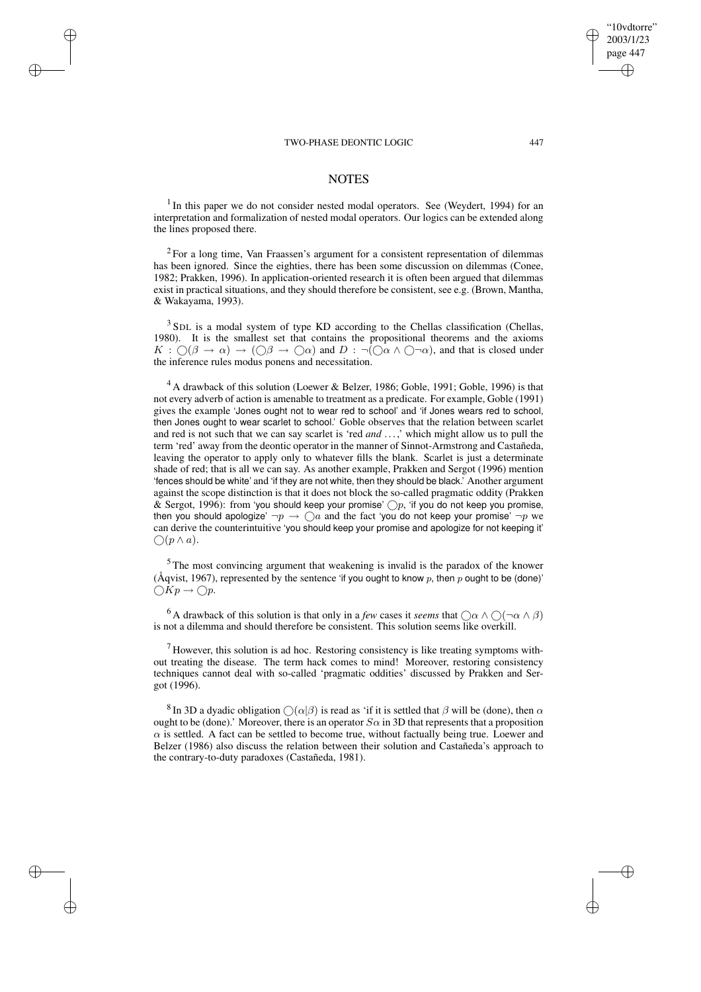$\rightarrow$ 

 $\rightarrow$ 

✐

✐

## **NOTES**

<sup>1</sup> In this paper we do not consider nested modal operators. See (Weydert, 1994) for an interpretation and formalization of nested modal operators. Our logics can be extended along the lines proposed there.

 $2$  For a long time, Van Fraassen's argument for a consistent representation of dilemmas has been ignored. Since the eighties, there has been some discussion on dilemmas (Conee, 1982; Prakken, 1996). In application-oriented research it is often been argued that dilemmas exist in practical situations, and they should therefore be consistent, see e.g. (Brown, Mantha, & Wakayama, 1993).

<sup>3</sup> SDL is a modal system of type KD according to the Chellas classification (Chellas, 1980). It is the smallest set that contains the propositional theorems and the axioms  $K: \bigcirc (\beta \to \alpha) \to (\bigcirc \beta \to \bigcirc \alpha)$  and  $D: \neg (\bigcirc \alpha \wedge \bigcirc \neg \alpha)$ , and that is closed under the inference rules modus ponens and necessitation.

 $4$  A drawback of this solution (Loewer & Belzer, 1986; Goble, 1991; Goble, 1996) is that not every adverb of action is amenable to treatment as a predicate. For example, Goble (1991) gives the example 'Jones ought not to wear red to school' and 'if Jones wears red to school, then Jones ought to wear scarlet to school.' Goble observes that the relation between scarlet and red is not such that we can say scarlet is 'red *and* ...,' which might allow us to pull the term 'red' away from the deontic operator in the manner of Sinnot-Armstrong and Castañeda, leaving the operator to apply only to whatever fills the blank. Scarlet is just a determinate shade of red; that is all we can say. As another example, Prakken and Sergot (1996) mention 'fences should be white' and 'if they are not white, then they should be black.' Another argument against the scope distinction is that it does not block the so-called pragmatic oddity (Prakken  $\&$  Sergot, 1996): from 'you should keep your promise'  $\bigcirc p$ , 'if you do not keep you promise, then you should apologize'  $\neg p \rightarrow \bigcirc a$  and the fact 'you do not keep your promise'  $\neg p$  we can derive the counterintuitive 'you should keep your promise and apologize for not keeping it'  $\bigcap (p \wedge a).$ 

<sup>5</sup> The most convincing argument that weakening is invalid is the paradox of the knower (Åqvist, 1967), represented by the sentence 'if you ought to know p, then p ought to be (done)'  $\bigcirc$ Kp  $\rightarrow$   $\bigcirc$ p.

<sup>6</sup> A drawback of this solution is that only in a *few* cases it *seems* that  $\bigcap \alpha \wedge \bigcap (\neg \alpha \wedge \beta)$ is not a dilemma and should therefore be consistent. This solution seems like overkill.

 $<sup>7</sup>$  However, this solution is ad hoc. Restoring consistency is like treating symptoms with-</sup> out treating the disease. The term hack comes to mind! Moreover, restoring consistency techniques cannot deal with so-called 'pragmatic oddities' discussed by Prakken and Sergot (1996).

<sup>8</sup> In 3D a dyadic obligation  $\bigcirc$  ( $\alpha$ | $\beta$ ) is read as 'if it is settled that  $\beta$  will be (done), then  $\alpha$ ought to be (done).' Moreover, there is an operator  $S\alpha$  in 3D that represents that a proposition  $\alpha$  is settled. A fact can be settled to become true, without factually being true. Loewer and Belzer (1986) also discuss the relation between their solution and Castañeda's approach to the contrary-to-duty paradoxes (Castañeda, 1981).

"10vdtorre" 2003/1/23 page 447

✐

✐

✐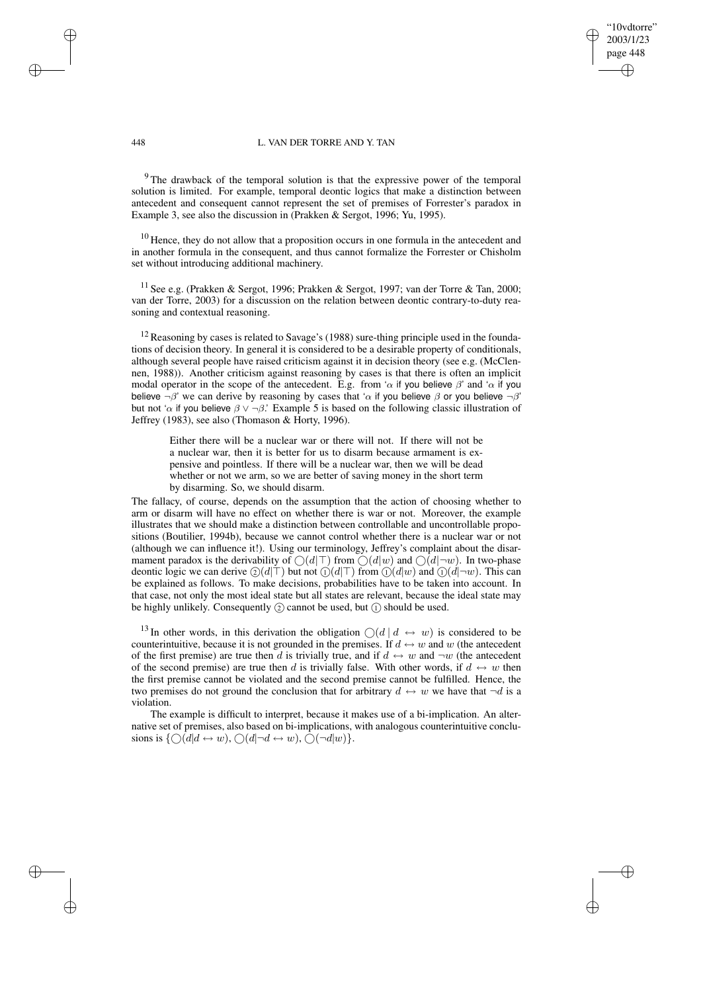### 448 L. VAN DER TORRE AND Y. TAN

"10vdtorre" 2003/1/23 page 448

✐

✐

✐

✐

<sup>9</sup> The drawback of the temporal solution is that the expressive power of the temporal solution is limited. For example, temporal deontic logics that make a distinction between antecedent and consequent cannot represent the set of premises of Forrester's paradox in Example 3, see also the discussion in (Prakken & Sergot, 1996; Yu, 1995).

<sup>10</sup> Hence, they do not allow that a proposition occurs in one formula in the antecedent and in another formula in the consequent, and thus cannot formalize the Forrester or Chisholm set without introducing additional machinery.

<sup>11</sup> See e.g. (Prakken & Sergot, 1996; Prakken & Sergot, 1997; van der Torre & Tan, 2000; van der Torre, 2003) for a discussion on the relation between deontic contrary-to-duty reasoning and contextual reasoning.

 $12$  Reasoning by cases is related to Savage's (1988) sure-thing principle used in the foundations of decision theory. In general it is considered to be a desirable property of conditionals, although several people have raised criticism against it in decision theory (see e.g. (McClennen, 1988)). Another criticism against reasoning by cases is that there is often an implicit modal operator in the scope of the antecedent. E.g. from ' $\alpha$  if you believe  $\beta$ ' and ' $\alpha$  if you believe  $\neg \beta$ ' we can derive by reasoning by cases that ' $\alpha$  if you believe  $\beta$  or you believe  $\neg \beta$ ' but not ' $\alpha$  if you believe  $\beta \vee \neg \beta$ .' Example 5 is based on the following classic illustration of Jeffrey (1983), see also (Thomason & Horty, 1996).

Either there will be a nuclear war or there will not. If there will not be a nuclear war, then it is better for us to disarm because armament is expensive and pointless. If there will be a nuclear war, then we will be dead whether or not we arm, so we are better of saving money in the short term by disarming. So, we should disarm.

The fallacy, of course, depends on the assumption that the action of choosing whether to arm or disarm will have no effect on whether there is war or not. Moreover, the example illustrates that we should make a distinction between controllable and uncontrollable propositions (Boutilier, 1994b), because we cannot control whether there is a nuclear war or not (although we can influence it!). Using our terminology, Jeffrey's complaint about the disarmament paradox is the derivability of  $\bigcirc(d|\top)$  from  $\bigcirc(d|w)$  and  $\bigcirc(d|\neg w)$ . In two-phase deontic logic we can derive  $(2)(d|\top)$  but not  $(1)(d|\top)$  from  $(1)(d|w)$  and  $(1)(d|\neg w)$ . This can be explained as follows. To make decisions, probabilities have to be taken into account. In that case, not only the most ideal state but all states are relevant, because the ideal state may be highly unlikely. Consequently  $(2)$  cannot be used, but  $(1)$  should be used.

<sup>13</sup> In other words, in this derivation the obligation  $\bigcirc(d \mid d \leftrightarrow w)$  is considered to be counterintuitive, because it is not grounded in the premises. If  $d \leftrightarrow w$  and w (the antecedent of the first premise) are true then d is trivially true, and if  $d \leftrightarrow w$  and  $\neg w$  (the antecedent of the second premise) are true then d is trivially false. With other words, if  $d \leftrightarrow w$  then the first premise cannot be violated and the second premise cannot be fulfilled. Hence, the two premises do not ground the conclusion that for arbitrary  $d \leftrightarrow w$  we have that  $\neg d$  is a violation.

The example is difficult to interpret, because it makes use of a bi-implication. An alternative set of premises, also based on bi-implications, with analogous counterintuitive conclusions is  $\{\bigcirc (d | d \leftrightarrow w), \bigcirc (d | \neg d \leftrightarrow w), \bigcirc (\neg d | w)\}.$ 

 $\rightarrow$ 

 $\rightarrow$ 

✐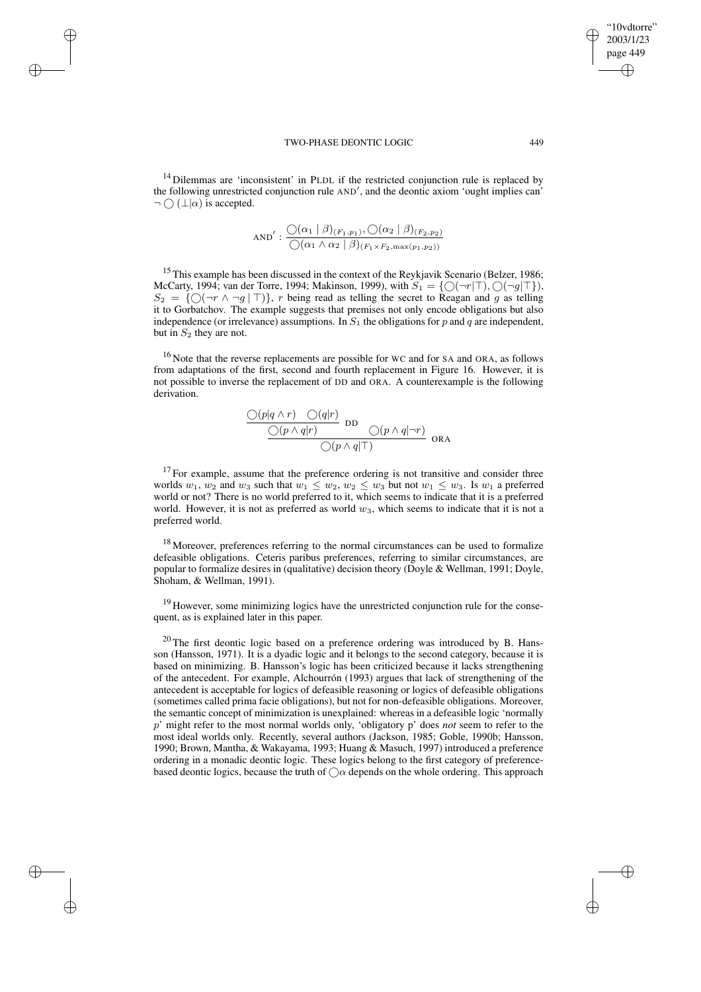$\rightarrow$ 

 $\rightarrow$ 

✐

✐

 $14$  Dilemmas are 'inconsistent' in PLDL if the restricted conjunction rule is replaced by the following unrestricted conjunction rule AND', and the deontic axiom 'ought implies can'  $\neg \bigcap (\bot | \alpha)$  is accepted.

AND': 
$$
\frac{\bigcirc(\alpha_1 \mid \beta)_{(F_1, p_1)}, \bigcirc(\alpha_2 \mid \beta)_{(F_2, p_2)}}{\bigcirc(\alpha_1 \land \alpha_2 \mid \beta)_{(F_1 \times F_2, \max(p_1, p_2))}}
$$

<sup>15</sup> This example has been discussed in the context of the Reykjavik Scenario (Belzer, 1986; McCarty, 1994; van der Torre, 1994; Makinson, 1999), with  $S_1 = \{ \bigcirc (\neg r | \top), \bigcirc (\neg g | \top \},\$  $S_2 = \{ \bigcirc (\neg r \wedge \neg g \mid \top) \}, r \text{ being read as telling the secret to Reagan and } g \text{ as telling }$ it to Gorbatchov. The example suggests that premises not only encode obligations but also independence (or irrelevance) assumptions. In  $S_1$  the obligations for p and q are independent, but in  $S_2$  they are not.

<sup>16</sup> Note that the reverse replacements are possible for WC and for SA and ORA, as follows from adaptations of the first, second and fourth replacement in Figure 16. However, it is not possible to inverse the replacement of DD and ORA. A counterexample is the following derivation.

$$
\frac{\bigcirc (p|q\wedge r) \bigcirc (q|r)}{\bigcirc (p\wedge q|r)} \text{DD} \bigcirc (p\wedge q|\neg r)} \bigcirc (R\wedge q|\neg r) \bigcirc (R\wedge q|\neg r)
$$

 $17$  For example, assume that the preference ordering is not transitive and consider three worlds  $w_1, w_2$  and  $w_3$  such that  $w_1 \leq w_2, w_2 \leq w_3$  but not  $w_1 \leq w_3$ . Is  $w_1$  a preferred world or not? There is no world preferred to it, which seems to indicate that it is a preferred world. However, it is not as preferred as world  $w_3$ , which seems to indicate that it is not a preferred world.

 $18$  Moreover, preferences referring to the normal circumstances can be used to formalize defeasible obligations. Ceteris paribus preferences, referring to similar circumstances, are popular to formalize desires in (qualitative) decision theory (Doyle & Wellman, 1991; Doyle, Shoham, & Wellman, 1991).

<sup>19</sup> However, some minimizing logics have the unrestricted conjunction rule for the consequent, as is explained later in this paper.

 $20$  The first deontic logic based on a preference ordering was introduced by B. Hansson (Hansson, 1971). It is a dyadic logic and it belongs to the second category, because it is based on minimizing. B. Hansson's logic has been criticized because it lacks strengthening of the antecedent. For example, Alchourrón (1993) argues that lack of strengthening of the antecedent is acceptable for logics of defeasible reasoning or logics of defeasible obligations (sometimes called prima facie obligations), but not for non-defeasible obligations. Moreover, the semantic concept of minimization is unexplained: whereas in a defeasible logic 'normally p' might refer to the most normal worlds only, 'obligatory p' does *not* seem to refer to the most ideal worlds only. Recently, several authors (Jackson, 1985; Goble, 1990b; Hansson, 1990; Brown, Mantha, & Wakayama, 1993; Huang & Masuch, 1997) introduced a preference ordering in a monadic deontic logic. These logics belong to the first category of preferencebased deontic logics, because the truth of  $\bigcirc$  depends on the whole ordering. This approach

"10vdtorre" 2003/1/23 page 449

✐

✐

✐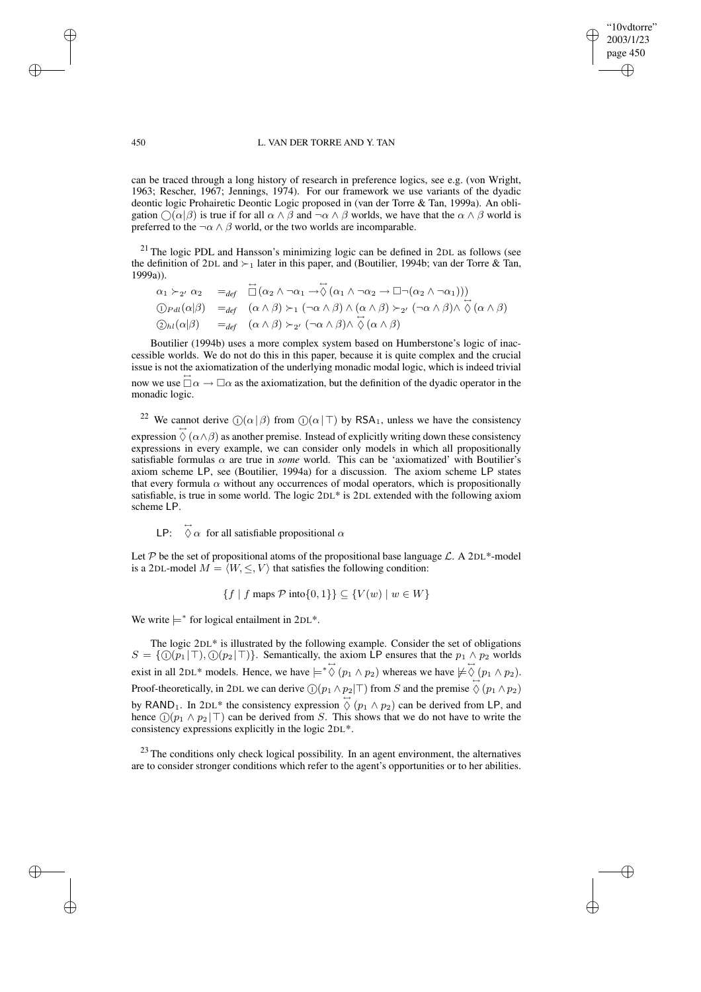### 450 L. VAN DER TORRE AND Y. TAN

"10vdtorre" 2003/1/23 page 450

✐

✐

✐

✐

can be traced through a long history of research in preference logics, see e.g. (von Wright, 1963; Rescher, 1967; Jennings, 1974). For our framework we use variants of the dyadic deontic logic Prohairetic Deontic Logic proposed in (van der Torre & Tan, 1999a). An obligation  $\bigcap (\alpha|\beta)$  is true if for all  $\alpha \wedge \beta$  and  $\neg \alpha \wedge \beta$  worlds, we have that the  $\alpha \wedge \beta$  world is preferred to the  $\neg \alpha \land \beta$  world, or the two worlds are incomparable.

 $21$  The logic PDL and Hansson's minimizing logic can be defined in 2DL as follows (see the definition of 2DL and  $\succ_1$  later in this paper, and (Boutilier, 1994b; van der Torre & Tan, 1999a)). ↔

$$
\alpha_1 \succ_{2'} \alpha_2 =_{def} \Box(\alpha_2 \land \neg \alpha_1 \rightarrow \Diamond (\alpha_1 \land \neg \alpha_2 \rightarrow \Box \neg (\alpha_2 \land \neg \alpha_1)))
$$
  
\n
$$
\bigcirc_{P \text{all}} (\alpha|\beta) =_{def} (\alpha \land \beta) \succ_1 (\neg \alpha \land \beta) \land (\alpha \land \beta) \succ_{2'} (\neg \alpha \land \beta) \land \Diamond (\alpha \land \beta)
$$
  
\n
$$
\bigcirc_{P \text{all}} (\alpha|\beta) =_{def} (\alpha \land \beta) \succ_{2'} (\neg \alpha \land \beta) \land \Diamond (\alpha \land \beta)
$$

Boutilier (1994b) uses a more complex system based on Humberstone's logic of inaccessible worlds. We do not do this in this paper, because it is quite complex and the crucial issue is not the axiomatization of the underlying monadic modal logic, which is indeed trivial now we use  $\Box \alpha \rightarrow \Box \alpha$  as the axiomatization, but the definition of the dyadic operator in the monadic logic.

<sup>22</sup> We cannot derive  $\mathbb{O}(\alpha|\beta)$  from  $\mathbb{O}(\alpha|\top)$  by RSA<sub>1</sub>, unless we have the consistency expression  $\Diamond (\alpha \land \beta)$  as another premise. Instead of explicitly writing down these consistency expressions in every example, we can consider only models in which all propositionally satisfiable formulas  $\alpha$  are true in *some* world. This can be 'axiomatized' with Boutilier's axiom scheme LP, see (Boutilier, 1994a) for a discussion. The axiom scheme LP states that every formula  $\alpha$  without any occurrences of modal operators, which is propositionally satisfiable, is true in some world. The logic 2DL\* is 2DL extended with the following axiom scheme LP.

LP:  $\overleftrightarrow{\Diamond} \alpha$  for all satisfiable propositional  $\alpha$ 

Let P be the set of propositional atoms of the propositional base language  $\mathcal{L}$ . A 2DL\*-model is a 2DL-model  $M = \langle W, \leq, V \rangle$  that satisfies the following condition:

$$
\{f \mid f \text{ maps } \mathcal{P} \text{ into } \{0,1\} \} \subseteq \{ V(w) \mid w \in W \}
$$

We write  $\models^*$  for logical entailment in 2DL<sup>\*</sup>.

The logic 2DL\* is illustrated by the following example. Consider the set of obligations  $S = \{ \bigcirc (p_1 | \top), \bigcirc (p_2 | \top) \}$ . Semantically, the axiom LP ensures that the  $p_1 \wedge p_2$  worlds exist in all 2DL\* models. Hence, we have  $\models \Diamond (p_1 \land p_2)$  whereas we have  $\models \Diamond (p_1 \land p_2)$ . Proof-theoretically, in 2DL we can derive  $\bigcirc (p_1 \wedge p_2 | \top)$  from S and the premise  $\bigcirc (p_1 \wedge p_2)$ by RAND<sub>1</sub>. In 2DL<sup>\*</sup> the consistency expression  $\overline{\diamond}$  ( $p_1 \wedge p_2$ ) can be derived from LP, and hence  $(1)(p_1 \wedge p_2 | \top)$  can be derived from S. This shows that we do not have to write the consistency expressions explicitly in the logic 2DL\*.

 $23$  The conditions only check logical possibility. In an agent environment, the alternatives are to consider stronger conditions which refer to the agent's opportunities or to her abilities.

 $\rightarrow$ 

 $\rightarrow$ 

✐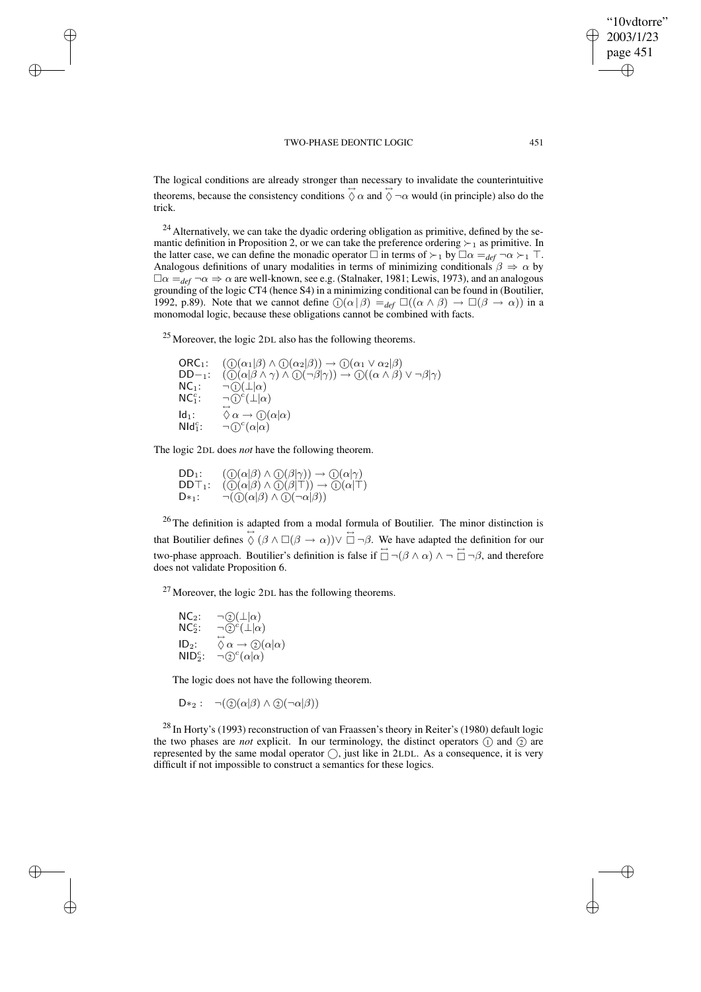✐

✐

✐

"10vdtorre"

The logical conditions are already stronger than necessary to invalidate the counterintuitive theorems, because the consistency conditions  $\overleftrightarrow{\Diamond} \alpha$  and  $\overleftrightarrow{\Diamond} \neg \alpha$  would (in principle) also do the trick.

 $24$  Alternatively, we can take the dyadic ordering obligation as primitive, defined by the semantic definition in Proposition 2, or we can take the preference ordering  $\succ_1$  as primitive. In the latter case, we can define the monadic operator  $\Box$  in terms of  $\succ_1$  by  $\Box \alpha = \det_{\text{def}} \neg \alpha \succ_1 \top$ . Analogous definitions of unary modalities in terms of minimizing conditionals  $\beta \Rightarrow \alpha$  by  $\Box \alpha =_{def} \neg \alpha \Rightarrow \alpha$  are well-known, see e.g. (Stalnaker, 1981; Lewis, 1973), and an analogous grounding of the logic CT4 (hence S4) in a minimizing conditional can be found in (Boutilier, 1992, p.89). Note that we cannot define  $\mathbb{O}(\alpha|\beta) =_{def} \mathbb{O}((\alpha \wedge \beta) \rightarrow \mathbb{O}(\beta \rightarrow \alpha))$  in a monomodal logic, because these obligations cannot be combined with facts.

<sup>25</sup> Moreover, the logic 2DL also has the following theorems.

ORC<sub>1</sub>:  $( \bigcirc (\alpha_1 | \beta) \wedge \bigcirc (\alpha_2 | \beta) ) \rightarrow \bigcirc (\alpha_1 \vee \alpha_2 | \beta)$  $DD-1: \quad \left(\overline{\mathbb{O}}(\alpha|\beta \wedge \gamma) \wedge \overline{\mathbb{O}}(\neg \beta|\gamma)\right) \rightarrow \mathbb{O}((\alpha \wedge \beta) \vee \neg \beta|\gamma)$ **DD**-1:  $\langle \overline{0} \rangle \langle \alpha | \overline{\beta} \rangle \wedge$ <br>**NC**<sub>1</sub>:  $\neg \langle 1 \rangle \langle \perp | \alpha \rangle$  $NC_1^c$ :  $i$ : ¬ $\tilde{D}^{\dot{c}}(\dot{\perp}|\alpha)$  $Id_1$ :  $\overleftrightarrow{\Diamond} \alpha \rightarrow \overrightarrow{\mathbb{O}}(\alpha|\alpha)$  $NId_1^c$ :  $i$ :  $\neg$   $\bigcirc^c(\alpha|\alpha)$ 

The logic 2DL does *not* have the following theorem.

 $\rightarrow$ 

 $\rightarrow$ 

✐

✐

 $DD_1:$   $\left(\mathbb{O}(\alpha|\beta) \wedge \mathbb{O}(\beta|\gamma)\right) \rightarrow \mathbb{O}(\alpha|\gamma)$  $\mathsf{DDT}_1: \quad \widetilde{(\mathbb{O}}(\alpha|\beta) \wedge \widetilde{\mathbb{O}}(\beta|\mathsf{T})) \rightarrow \widetilde{\mathbb{O}}(\alpha|\mathsf{T})$  $D*_1$ :  $\neg(\widehat{I} \cap (\alpha|\beta) \land \widehat{I} \cap (\neg \alpha|\beta))$ 

<sup>26</sup> The definition is adapted from a modal formula of Boutilier. The minor distinction is that Boutilier defines  $\overleftrightarrow{\Diamond}$  ( $\beta \land \Box(\beta \rightarrow \alpha)$ ) $\lor \overleftrightarrow{\Box} \neg \beta$ . We have adapted the definition for our two-phase approach. Boutilier's definition is false if  $\Box \neg (\beta \land \alpha) \land \neg \Box \neg \beta$ , and therefore does not validate Proposition 6.

 $27$  Moreover, the logic 2DL has the following theorems.

 $NC_2$ :  $\neg \odot (\perp|\alpha)$  $NC<sub>2</sub>$ :  $\overline{c}$ :  $\neg \overline{Q}^c(\bot|\alpha)$  $ID<sub>2</sub>$ :  $\overleftrightarrow{\Diamond} \alpha \rightarrow \mathcal{Q}(\alpha|\alpha)$  $NID<sub>2</sub>$ :  $\overline{\Omega}$ :  $\neg \mathbb{Q}^c(\alpha|\alpha)$ 

The logic does not have the following theorem.

$$
D*_2: \neg(\textcircled{2}(\alpha|\beta) \land \textcircled{2}(\neg\alpha|\beta))
$$

<sup>28</sup> In Horty's (1993) reconstruction of van Fraassen's theory in Reiter's (1980) default logic the two phases are *not* explicit. In our terminology, the distinct operators  $(1)$  and  $(2)$  are represented by the same modal operator  $\bigcirc$ , just like in 2LDL. As a consequence, it is very difficult if not impossible to construct a semantics for these logics.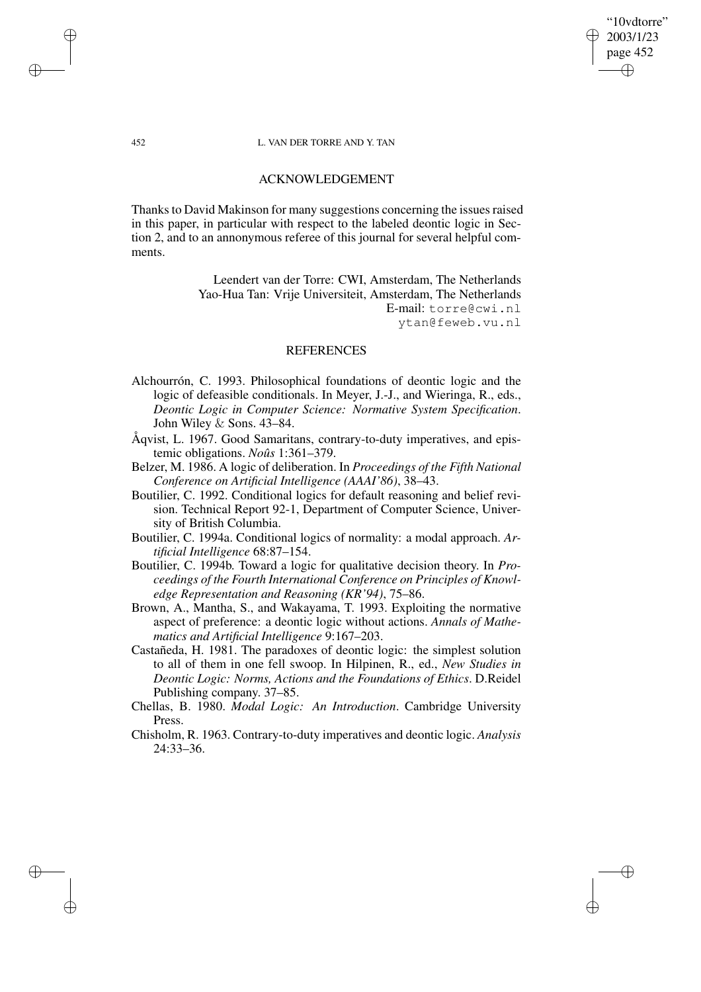## "10vdtorre" 2003/1/23 page 452 ✐ ✐

✐

✐

### 452 L. VAN DER TORRE AND Y. TAN

# ACKNOWLEDGEMENT

Thanks to David Makinson for many suggestions concerning the issues raised in this paper, in particular with respect to the labeled deontic logic in Section 2, and to an annonymous referee of this journal for several helpful comments.

> Leendert van der Torre: CWI, Amsterdam, The Netherlands Yao-Hua Tan: Vrije Universiteit, Amsterdam, The Netherlands E-mail: torre@cwi.nl ytan@feweb.vu.nl

## REFERENCES

- Alchourrón, C. 1993. Philosophical foundations of deontic logic and the logic of defeasible conditionals. In Meyer, J.-J., and Wieringa, R., eds., *Deontic Logic in Computer Science: Normative System Specification*. John Wiley & Sons. 43–84.
- Åqvist, L. 1967. Good Samaritans, contrary-to-duty imperatives, and epistemic obligations. *Noûs* 1:361–379.
- Belzer, M. 1986. A logic of deliberation. In *Proceedings of the Fifth National Conference on Artificial Intelligence (AAAI'86)*, 38–43.
- Boutilier, C. 1992. Conditional logics for default reasoning and belief revision. Technical Report 92-1, Department of Computer Science, University of British Columbia.
- Boutilier, C. 1994a. Conditional logics of normality: a modal approach. *Artificial Intelligence* 68:87–154.
- Boutilier, C. 1994b. Toward a logic for qualitative decision theory. In *Proceedings of the Fourth International Conference on Principles of Knowledge Representation and Reasoning (KR'94)*, 75–86.
- Brown, A., Mantha, S., and Wakayama, T. 1993. Exploiting the normative aspect of preference: a deontic logic without actions. *Annals of Mathematics and Artificial Intelligence* 9:167–203.
- Castañeda, H. 1981. The paradoxes of deontic logic: the simplest solution to all of them in one fell swoop. In Hilpinen, R., ed., *New Studies in Deontic Logic: Norms, Actions and the Foundations of Ethics*. D.Reidel Publishing company. 37–85.
- Chellas, B. 1980. *Modal Logic: An Introduction*. Cambridge University Press.
- Chisholm, R. 1963. Contrary-to-duty imperatives and deontic logic. *Analysis* 24:33–36.

 $\rightarrow$ 

 $\rightarrow$ 

✐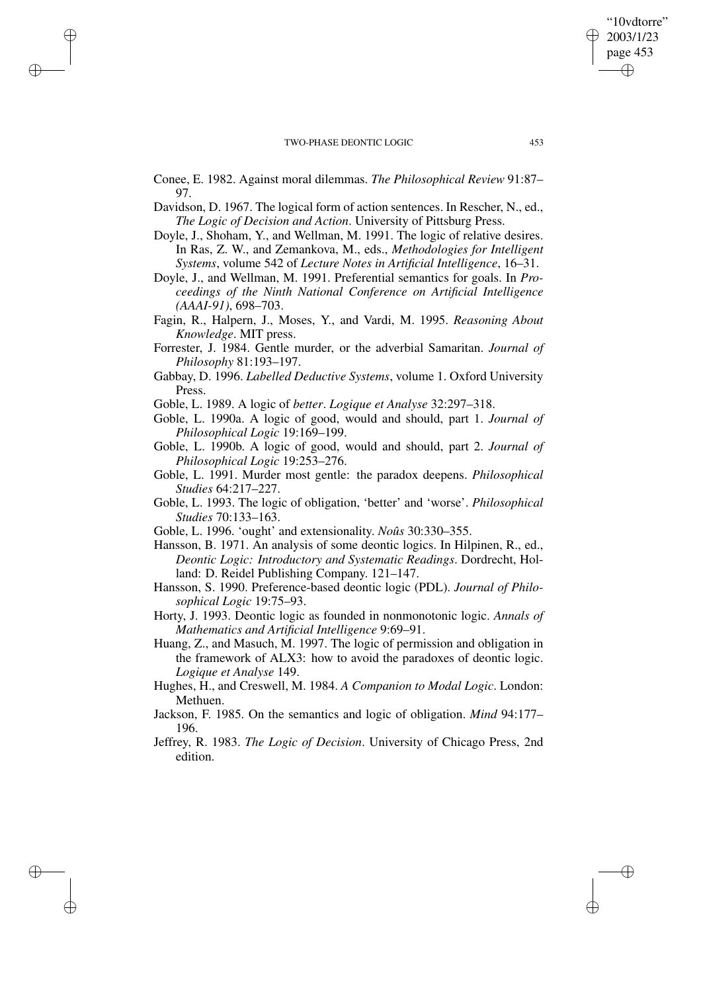$\rightarrow$ 

 $\rightarrow$ 

✐

✐

✐

✐

✐

"10vdtorre" 2003/1/23

Conee, E. 1982. Against moral dilemmas. *The Philosophical Review* 91:87– 97.

Davidson, D. 1967. The logical form of action sentences. In Rescher, N., ed., *The Logic of Decision and Action*. University of Pittsburg Press.

- Doyle, J., Shoham, Y., and Wellman, M. 1991. The logic of relative desires. In Ras, Z. W., and Zemankova, M., eds., *Methodologies for Intelligent Systems*, volume 542 of *Lecture Notes in Artificial Intelligence*, 16–31.
- Doyle, J., and Wellman, M. 1991. Preferential semantics for goals. In *Proceedings of the Ninth National Conference on Artificial Intelligence (AAAI-91)*, 698–703.
- Fagin, R., Halpern, J., Moses, Y., and Vardi, M. 1995. *Reasoning About Knowledge*. MIT press.
- Forrester, J. 1984. Gentle murder, or the adverbial Samaritan. *Journal of Philosophy* 81:193–197.
- Gabbay, D. 1996. *Labelled Deductive Systems*, volume 1. Oxford University Press.
- Goble, L. 1989. A logic of *better*. *Logique et Analyse* 32:297–318.
- Goble, L. 1990a. A logic of good, would and should, part 1. *Journal of Philosophical Logic* 19:169–199.
- Goble, L. 1990b. A logic of good, would and should, part 2. *Journal of Philosophical Logic* 19:253–276.
- Goble, L. 1991. Murder most gentle: the paradox deepens. *Philosophical Studies* 64:217–227.
- Goble, L. 1993. The logic of obligation, 'better' and 'worse'. *Philosophical Studies* 70:133–163.
- Goble, L. 1996. 'ought' and extensionality. *Noûs* 30:330–355.
- Hansson, B. 1971. An analysis of some deontic logics. In Hilpinen, R., ed., *Deontic Logic: Introductory and Systematic Readings*. Dordrecht, Holland: D. Reidel Publishing Company. 121–147.
- Hansson, S. 1990. Preference-based deontic logic (PDL). *Journal of Philosophical Logic* 19:75–93.
- Horty, J. 1993. Deontic logic as founded in nonmonotonic logic. *Annals of Mathematics and Artificial Intelligence* 9:69–91.
- Huang, Z., and Masuch, M. 1997. The logic of permission and obligation in the framework of ALX3: how to avoid the paradoxes of deontic logic. *Logique et Analyse* 149.
- Hughes, H., and Creswell, M. 1984. *A Companion to Modal Logic*. London: Methuen.
- Jackson, F. 1985. On the semantics and logic of obligation. *Mind* 94:177– 196.
- Jeffrey, R. 1983. *The Logic of Decision*. University of Chicago Press, 2nd edition.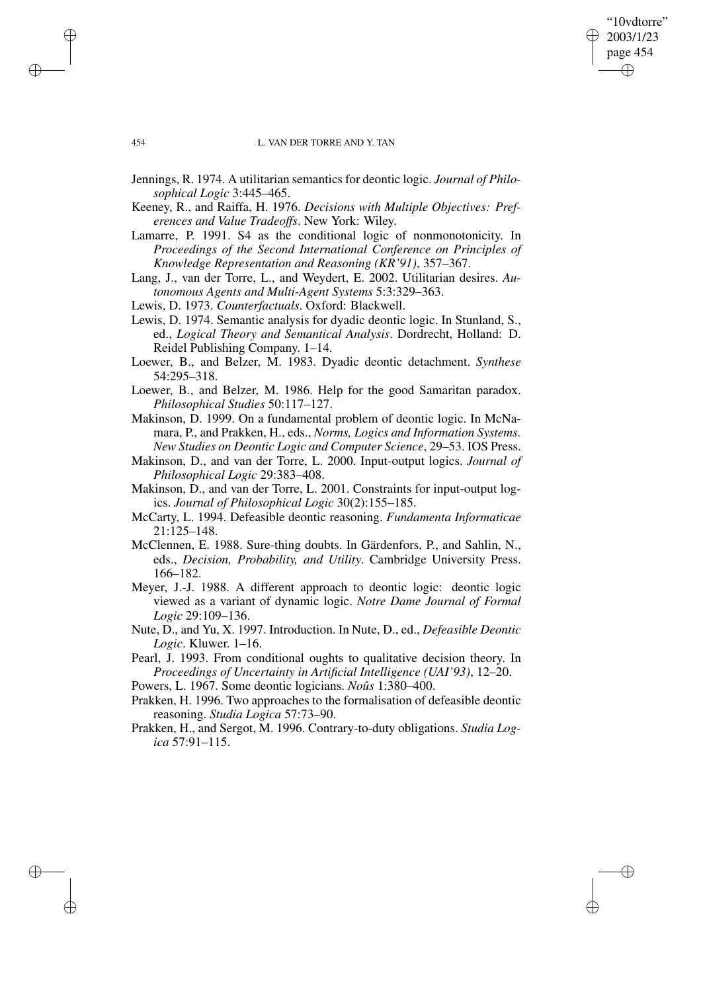454 L. VAN DER TORRE AND Y. TAN

"10vdtorre" 2003/1/23 page 454

✐

✐

✐

✐

- Jennings, R. 1974. A utilitarian semantics for deontic logic. *Journal of Philosophical Logic* 3:445–465.
- Keeney, R., and Raiffa, H. 1976. *Decisions with Multiple Objectives: Preferences and Value Tradeoffs*. New York: Wiley.
- Lamarre, P. 1991. S4 as the conditional logic of nonmonotonicity. In *Proceedings of the Second International Conference on Principles of Knowledge Representation and Reasoning (KR'91)*, 357–367.
- Lang, J., van der Torre, L., and Weydert, E. 2002. Utilitarian desires. *Autonomous Agents and Multi-Agent Systems* 5:3:329–363.
- Lewis, D. 1973. *Counterfactuals*. Oxford: Blackwell.
- Lewis, D. 1974. Semantic analysis for dyadic deontic logic. In Stunland, S., ed., *Logical Theory and Semantical Analysis*. Dordrecht, Holland: D. Reidel Publishing Company. 1–14.
- Loewer, B., and Belzer, M. 1983. Dyadic deontic detachment. *Synthese* 54:295–318.
- Loewer, B., and Belzer, M. 1986. Help for the good Samaritan paradox. *Philosophical Studies* 50:117–127.
- Makinson, D. 1999. On a fundamental problem of deontic logic. In McNamara, P., and Prakken, H., eds., *Norms, Logics and Information Systems. New Studies on Deontic Logic and Computer Science*, 29–53. IOS Press.
- Makinson, D., and van der Torre, L. 2000. Input-output logics. *Journal of Philosophical Logic* 29:383–408.
- Makinson, D., and van der Torre, L. 2001. Constraints for input-output logics. *Journal of Philosophical Logic* 30(2):155–185.
- McCarty, L. 1994. Defeasible deontic reasoning. *Fundamenta Informaticae* 21:125–148.
- McClennen, E. 1988. Sure-thing doubts. In Gärdenfors, P., and Sahlin, N., eds., *Decision, Probability, and Utility*. Cambridge University Press. 166–182.
- Meyer, J.-J. 1988. A different approach to deontic logic: deontic logic viewed as a variant of dynamic logic. *Notre Dame Journal of Formal Logic* 29:109–136.
- Nute, D., and Yu, X. 1997. Introduction. In Nute, D., ed., *Defeasible Deontic Logic*. Kluwer. 1–16.
- Pearl, J. 1993. From conditional oughts to qualitative decision theory. In *Proceedings of Uncertainty in Artificial Intelligence (UAI'93)*, 12–20.
- Powers, L. 1967. Some deontic logicians. *Noûs* 1:380–400.
- Prakken, H. 1996. Two approaches to the formalisation of defeasible deontic reasoning. *Studia Logica* 57:73–90.
- Prakken, H., and Sergot, M. 1996. Contrary-to-duty obligations. *Studia Logica* 57:91–115.

 $\rightarrow$ 

 $\rightarrow$ 

✐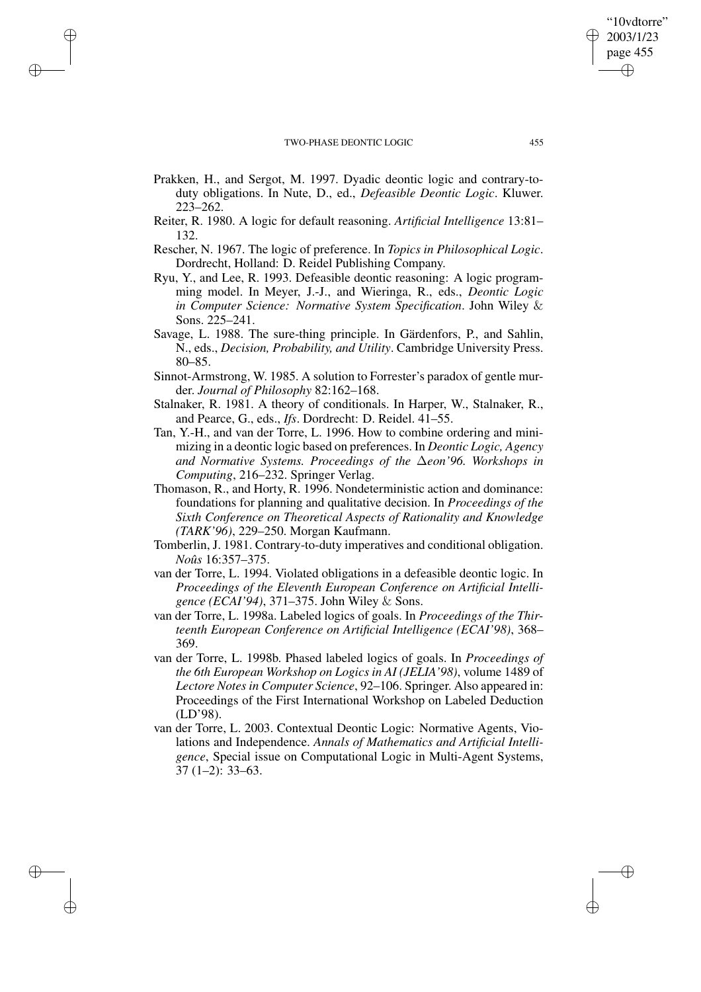$\rightarrow$ 

 $\rightarrow$ 

✐

✐

- Prakken, H., and Sergot, M. 1997. Dyadic deontic logic and contrary-toduty obligations. In Nute, D., ed., *Defeasible Deontic Logic*. Kluwer. 223–262.
- Reiter, R. 1980. A logic for default reasoning. *Artificial Intelligence* 13:81– 132.
- Rescher, N. 1967. The logic of preference. In *Topics in Philosophical Logic*. Dordrecht, Holland: D. Reidel Publishing Company.
- Ryu, Y., and Lee, R. 1993. Defeasible deontic reasoning: A logic programming model. In Meyer, J.-J., and Wieringa, R., eds., *Deontic Logic in Computer Science: Normative System Specification*. John Wiley & Sons. 225–241.
- Savage, L. 1988. The sure-thing principle. In Gärdenfors, P., and Sahlin, N., eds., *Decision, Probability, and Utility*. Cambridge University Press. 80–85.
- Sinnot-Armstrong, W. 1985. A solution to Forrester's paradox of gentle murder. *Journal of Philosophy* 82:162–168.
- Stalnaker, R. 1981. A theory of conditionals. In Harper, W., Stalnaker, R., and Pearce, G., eds., *Ifs*. Dordrecht: D. Reidel. 41–55.
- Tan, Y.-H., and van der Torre, L. 1996. How to combine ordering and minimizing in a deontic logic based on preferences. In *Deontic Logic, Agency and Normative Systems. Proceedings of the* ∆*eon'96. Workshops in Computing*, 216–232. Springer Verlag.
- Thomason, R., and Horty, R. 1996. Nondeterministic action and dominance: foundations for planning and qualitative decision. In *Proceedings of the Sixth Conference on Theoretical Aspects of Rationality and Knowledge (TARK'96)*, 229–250. Morgan Kaufmann.
- Tomberlin, J. 1981. Contrary-to-duty imperatives and conditional obligation. *Noûs* 16:357–375.
- van der Torre, L. 1994. Violated obligations in a defeasible deontic logic. In *Proceedings of the Eleventh European Conference on Artificial Intelligence (ECAI'94)*, 371–375. John Wiley & Sons.
- van der Torre, L. 1998a. Labeled logics of goals. In *Proceedings of the Thirteenth European Conference on Artificial Intelligence (ECAI'98)*, 368– 369.
- van der Torre, L. 1998b. Phased labeled logics of goals. In *Proceedings of the 6th European Workshop on Logics in AI (JELIA'98)*, volume 1489 of *Lectore Notes in Computer Science*, 92–106. Springer. Also appeared in: Proceedings of the First International Workshop on Labeled Deduction (LD'98).
- van der Torre, L. 2003. Contextual Deontic Logic: Normative Agents, Violations and Independence. *Annals of Mathematics and Artificial Intelligence*, Special issue on Computational Logic in Multi-Agent Systems, 37 (1–2): 33–63.

"10vdtorre" 2003/1/23 page 455

✐

✐

✐